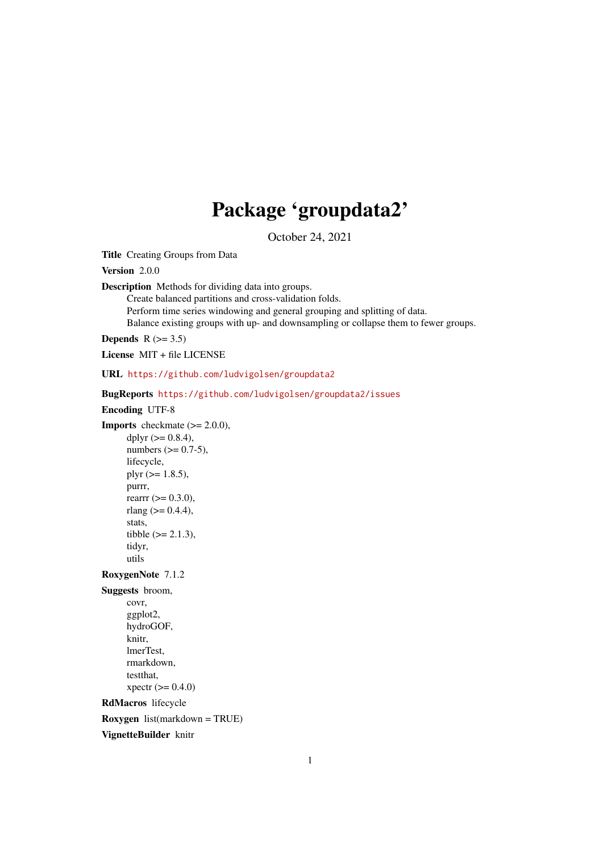# Package 'groupdata2'

October 24, 2021

<span id="page-0-0"></span>Title Creating Groups from Data

Version 2.0.0

Description Methods for dividing data into groups.

Create balanced partitions and cross-validation folds.

Perform time series windowing and general grouping and splitting of data.

Balance existing groups with up- and downsampling or collapse them to fewer groups.

Depends  $R$  ( $> = 3.5$ )

License MIT + file LICENSE

URL <https://github.com/ludvigolsen/groupdata2>

BugReports <https://github.com/ludvigolsen/groupdata2/issues>

```
Encoding UTF-8
```
**Imports** checkmate  $(>= 2.0.0)$ , dplyr  $(>= 0.8.4)$ , numbers  $(>= 0.7-5)$ , lifecycle, plyr  $(>= 1.8.5)$ , purrr, rearrr  $(>= 0.3.0)$ , rlang  $(>= 0.4.4)$ , stats, tibble  $(>= 2.1.3)$ , tidyr, utils

RoxygenNote 7.1.2

Suggests broom,

covr, ggplot2, hydroGOF, knitr, lmerTest, rmarkdown, testthat,  $xpectr (= 0.4.0)$ 

RdMacros lifecycle

Roxygen list(markdown = TRUE)

VignetteBuilder knitr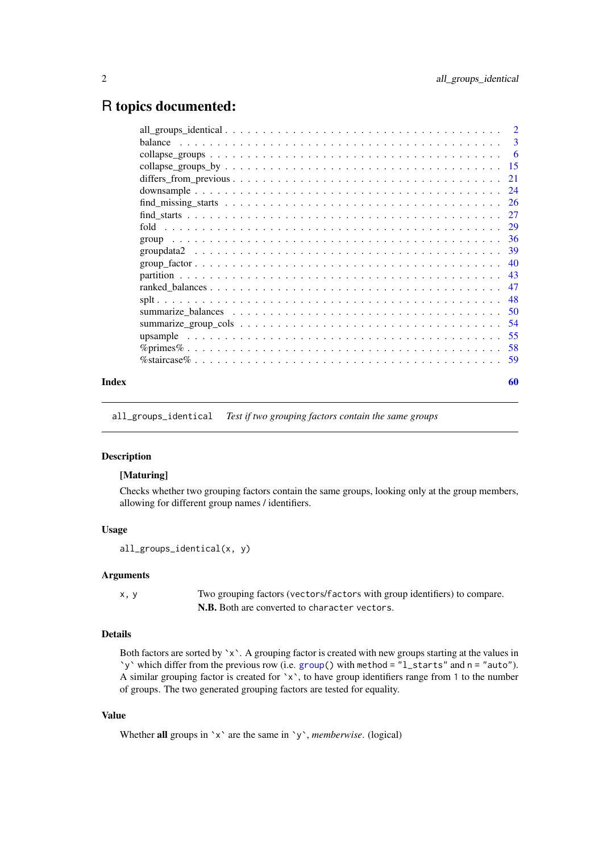## <span id="page-1-0"></span>R topics documented:

|       | $find\_missing\_starts \ldots \ldots \ldots \ldots \ldots \ldots \ldots \ldots \ldots \ldots \ldots \ldots 26$ |  |
|-------|----------------------------------------------------------------------------------------------------------------|--|
|       |                                                                                                                |  |
|       |                                                                                                                |  |
|       |                                                                                                                |  |
|       |                                                                                                                |  |
|       |                                                                                                                |  |
|       |                                                                                                                |  |
|       |                                                                                                                |  |
|       |                                                                                                                |  |
|       |                                                                                                                |  |
|       |                                                                                                                |  |
|       |                                                                                                                |  |
|       |                                                                                                                |  |
|       |                                                                                                                |  |
| Index | 60                                                                                                             |  |

<span id="page-1-1"></span>all\_groups\_identical *Test if two grouping factors contain the same groups*

#### Description

#### [Maturing]

Checks whether two grouping factors contain the same groups, looking only at the group members, allowing for different group names / identifiers.

#### Usage

```
all_groups_identical(x, y)
```
#### Arguments

x, y Two grouping factors (vectors/factors with group identifiers) to compare. N.B. Both are converted to character vectors.

### Details

Both factors are sorted by  $x$ . A grouping factor is created with new groups starting at the values in `y` which differ from the previous row (i.e. [group\(](#page-35-1)) with method = "l\_starts" and n = "auto"). A similar grouping factor is created for `x`, to have group identifiers range from 1 to the number of groups. The two generated grouping factors are tested for equality.

#### Value

Whether all groups in `x` are the same in `y`, *memberwise*. (logical)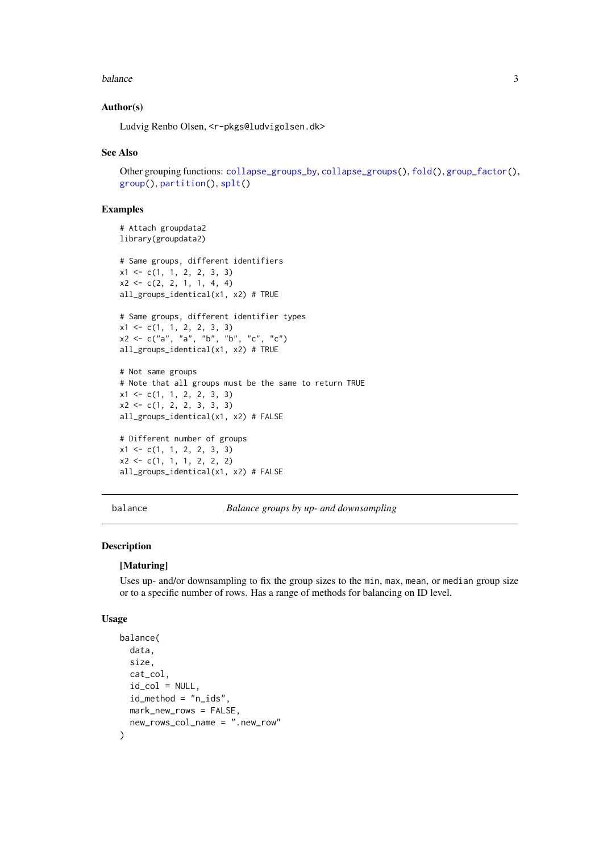#### <span id="page-2-0"></span>balance 3

#### Author(s)

Ludvig Renbo Olsen, <r-pkgs@ludvigolsen.dk>

#### See Also

Other grouping functions: [collapse\\_groups\\_by](#page-14-1), [collapse\\_groups\(](#page-5-1)), [fold\(](#page-28-1)), [group\\_factor\(](#page-39-1)), [group\(](#page-35-1)), [partition\(](#page-42-1)), [splt\(](#page-47-1))

#### Examples

```
# Attach groupdata2
library(groupdata2)
```

```
# Same groups, different identifiers
x1 \leftarrow c(1, 1, 2, 2, 3, 3)x2 \leq -c(2, 2, 1, 1, 4, 4)all_groups_identical(x1, x2) # TRUE
```

```
# Same groups, different identifier types
x1 \leftarrow c(1, 1, 2, 2, 3, 3)x2 \leq -c("a", "a", "b", "b", "c", "c")all_groups_identical(x1, x2) # TRUE
```

```
# Not same groups
# Note that all groups must be the same to return TRUE
x1 \leftarrow c(1, 1, 2, 2, 3, 3)x2 \leftarrow c(1, 2, 2, 3, 3, 3)all_groups_identical(x1, x2) # FALSE
```

```
# Different number of groups
x1 \leftarrow c(1, 1, 2, 2, 3, 3)x2 \leftarrow c(1, 1, 1, 2, 2, 2)all_groups_identical(x1, x2) # FALSE
```
<span id="page-2-1"></span>balance *Balance groups by up- and downsampling*

#### Description

#### [Maturing]

Uses up- and/or downsampling to fix the group sizes to the min, max, mean, or median group size or to a specific number of rows. Has a range of methods for balancing on ID level.

#### Usage

```
balance(
  data,
  size,
  cat_col,
  id_{col} = NULL,id_method = "n_ids",mark_new_rows = FALSE,
  new_rows_col_name = ".new_row"
)
```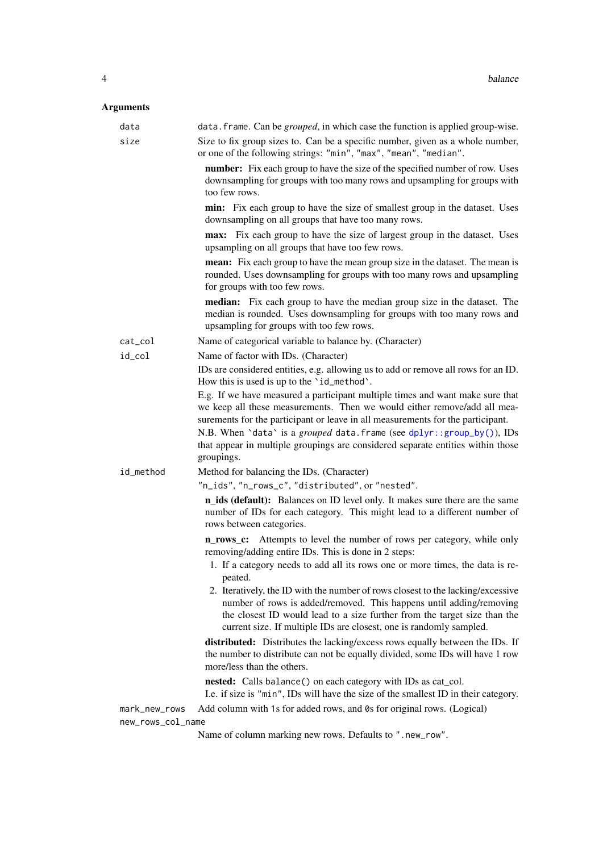## <span id="page-3-0"></span>Arguments

| data              | data. frame. Can be <i>grouped</i> , in which case the function is applied group-wise.                                                                                                                                                                                                                                                                                                                                  |
|-------------------|-------------------------------------------------------------------------------------------------------------------------------------------------------------------------------------------------------------------------------------------------------------------------------------------------------------------------------------------------------------------------------------------------------------------------|
| size              | Size to fix group sizes to. Can be a specific number, given as a whole number,<br>or one of the following strings: "min", "max", "mean", "median".                                                                                                                                                                                                                                                                      |
|                   | number: Fix each group to have the size of the specified number of row. Uses<br>downsampling for groups with too many rows and upsampling for groups with<br>too few rows.                                                                                                                                                                                                                                              |
|                   | min: Fix each group to have the size of smallest group in the dataset. Uses<br>downsampling on all groups that have too many rows.                                                                                                                                                                                                                                                                                      |
|                   | max: Fix each group to have the size of largest group in the dataset. Uses<br>upsampling on all groups that have too few rows.                                                                                                                                                                                                                                                                                          |
|                   | <b>mean:</b> Fix each group to have the mean group size in the dataset. The mean is<br>rounded. Uses downsampling for groups with too many rows and upsampling<br>for groups with too few rows.                                                                                                                                                                                                                         |
|                   | <b>median:</b> Fix each group to have the median group size in the dataset. The<br>median is rounded. Uses downsampling for groups with too many rows and<br>upsampling for groups with too few rows.                                                                                                                                                                                                                   |
| $cat\_col$        | Name of categorical variable to balance by. (Character)                                                                                                                                                                                                                                                                                                                                                                 |
| id_col            | Name of factor with IDs. (Character)                                                                                                                                                                                                                                                                                                                                                                                    |
|                   | IDs are considered entities, e.g. allowing us to add or remove all rows for an ID.<br>How this is used is up to the 'id_method'.                                                                                                                                                                                                                                                                                        |
|                   | E.g. If we have measured a participant multiple times and want make sure that<br>we keep all these measurements. Then we would either remove/add all mea-<br>surements for the participant or leave in all measurements for the participant.<br>N.B. When 'data' is a grouped data. frame (see dplyr::group_by()), IDs<br>that appear in multiple groupings are considered separate entities within those<br>groupings. |
| id_method         | Method for balancing the IDs. (Character)                                                                                                                                                                                                                                                                                                                                                                               |
|                   | "n_ids", "n_rows_c", "distributed", or "nested".                                                                                                                                                                                                                                                                                                                                                                        |
|                   | n_ids (default): Balances on ID level only. It makes sure there are the same<br>number of IDs for each category. This might lead to a different number of<br>rows between categories.                                                                                                                                                                                                                                   |
|                   | <b>n_rows_c:</b> Attempts to level the number of rows per category, while only<br>removing/adding entire IDs. This is done in 2 steps:                                                                                                                                                                                                                                                                                  |
|                   | 1. If a category needs to add all its rows one or more times, the data is re-<br>peated.                                                                                                                                                                                                                                                                                                                                |
|                   | 2. Iteratively, the ID with the number of rows closest to the lacking/excessive<br>number of rows is added/removed. This happens until adding/removing<br>the closest ID would lead to a size further from the target size than the<br>current size. If multiple IDs are closest, one is randomly sampled.                                                                                                              |
|                   | distributed: Distributes the lacking/excess rows equally between the IDs. If<br>the number to distribute can not be equally divided, some IDs will have 1 row<br>more/less than the others.                                                                                                                                                                                                                             |
|                   | nested: Calls balance() on each category with IDs as cat_col.<br>I.e. if size is "min", IDs will have the size of the smallest ID in their category.                                                                                                                                                                                                                                                                    |
| mark_new_rows     | Add column with 1s for added rows, and 0s for original rows. (Logical)                                                                                                                                                                                                                                                                                                                                                  |
| new_rows_col_name |                                                                                                                                                                                                                                                                                                                                                                                                                         |
|                   | Name of column marking new rows. Defaults to ".new_row".                                                                                                                                                                                                                                                                                                                                                                |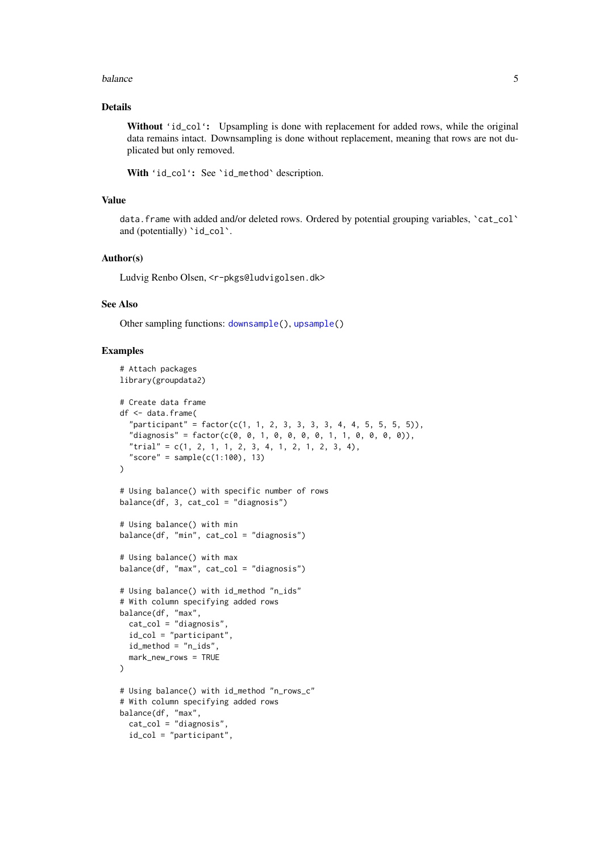#### <span id="page-4-0"></span>balance 5 and 5 and 5 and 5 and 5 and 5 and 6 and 6 and 6 and 6 and 6 and 6 and 6 and 6 and 6 and 6 and 6 and 6 and 6 and 6 and 6 and 6 and 6 and 6 and 6 and 6 and 6 and 6 and 6 and 6 and 6 and 6 and 6 and 6 and 6 and 6 an

#### Details

Without 'id\_col': Upsampling is done with replacement for added rows, while the original data remains intact. Downsampling is done without replacement, meaning that rows are not duplicated but only removed.

With 'id\_col': See 'id\_method' description.

#### Value

data. frame with added and/or deleted rows. Ordered by potential grouping variables, 'cat\_col' and (potentially) 'id\_col'.

#### Author(s)

Ludvig Renbo Olsen, <r-pkgs@ludvigolsen.dk>

## See Also

Other sampling functions: [downsample\(](#page-23-1)), [upsample\(](#page-54-1))

```
# Attach packages
library(groupdata2)
# Create data frame
df <- data.frame(
  "participant" = factor(c(1, 1, 2, 3, 3, 3, 3, 4, 4, 5, 5, 5, 5)),"diagnost's" = factor(c(0, 0, 1, 0, 0, 0, 1, 1, 0, 0, 0, 0)),
  "trial" = c(1, 2, 1, 1, 2, 3, 4, 1, 2, 1, 2, 3, 4),
  "score" = sample(c(1:100), 13)\lambda# Using balance() with specific number of rows
balance(df, 3, cat_col = "diagnosis")
# Using balance() with min
balance(df, "min", cat_col = "diagnosis")
# Using balance() with max
balance(df, "max", cat_col = "diagnosis")
# Using balance() with id_method "n_ids"
# With column specifying added rows
balance(df, "max",
  cat_col = "diagnosis",
  id\_col = "participant"id_method = "n_ids",
 mark_new_rows = TRUE
\lambda# Using balance() with id_method "n_rows_c"
# With column specifying added rows
balance(df, "max",
 cat_col = "diagnosis",
  id_col = "participant",
```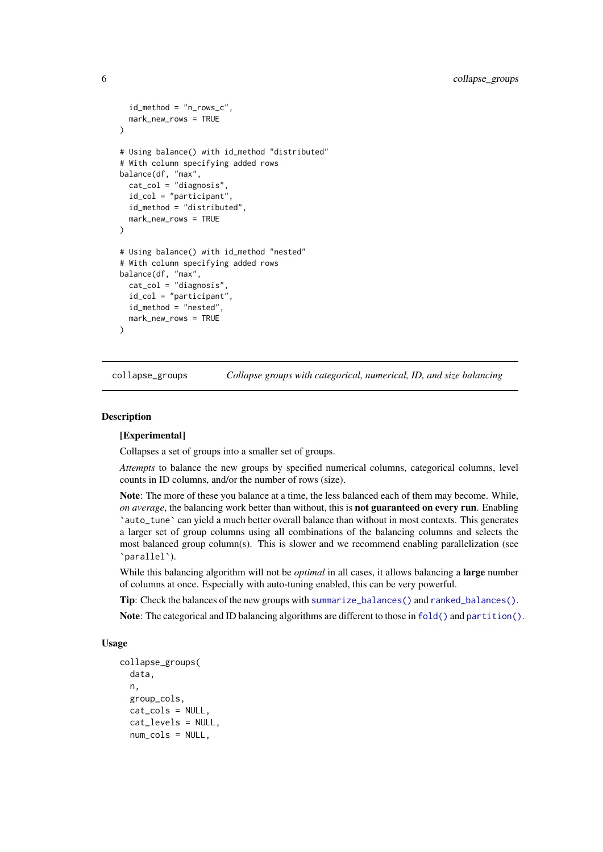```
id_method = "n_rows_c",
  mark new rows = TRUE
\lambda# Using balance() with id_method "distributed"
# With column specifying added rows
balance(df, "max",
  cat_col = "diagnosis",
  id_col = "participant",
  id method = "distributed".
  mark_new_rows = TRUE
\lambda# Using balance() with id_method "nested"
# With column specifying added rows
balance(df, "max",
  cat_col = "diagnosis",
  id_col = "participant",
  id_method = "nested",
 mark_new_rows = TRUE
\lambda
```
<span id="page-5-1"></span>collapse\_groups *Collapse groups with categorical, numerical, ID, and size balancing*

#### **Description**

#### [Experimental]

Collapses a set of groups into a smaller set of groups.

*Attempts* to balance the new groups by specified numerical columns, categorical columns, level counts in ID columns, and/or the number of rows (size).

Note: The more of these you balance at a time, the less balanced each of them may become. While, *on average*, the balancing work better than without, this is **not guaranteed on every run**. Enabling `auto\_tune` can yield a much better overall balance than without in most contexts. This generates a larger set of group columns using all combinations of the balancing columns and selects the most balanced group column(s). This is slower and we recommend enabling parallelization (see `parallel`).

While this balancing algorithm will not be *optimal* in all cases, it allows balancing a large number of columns at once. Especially with auto-tuning enabled, this can be very powerful.

Tip: Check the balances of the new groups with [summarize\\_balances\(\)](#page-0-0) and [ranked\\_balances\(\)](#page-0-0).

Note: The categorical and ID balancing algorithms are different to those in [fold\(\)](#page-0-0) and [partition\(\)](#page-0-0).

#### Usage

```
collapse_groups(
  data,
 n,
  group_cols,
  cat_cols = NULL,
  cat_levels = NULL,
 num_cols = NULL,
```
<span id="page-5-0"></span>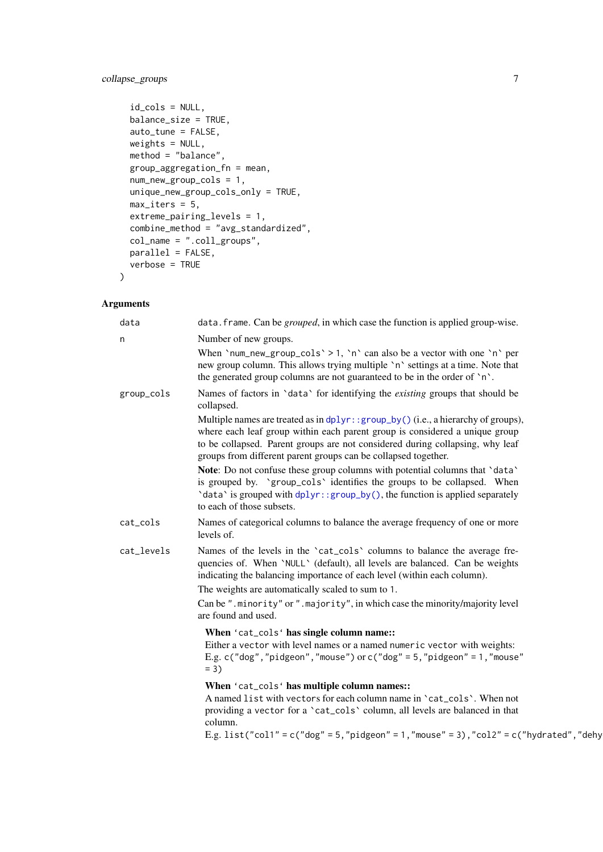## <span id="page-6-0"></span>collapse\_groups 7

```
id_cols = NULL,
balance_size = TRUE,
auto_tune = FALSE,
weights = NULL,
method = "balance",
group_aggregation_fn = mean,
num_new_group_cols = 1,
unique_new_group_cols_only = TRUE,
max\_iters = 5,
extreme_pairing_levels = 1,
combine_method = "avg_standardized",
col_name = "coll_grows",parallel = FALSE,
verbose = TRUE
```
## Arguments

 $\lambda$ 

| data       | data. frame. Can be <i>grouped</i> , in which case the function is applied group-wise.                                                                                                                                                                                                                              |
|------------|---------------------------------------------------------------------------------------------------------------------------------------------------------------------------------------------------------------------------------------------------------------------------------------------------------------------|
| n          | Number of new groups.                                                                                                                                                                                                                                                                                               |
|            | When 'num_new_group_cols' > 1, 'n' can also be a vector with one 'n' per<br>new group column. This allows trying multiple 'n' settings at a time. Note that<br>the generated group columns are not guaranteed to be in the order of 'n'.                                                                            |
| group_cols | Names of factors in 'data' for identifying the existing groups that should be<br>collapsed.                                                                                                                                                                                                                         |
|            | Multiple names are treated as in dplyr::group_by() (i.e., a hierarchy of groups),<br>where each leaf group within each parent group is considered a unique group<br>to be collapsed. Parent groups are not considered during collapsing, why leaf<br>groups from different parent groups can be collapsed together. |
|            | Note: Do not confuse these group columns with potential columns that 'data'<br>is grouped by. 'group_cols' identifies the groups to be collapsed. When<br>'data' is grouped with dplyr:: group_by(), the function is applied separately<br>to each of those subsets.                                                |
| cat_cols   | Names of categorical columns to balance the average frequency of one or more<br>levels of.                                                                                                                                                                                                                          |
| cat_levels | Names of the levels in the 'cat_cols' columns to balance the average fre-<br>quencies of. When 'NULL' (default), all levels are balanced. Can be weights<br>indicating the balancing importance of each level (within each column).                                                                                 |
|            | The weights are automatically scaled to sum to 1.                                                                                                                                                                                                                                                                   |
|            | Can be ".minority" or ".majority", in which case the minority/majority level<br>are found and used.                                                                                                                                                                                                                 |
|            | When 'cat_cols' has single column name::<br>Either a vector with level names or a named numeric vector with weights:<br>E.g. c("dog","pidgeon","mouse") or c("dog" = $5$ ,"pidgeon" = $1$ ,"mouse"<br>$= 3$                                                                                                         |
|            | When 'cat_cols' has multiple column names::<br>A named list with vectors for each column name in 'cat_cols'. When not<br>providing a vector for a 'cat_cols' column, all levels are balanced in that<br>column.                                                                                                     |
|            | E.g. list("col1" = $c$ ("dog" = 5,"pidgeon" = 1,"mouse" = 3),"col2" = $c$ ("hydrated","dehy                                                                                                                                                                                                                         |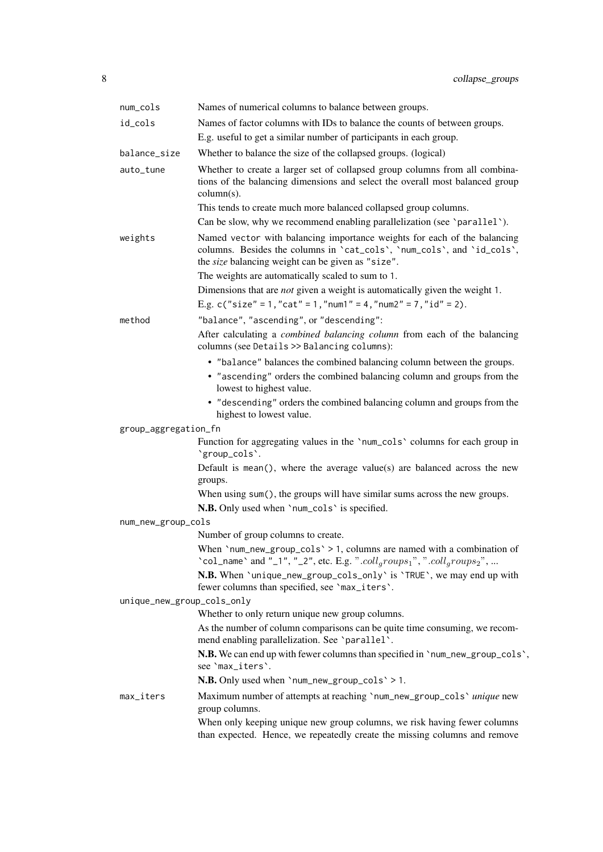| num_cols                   | Names of numerical columns to balance between groups.                                                                                                                                                                                                                                                                                                                                                                  |
|----------------------------|------------------------------------------------------------------------------------------------------------------------------------------------------------------------------------------------------------------------------------------------------------------------------------------------------------------------------------------------------------------------------------------------------------------------|
| id_cols                    | Names of factor columns with IDs to balance the counts of between groups.                                                                                                                                                                                                                                                                                                                                              |
|                            | E.g. useful to get a similar number of participants in each group.                                                                                                                                                                                                                                                                                                                                                     |
| balance_size               | Whether to balance the size of the collapsed groups. (logical)                                                                                                                                                                                                                                                                                                                                                         |
| auto_tune                  | Whether to create a larger set of collapsed group columns from all combina-<br>tions of the balancing dimensions and select the overall most balanced group<br>$column(s)$ .<br>This tends to create much more balanced collapsed group columns.<br>Can be slow, why we recommend enabling parallelization (see 'parallel').                                                                                           |
| weights                    | Named vector with balancing importance weights for each of the balancing<br>columns. Besides the columns in 'cat_cols', 'num_cols', and 'id_cols',<br>the size balancing weight can be given as "size".<br>The weights are automatically scaled to sum to 1.<br>Dimensions that are <i>not</i> given a weight is automatically given the weight 1.<br>E.g. c("size" = 1, "cat" = 1, "num1" = 4, "num2" = 7, "id" = 2). |
| method                     | "balance", "ascending", or "descending":                                                                                                                                                                                                                                                                                                                                                                               |
|                            | After calculating a <i>combined balancing column</i> from each of the balancing<br>columns (see Details >> Balancing columns):                                                                                                                                                                                                                                                                                         |
|                            | • "balance" balances the combined balancing column between the groups.<br>• "ascending" orders the combined balancing column and groups from the<br>lowest to highest value.<br>• "descending" orders the combined balancing column and groups from the<br>highest to lowest value.                                                                                                                                    |
| group_aggregation_fn       |                                                                                                                                                                                                                                                                                                                                                                                                                        |
|                            | Function for aggregating values in the 'num_cols' columns for each group in<br>'group_cols'.                                                                                                                                                                                                                                                                                                                           |
|                            | Default is mean(), where the average value(s) are balanced across the new<br>groups.                                                                                                                                                                                                                                                                                                                                   |
|                            | When using sum(), the groups will have similar sums across the new groups.                                                                                                                                                                                                                                                                                                                                             |
|                            | N.B. Only used when 'num_cols' is specified.                                                                                                                                                                                                                                                                                                                                                                           |
| num_new_group_cols         |                                                                                                                                                                                                                                                                                                                                                                                                                        |
|                            | Number of group columns to create.                                                                                                                                                                                                                                                                                                                                                                                     |
|                            | When 'num_new_group_cols' > 1, columns are named with a combination of<br>'col_name' and "_1", "_2", etc. E.g. ".coll <sub>q</sub> roups <sub>1</sub> ", ".coll <sub>q</sub> roups <sub>2</sub> ",                                                                                                                                                                                                                     |
|                            | N.B. When 'unique_new_group_cols_only' is 'TRUE', we may end up with<br>fewer columns than specified, see 'max_iters'.                                                                                                                                                                                                                                                                                                 |
| unique_new_group_cols_only |                                                                                                                                                                                                                                                                                                                                                                                                                        |
|                            | Whether to only return unique new group columns.                                                                                                                                                                                                                                                                                                                                                                       |
|                            | As the number of column comparisons can be quite time consuming, we recom-<br>mend enabling parallelization. See 'parallel'.                                                                                                                                                                                                                                                                                           |
|                            | N.B. We can end up with fewer columns than specified in 'num_new_group_cols',<br>see 'max_iters'.                                                                                                                                                                                                                                                                                                                      |
|                            | N.B. Only used when 'num_new_group_cols' > 1.                                                                                                                                                                                                                                                                                                                                                                          |
| max_iters                  | Maximum number of attempts at reaching 'num_new_group_cols' unique new<br>group columns.                                                                                                                                                                                                                                                                                                                               |
|                            | When only keeping unique new group columns, we risk having fewer columns<br>than expected. Hence, we repeatedly create the missing columns and remove                                                                                                                                                                                                                                                                  |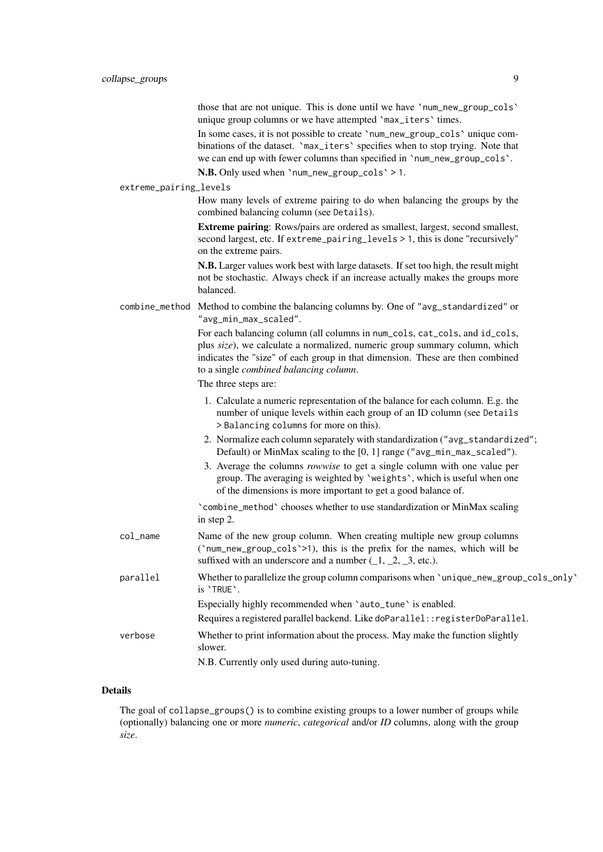those that are not unique. This is done until we have `num\_new\_group\_cols` unique group columns or we have attempted `max\_iters` times.

In some cases, it is not possible to create `num\_new\_group\_cols` unique combinations of the dataset. `max\_iters` specifies when to stop trying. Note that we can end up with fewer columns than specified in `num\_new\_group\_cols`.

N.B. Only used when `num\_new\_group\_cols` > 1.

#### extreme\_pairing\_levels

How many levels of extreme pairing to do when balancing the groups by the combined balancing column (see Details).

Extreme pairing: Rows/pairs are ordered as smallest, largest, second smallest, second largest, etc. If extreme\_pairing\_levels > 1, this is done "recursively" on the extreme pairs.

N.B. Larger values work best with large datasets. If set too high, the result might not be stochastic. Always check if an increase actually makes the groups more balanced.

combine\_method Method to combine the balancing columns by. One of "avg\_standardized" or "avg\_min\_max\_scaled".

> For each balancing column (all columns in num\_cols, cat\_cols, and id\_cols, plus *size*), we calculate a normalized, numeric group summary column, which indicates the "size" of each group in that dimension. These are then combined to a single *combined balancing column*.

The three steps are:

- 1. Calculate a numeric representation of the balance for each column. E.g. the number of unique levels within each group of an ID column (see Details > Balancing columns for more on this).
- 2. Normalize each column separately with standardization ("avg\_standardized"; Default) or MinMax scaling to the [0, 1] range ("avg\_min\_max\_scaled").
- 3. Average the columns *rowwise* to get a single column with one value per group. The averaging is weighted by `weights`, which is useful when one of the dimensions is more important to get a good balance of.

`combine\_method` chooses whether to use standardization or MinMax scaling in step 2.

col\_name Name of the new group column. When creating multiple new group columns (`num\_new\_group\_cols`>1), this is the prefix for the names, which will be suffixed with an underscore and a number  $(1, 2, 3,$  etc.). parallel Whether to parallelize the group column comparisons when `unique\_new\_group\_cols\_only`

is `TRUE`. Especially highly recommended when 'auto\_tune' is enabled. Requires a registered parallel backend. Like doParallel::registerDoParallel. verbose Whether to print information about the process. May make the function slightly slower.

N.B. Currently only used during auto-tuning.

## Details

The goal of collapse\_groups() is to combine existing groups to a lower number of groups while (optionally) balancing one or more *numeric*, *categorical* and/or *ID* columns, along with the group *size*.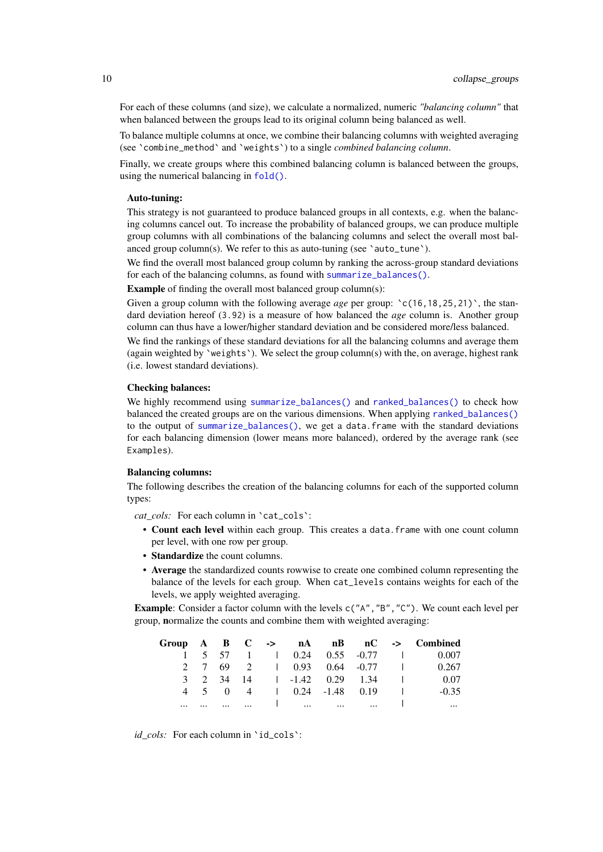<span id="page-9-0"></span>For each of these columns (and size), we calculate a normalized, numeric *"balancing column"* that when balanced between the groups lead to its original column being balanced as well.

To balance multiple columns at once, we combine their balancing columns with weighted averaging (see `combine\_method` and `weights`) to a single *combined balancing column*.

Finally, we create groups where this combined balancing column is balanced between the groups, using the numerical balancing in [fold\(\)](#page-0-0).

#### Auto-tuning:

This strategy is not guaranteed to produce balanced groups in all contexts, e.g. when the balancing columns cancel out. To increase the probability of balanced groups, we can produce multiple group columns with all combinations of the balancing columns and select the overall most balanced group column(s). We refer to this as auto-tuning (see 'auto\_tune').

We find the overall most balanced group column by ranking the across-group standard deviations for each of the balancing columns, as found with [summarize\\_balances\(\)](#page-0-0).

Example of finding the overall most balanced group column(s):

Given a group column with the following average *age* per group:  $\text{c}(16, 18, 25, 21)$ , the standard deviation hereof (3.92) is a measure of how balanced the *age* column is. Another group column can thus have a lower/higher standard deviation and be considered more/less balanced.

We find the rankings of these standard deviations for all the balancing columns and average them (again weighted by `weights`). We select the group column(s) with the, on average, highest rank (i.e. lowest standard deviations).

#### Checking balances:

We highly recommend using [summarize\\_balances\(\)](#page-0-0) and [ranked\\_balances\(\)](#page-0-0) to check how balanced the created groups are on the various dimensions. When applying [ranked\\_balances\(\)](#page-0-0) to the output of [summarize\\_balances\(\)](#page-0-0), we get a data.frame with the standard deviations for each balancing dimension (lower means more balanced), ordered by the average rank (see Examples).

#### Balancing columns:

The following describes the creation of the balancing columns for each of the supported column types:

*cat\_cols:* For each column in `cat\_cols`:

- Count each level within each group. This creates a data.frame with one count column per level, with one row per group.
- Standardize the count columns.
- Average the standardized counts rowwise to create one combined column representing the balance of the levels for each group. When cat\_levels contains weights for each of the levels, we apply weighted averaging.

**Example:** Consider a factor column with the levels  $c("A", "B", "C")$ . We count each level per group, normalize the counts and combine them with weighted averaging:

|          |       |          |  |                      |                               |                     | Group $A$ $B$ $C$ $\rightarrow$ $nA$ $nB$ $nC$ $\rightarrow$ Combined                     |
|----------|-------|----------|--|----------------------|-------------------------------|---------------------|-------------------------------------------------------------------------------------------|
|          |       |          |  |                      |                               |                     | $1 \quad 5 \quad 57 \quad 1 \quad 1 \quad 0.24 \quad 0.55 \quad 0.77 \quad 1 \quad 0.007$ |
|          |       |          |  |                      |                               |                     | 2 7 69 2 1 0.93 0.64 -0.77 1 0.267                                                        |
|          |       |          |  |                      | 3 2 34 14 1 -1.42 0.29 1.34 1 |                     | - 0.07                                                                                    |
|          | 4 5 0 |          |  | 4 0.24 -1.48 0.19    |                               | and the first state | $-0.35$                                                                                   |
| $\cdots$ |       | $\cdots$ |  | <u> 1 mars mars </u> | $\cdots$                      |                     | $\cdots$                                                                                  |

*id\_cols:* For each column in `id\_cols`: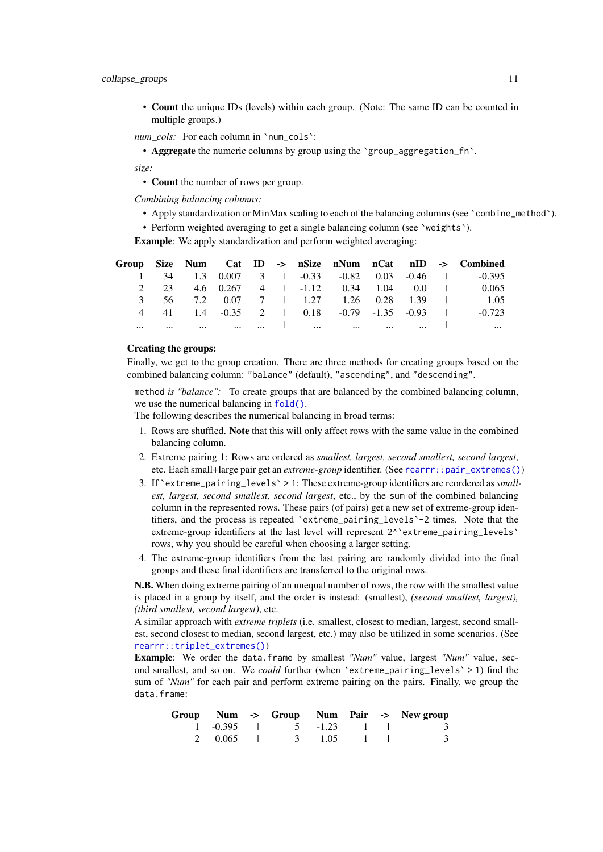#### <span id="page-10-0"></span>collapse\_groups 11

• Count the unique IDs (levels) within each group. (Note: The same ID can be counted in multiple groups.)

*num\_cols:* For each column in `num\_cols`:

• **Aggregate** the numeric columns by group using the 'group\_aggregation\_fn'.

*size:*

• Count the number of rows per group.

*Combining balancing columns:*

- Apply standardization or MinMax scaling to each of the balancing columns (see `combine\_method`).
- Perform weighted averaging to get a single balancing column (see 'weights').

Example: We apply standardization and perform weighted averaging:

|  |  |  |  |  | Group Size Num Cat ID -> nSize nNum nCat nID -> Combined           |
|--|--|--|--|--|--------------------------------------------------------------------|
|  |  |  |  |  | 1 34 1.3 0.007 3 1 -0.33 -0.82 0.03 -0.46 1 -0.395                 |
|  |  |  |  |  | 2 23 4.6 0.267 4 1 -1.12 0.34 1.04 0.0 1 0.065                     |
|  |  |  |  |  | 3 56 7.2 0.07 7 1 1.27 1.26 0.28 1.39 1 1.05                       |
|  |  |  |  |  | 4 41 1.4 -0.35 2   0.18 -0.79 -1.35 -0.93   -0.723                 |
|  |  |  |  |  | المساح المساحي المستحدث المساح المستحدث المستحدث المستحدث المستحدث |

### Creating the groups:

Finally, we get to the group creation. There are three methods for creating groups based on the combined balancing column: "balance" (default), "ascending", and "descending".

method *is "balance":* To create groups that are balanced by the combined balancing column, we use the numerical balancing in [fold\(\)](#page-0-0).

The following describes the numerical balancing in broad terms:

- 1. Rows are shuffled. Note that this will only affect rows with the same value in the combined balancing column.
- 2. Extreme pairing 1: Rows are ordered as *smallest, largest, second smallest, second largest*, etc. Each small+large pair get an *extreme-group* identifier. (See [rearrr::pair\\_extremes\(\)](#page-0-0))
- 3. If `extreme\_pairing\_levels` > 1: These extreme-group identifiers are reordered as*smallest, largest, second smallest, second largest*, etc., by the sum of the combined balancing column in the represented rows. These pairs (of pairs) get a new set of extreme-group identifiers, and the process is repeated `extreme\_pairing\_levels`-2 times. Note that the extreme-group identifiers at the last level will represent  $2^{\wedge}$  extreme\_pairing\_levels rows, why you should be careful when choosing a larger setting.
- 4. The extreme-group identifiers from the last pairing are randomly divided into the final groups and these final identifiers are transferred to the original rows.

N.B. When doing extreme pairing of an unequal number of rows, the row with the smallest value is placed in a group by itself, and the order is instead: (smallest), *(second smallest, largest), (third smallest, second largest)*, etc.

A similar approach with *extreme triplets* (i.e. smallest, closest to median, largest, second smallest, second closest to median, second largest, etc.) may also be utilized in some scenarios. (See [rearrr::triplet\\_extremes\(\)](#page-0-0))

Example: We order the data.frame by smallest *"Num"* value, largest *"Num"* value, second smallest, and so on. We *could* further (when `extreme\_pairing\_levels` > 1) find the sum of *"Num"* for each pair and perform extreme pairing on the pairs. Finally, we group the data.frame:

|  |                              |  | Group Num -> Group Num Pair -> New group |
|--|------------------------------|--|------------------------------------------|
|  | $1 - 0.395$ $5 - 1.23$ $1$ 1 |  |                                          |
|  | 2 0.065 1 3 1.05 1 1         |  |                                          |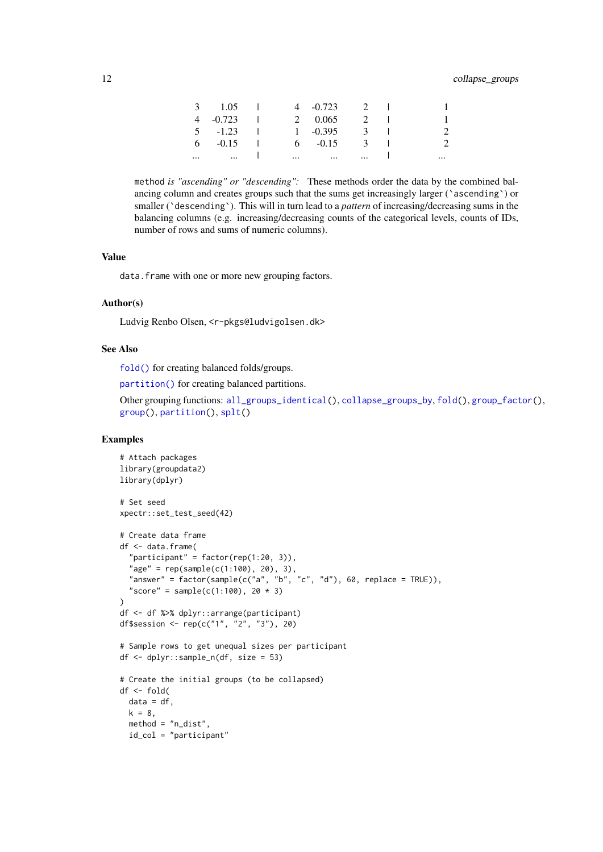#### <span id="page-11-0"></span>12 collapse\_groups

|          | $3 \t1.05$ | <b>Contract</b> |                             | 4 $-0.723$ 2 1       |          |          |
|----------|------------|-----------------|-----------------------------|----------------------|----------|----------|
|          | $4 -0.723$ |                 |                             | 2 0.065              | $2 \mid$ |          |
|          | $5 - 1.23$ | and the         |                             | $1 - 0.395$          | 3        |          |
|          | $6 -0.15$  |                 |                             | $6 - 0.15$           | 3        |          |
| $\cdots$ | $\cdots$   |                 | $\sim$ $\sim$ $\sim$ $\sim$ | $\sim$ $\sim$ $\sim$ | $\cdots$ | $\cdots$ |

method *is "ascending" or "descending":* These methods order the data by the combined balancing column and creates groups such that the sums get increasingly larger ('ascending') or smaller (`descending`). This will in turn lead to a *pattern* of increasing/decreasing sums in the balancing columns (e.g. increasing/decreasing counts of the categorical levels, counts of IDs, number of rows and sums of numeric columns).

#### Value

data.frame with one or more new grouping factors.

#### Author(s)

Ludvig Renbo Olsen, <r-pkgs@ludvigolsen.dk>

#### See Also

[fold\(\)](#page-0-0) for creating balanced folds/groups.

[partition\(\)](#page-0-0) for creating balanced partitions.

```
Other grouping functions: all_groups_identical(), collapse_groups_by, fold(), group_factor(),
group(), partition(), splt()
```

```
# Attach packages
library(groupdata2)
library(dplyr)
# Set seed
xpectr::set_test_seed(42)
# Create data frame
df <- data.frame(
  "participant" = factor(rep(1:20, 3)),
  "age" = rep(sample(c(1:100), 20), 3),
  "answer" = factor(sample(c("a", "b", "c", "d"), 60, replace = TRUE)),
  "score" = sample(c(1:100), 20 * 3)\lambdadf <- df %>% dplyr::arrange(participant)
df$session <- rep(c("1", "2", "3"), 20)
# Sample rows to get unequal sizes per participant
df <- dplyr::sample_n(df, size = 53)
# Create the initial groups (to be collapsed)
df <- fold(
 data = df,
  k = 8,
 method = "n_dist",
  id_col = "participant"
```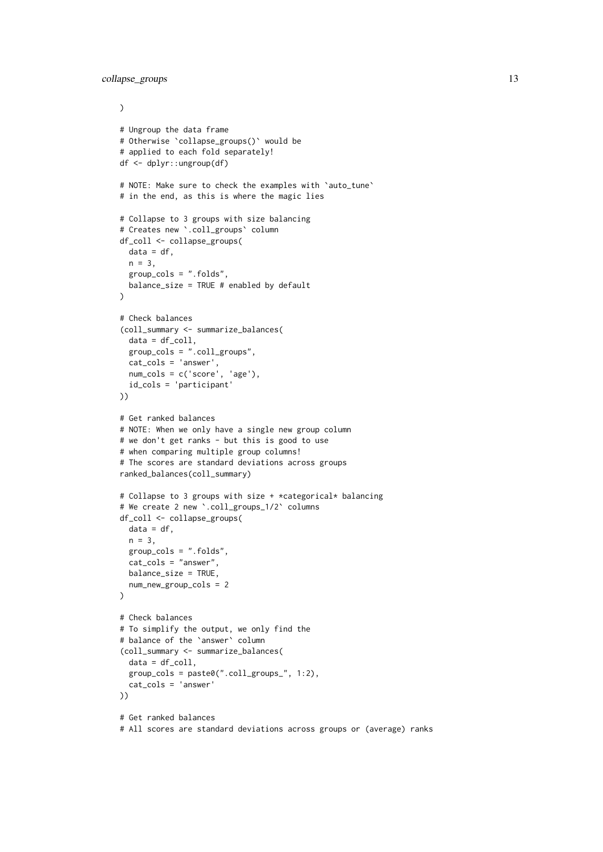```
\lambda# Ungroup the data frame
# Otherwise `collapse_groups()` would be
# applied to each fold separately!
df <- dplyr::ungroup(df)
# NOTE: Make sure to check the examples with `auto_tune`
# in the end, as this is where the magic lies
# Collapse to 3 groups with size balancing
# Creates new `.coll_groups` column
df_coll <- collapse_groups(
 data = df,
 n = 3.
 group_cols = ".folds",
 balance_size = TRUE # enabled by default
\Delta# Check balances
(coll_summary <- summarize_balances(
  data = df_{coll},
  group_cols = ".coll_groups",
  cat_cols = 'answer',
 num_cols = c('score', 'age'),
 id_cols = 'participant'
))
# Get ranked balances
# NOTE: When we only have a single new group column
# we don't get ranks - but this is good to use
# when comparing multiple group columns!
# The scores are standard deviations across groups
ranked_balances(coll_summary)
# Collapse to 3 groups with size + *categorical* balancing
# We create 2 new `.coll_groups_1/2` columns
df_coll <- collapse_groups(
 data = df.
 n = 3,
 group_cols = ".folds",
 cat_cols = "answer",
 balance_size = TRUE,
 num_new_group_cols = 2
)
# Check balances
# To simplify the output, we only find the
# balance of the `answer` column
(coll_summary <- summarize_balances(
 data = df_{coll},
 group_cols = paste0(".coll_groups_", 1:2),
 cat_cols = 'answer'
))
# Get ranked balances
# All scores are standard deviations across groups or (average) ranks
```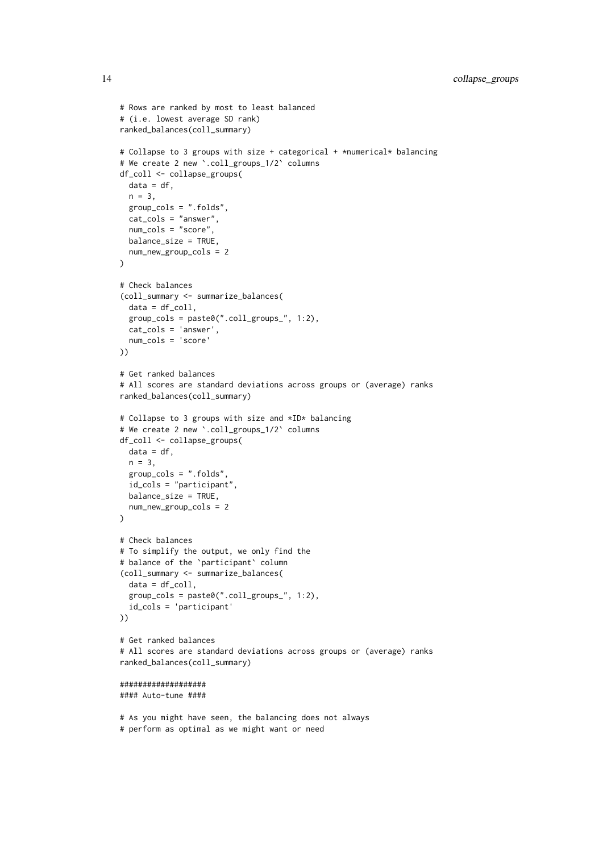```
# Rows are ranked by most to least balanced
# (i.e. lowest average SD rank)
ranked_balances(coll_summary)
# Collapse to 3 groups with size + categorical + *numerical* balancing
# We create 2 new `.coll_groups_1/2` columns
df_coll <- collapse_groups(
 data = df,
 n = 3.
 group cols = "folds".cat_cols = "answer",
  num_cols = "score",
 balance_size = TRUE,
 num_new_group_cols = 2
\lambda# Check balances
(coll_summary <- summarize_balances(
  data = df_{coll},
  group\_cols = paste0("coll\_groups", 1:2),cat_cols = 'answer',
  num_cols = 'score'
))
# Get ranked balances
# All scores are standard deviations across groups or (average) ranks
ranked_balances(coll_summary)
# Collapse to 3 groups with size and *ID* balancing
# We create 2 new `.coll_groups_1/2` columns
df_coll <- collapse_groups(
 data = df,
 n = 3,
  group_cols = ".folds",
  id_cols = "participant",
 balance_size = TRUE,
 num_new_group_cols = 2
)
# Check balances
# To simplify the output, we only find the
# balance of the `participant` column
(coll_summary <- summarize_balances(
  data = df_{coll},
  group_cols = paste0(".coll_groups_", 1:2),
  id_cols = 'participant'
))
# Get ranked balances
# All scores are standard deviations across groups or (average) ranks
ranked_balances(coll_summary)
###################
#### Auto-tune ####
# As you might have seen, the balancing does not always
```

```
# perform as optimal as we might want or need
```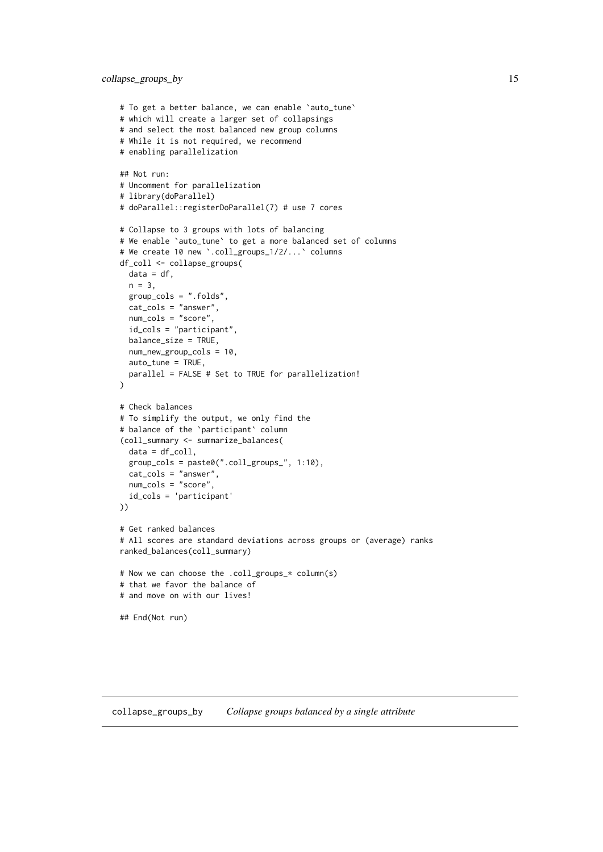#### <span id="page-14-0"></span>collapse\_groups\_by 15

```
# To get a better balance, we can enable 'auto_tune'
# which will create a larger set of collapsings
# and select the most balanced new group columns
# While it is not required, we recommend
# enabling parallelization
## Not run:
# Uncomment for parallelization
# library(doParallel)
# doParallel::registerDoParallel(7) # use 7 cores
# Collapse to 3 groups with lots of balancing
# We enable `auto_tune` to get a more balanced set of columns
# We create 10 new `.coll_groups_1/2/...` columns
df_coll <- collapse_groups(
 data = df,
 n = 3,
  group_cols = ".folds",
  cat_cols = "answer",
  num_cols = "score",
  id_cols = "participant",
 balance_size = TRUE,
  num_new_group_cols = 10,
  auto_tune = TRUE,
 parallel = FALSE # Set to TRUE for parallelization!
\Delta# Check balances
# To simplify the output, we only find the
# balance of the `participant` column
(coll_summary <- summarize_balances(
 data = df_{coll},
 group_cols = paste0(".coll_groups_", 1:10),
 cat_cols = "answer",
 num_cols = "score",
  id_cols = 'participant'
))
# Get ranked balances
# All scores are standard deviations across groups or (average) ranks
ranked_balances(coll_summary)
# Now we can choose the .coll_groups_* column(s)
# that we favor the balance of
# and move on with our lives!
## End(Not run)
```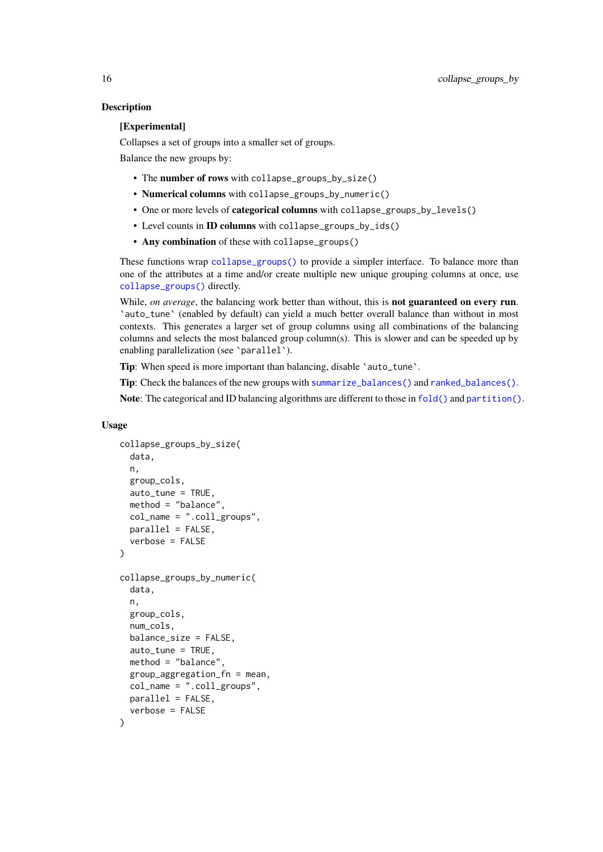### **Description**

## [Experimental]

Collapses a set of groups into a smaller set of groups.

Balance the new groups by:

- The number of rows with collapse\_groups\_by\_size()
- Numerical columns with collapse\_groups\_by\_numeric()
- One or more levels of **categorical columns** with collapse groups by levels()
- Level counts in ID columns with collapse\_groups\_by\_ids()
- Any combination of these with collapse\_groups()

These functions wrap [collapse\\_groups\(\)](#page-0-0) to provide a simpler interface. To balance more than one of the attributes at a time and/or create multiple new unique grouping columns at once, use [collapse\\_groups\(\)](#page-0-0) directly.

While, *on average*, the balancing work better than without, this is **not guaranteed on every run**. `auto\_tune` (enabled by default) can yield a much better overall balance than without in most contexts. This generates a larger set of group columns using all combinations of the balancing columns and selects the most balanced group column(s). This is slower and can be speeded up by enabling parallelization (see `parallel`).

Tip: When speed is more important than balancing, disable 'auto\_tune'.

Tip: Check the balances of the new groups with [summarize\\_balances\(\)](#page-0-0) and [ranked\\_balances\(\)](#page-0-0).

Note: The categorical and ID balancing algorithms are different to those in [fold\(\)](#page-0-0) and [partition\(\)](#page-0-0).

#### Usage

```
collapse_groups_by_size(
  data,
  n,
  group_cols,
  auto_tune = TRUE,
  method = "balance",
  col_name = ".coll_groups",
  parallel = FALSE,
  verbose = FALSE
\lambdacollapse_groups_by_numeric(
  data,
  n,
  group_cols,
  num_cols,
  balance_size = FALSE,
  auto_tune = TRUE,
  method = "balance",
  group_aggregation_fn = mean,
  col_name = "coll_grows",parallel = FALSE,
  verbose = FALSE
)
```
<span id="page-15-0"></span>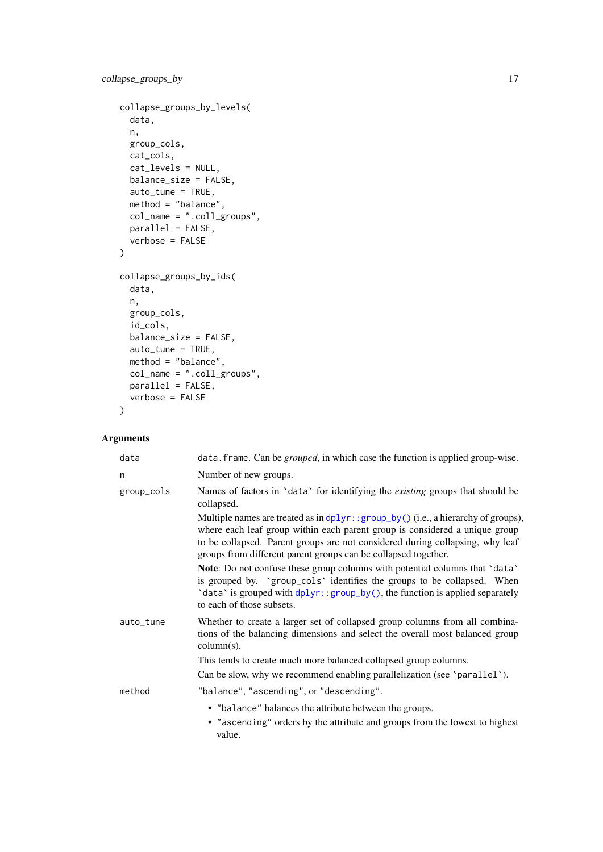```
collapse_groups_by_levels(
  data,
  n,
  group_cols,
  cat_cols,
  cat_levels = NULL,
  balance_size = FALSE,
  auto_tune = TRUE,
  method = "balance",
  col_name = ".coll_groups",
  parallel = FALSE,
  verbose = FALSE
\lambdacollapse_groups_by_ids(
  data,
  n,
  group_cols,
  id_cols,
  balance_size = FALSE,
  auto_tune = TRUE,
  method = "balance",
 col_name = ".coll_groups",
  parallel = FALSE,
  verbose = FALSE
)
```
## Arguments

| data       | data. frame. Can be <i>grouped</i> , in which case the function is applied group-wise.                                                                                                                                                                                                                                 |
|------------|------------------------------------------------------------------------------------------------------------------------------------------------------------------------------------------------------------------------------------------------------------------------------------------------------------------------|
| n          | Number of new groups.                                                                                                                                                                                                                                                                                                  |
| group_cols | Names of factors in 'data' for identifying the <i>existing</i> groups that should be<br>collapsed.                                                                                                                                                                                                                     |
|            | Multiple names are treated as in $dplyr$ : group_by() (i.e., a hierarchy of groups),<br>where each leaf group within each parent group is considered a unique group<br>to be collapsed. Parent groups are not considered during collapsing, why leaf<br>groups from different parent groups can be collapsed together. |
|            | Note: Do not confuse these group columns with potential columns that 'data'<br>is grouped by. 'group_cols' identifies the groups to be collapsed. When<br>'data' is grouped with dplyr:: group_by(), the function is applied separately<br>to each of those subsets.                                                   |
| auto_tune  | Whether to create a larger set of collapsed group columns from all combina-<br>tions of the balancing dimensions and select the overall most balanced group<br>$column(s)$ .                                                                                                                                           |
|            | This tends to create much more balanced collapsed group columns.                                                                                                                                                                                                                                                       |
|            | Can be slow, why we recommend enabling parallelization (see 'parallel').                                                                                                                                                                                                                                               |
| method     | "balance", "ascending", or "descending".                                                                                                                                                                                                                                                                               |
|            | • "balance" balances the attribute between the groups.<br>• "ascending" orders by the attribute and groups from the lowest to highest<br>value.                                                                                                                                                                        |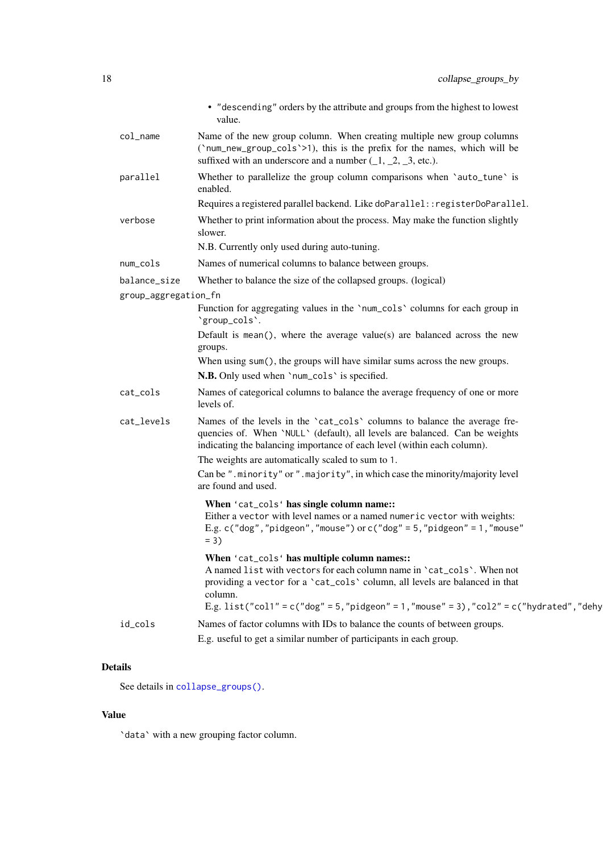<span id="page-17-0"></span>

|                      | • "descending" orders by the attribute and groups from the highest to lowest<br>value.                                                                                                                                                                                                                         |
|----------------------|----------------------------------------------------------------------------------------------------------------------------------------------------------------------------------------------------------------------------------------------------------------------------------------------------------------|
| col_name             | Name of the new group column. When creating multiple new group columns<br>('num_new_group_cols'>1), this is the prefix for the names, which will be<br>suffixed with an underscore and a number $(1, 2, 3, etc.).$                                                                                             |
| parallel             | Whether to parallelize the group column comparisons when 'auto_tune' is<br>enabled.                                                                                                                                                                                                                            |
|                      | Requires a registered parallel backend. Like doParallel:: registerDoParallel.                                                                                                                                                                                                                                  |
| verbose              | Whether to print information about the process. May make the function slightly<br>slower.                                                                                                                                                                                                                      |
|                      | N.B. Currently only used during auto-tuning.                                                                                                                                                                                                                                                                   |
| num_cols             | Names of numerical columns to balance between groups.                                                                                                                                                                                                                                                          |
| balance_size         | Whether to balance the size of the collapsed groups. (logical)                                                                                                                                                                                                                                                 |
| group_aggregation_fn |                                                                                                                                                                                                                                                                                                                |
|                      | Function for aggregating values in the 'num_cols' columns for each group in<br>'group_cols'.                                                                                                                                                                                                                   |
|                      | Default is mean(), where the average value(s) are balanced across the new<br>groups.                                                                                                                                                                                                                           |
|                      | When using sum(), the groups will have similar sums across the new groups.                                                                                                                                                                                                                                     |
|                      | N.B. Only used when 'num_cols' is specified.                                                                                                                                                                                                                                                                   |
| cat_cols             | Names of categorical columns to balance the average frequency of one or more<br>levels of.                                                                                                                                                                                                                     |
| cat_levels           | Names of the levels in the 'cat_cols' columns to balance the average fre-<br>quencies of. When 'NULL' (default), all levels are balanced. Can be weights<br>indicating the balancing importance of each level (within each column).<br>The weights are automatically scaled to sum to 1.                       |
|                      | Can be ".minority" or ".majority", in which case the minority/majority level<br>are found and used.                                                                                                                                                                                                            |
|                      | When 'cat_cols' has single column name::<br>Either a vector with level names or a named numeric vector with weights:<br>E.g. c("dog","pidgeon","mouse") or c("dog" = $5$ ,"pidgeon" = $1$ ,"mouse"<br>$= 3)$                                                                                                   |
|                      | When 'cat_cols' has multiple column names::<br>A named list with vectors for each column name in 'cat_cols'. When not<br>providing a vector for a 'cat_cols' column, all levels are balanced in that<br>column.<br>E.g. list("col1" = $c("dog" = 5,"$ pidgeon" = 1,"mouse" = 3),"col2" = $c("hydrated", "dehy$ |
| id_cols              | Names of factor columns with IDs to balance the counts of between groups.<br>E.g. useful to get a similar number of participants in each group.                                                                                                                                                                |
|                      |                                                                                                                                                                                                                                                                                                                |

## Details

See details in [collapse\\_groups\(\)](#page-0-0).

## Value

`data` with a new grouping factor column.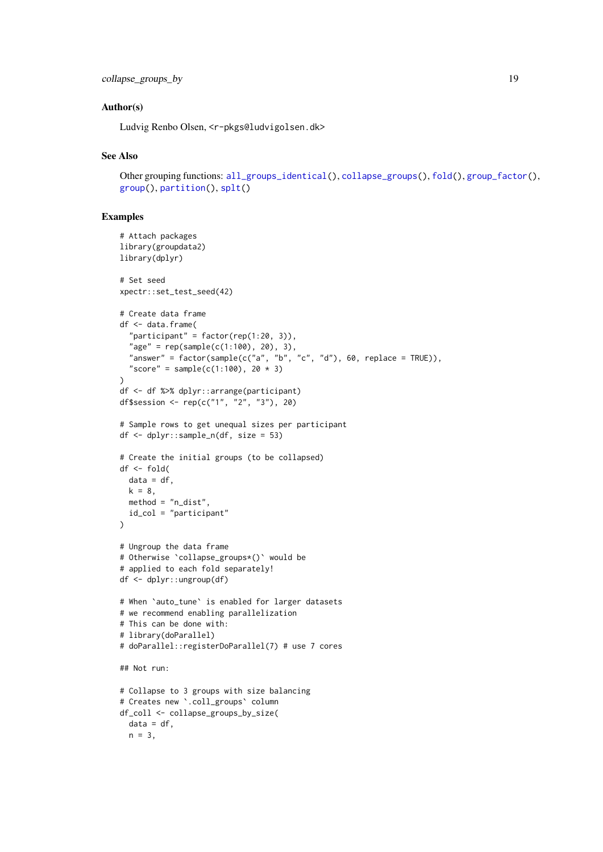#### <span id="page-18-0"></span>collapse\_groups\_by 19

#### Author(s)

Ludvig Renbo Olsen, <r-pkgs@ludvigolsen.dk>

#### See Also

Other grouping functions: [all\\_groups\\_identical\(](#page-1-1)), [collapse\\_groups\(](#page-5-1)), [fold\(](#page-28-1)), [group\\_factor\(](#page-39-1)), [group\(](#page-35-1)), [partition\(](#page-42-1)), [splt\(](#page-47-1))

```
# Attach packages
library(groupdata2)
library(dplyr)
# Set seed
xpectr::set_test_seed(42)
# Create data frame
df <- data.frame(
  "participant" = factor(rep(1:20, 3)),
  "age" = rep(sample(c(1:100), 20), 3),"answer" = factor(sample(c("a", "b", "c", "d"), 60, replace = TRUE)),
  "score" = sample(c(1:100), 20 * 3)\lambdadf <- df %>% dplyr::arrange(participant)
df$session <- rep(c("1", "2", "3"), 20)
# Sample rows to get unequal sizes per participant
df <- dplyr::sample_n(df, size = 53)
# Create the initial groups (to be collapsed)
df <- fold(
 data = df,
 k = 8,
 method = "n_dist",
 id_col = "participant"
)
# Ungroup the data frame
# Otherwise `collapse_groups*()` would be
# applied to each fold separately!
df <- dplyr::ungroup(df)
# When `auto_tune` is enabled for larger datasets
# we recommend enabling parallelization
# This can be done with:
# library(doParallel)
# doParallel::registerDoParallel(7) # use 7 cores
## Not run:
# Collapse to 3 groups with size balancing
# Creates new `.coll_groups` column
df_coll <- collapse_groups_by_size(
 data = df,
 n = 3,
```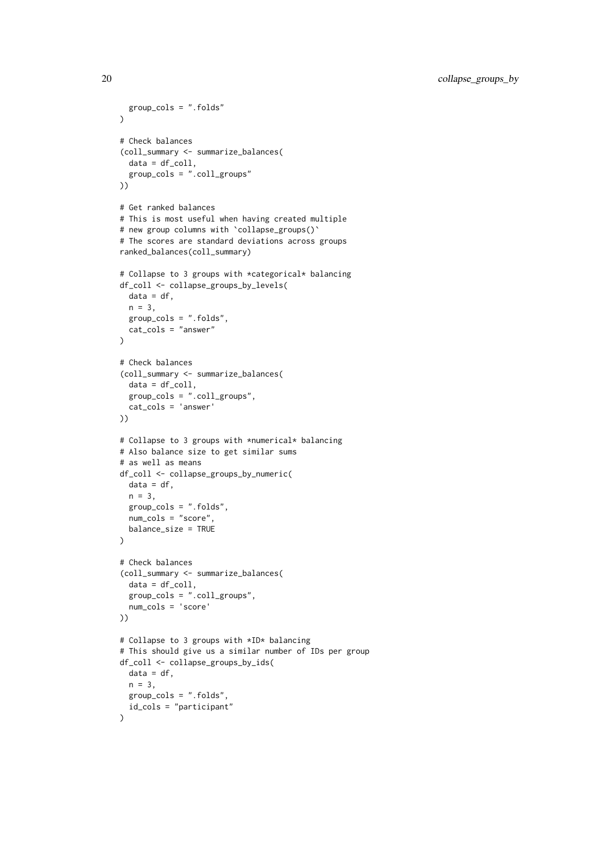```
group_cols = ".folds"
\lambda# Check balances
(coll_summary <- summarize_balances(
  data = df_{coll},
  group_cols = ".coll_groups"
\mathcal{L}# Get ranked balances
# This is most useful when having created multiple
# new group columns with `collapse_groups()`
# The scores are standard deviations across groups
ranked_balances(coll_summary)
# Collapse to 3 groups with *categorical* balancing
df_coll <- collapse_groups_by_levels(
 data = df.
 n = 3,
  group_cols = ".folds",
  cat_cols = "answer"
\lambda# Check balances
(coll_summary <- summarize_balances(
  data = df_{coll},
  group_cols = ".coll_groups",
 cat_cols = 'answer'
))
# Collapse to 3 groups with *numerical* balancing
# Also balance size to get similar sums
# as well as means
df_coll <- collapse_groups_by_numeric(
 data = df,
 n = 3,
 group_cols = ".folds",
  num_cols = "score",
 balance_size = TRUE
\lambda# Check balances
(coll_summary <- summarize_balances(
  data = df_{coll},
  group_cols = ".coll_groups",
  num_cols = 'score'
))
# Collapse to 3 groups with *ID* balancing
# This should give us a similar number of IDs per group
df_coll <- collapse_groups_by_ids(
  data = df.
 n = 3,
  group_cols = ".folds",
  id_cols = "participant"
)
```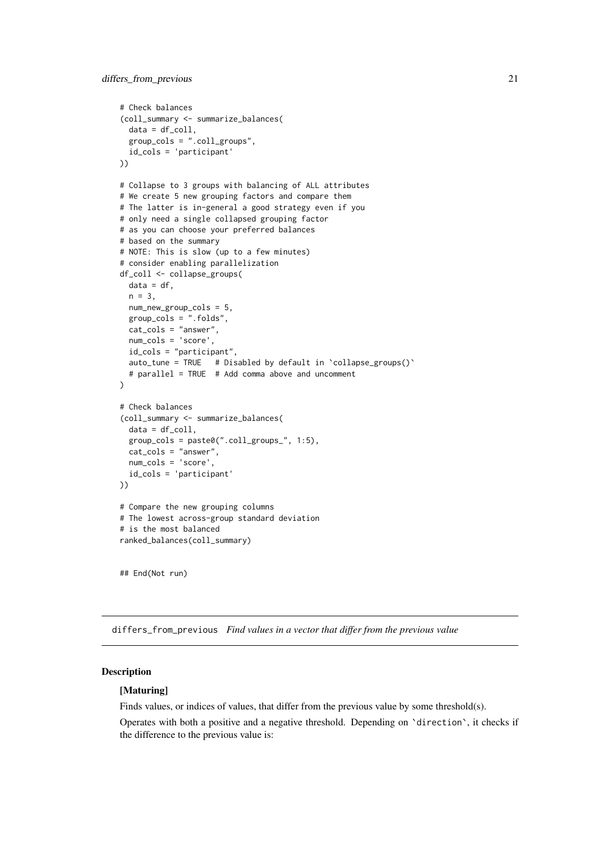```
# Check balances
(coll_summary <- summarize_balances(
  data = df_{coll},
  group_cols = ".coll_groups",
  id_cols = 'participant'
))
# Collapse to 3 groups with balancing of ALL attributes
# We create 5 new grouping factors and compare them
# The latter is in-general a good strategy even if you
# only need a single collapsed grouping factor
# as you can choose your preferred balances
# based on the summary
# NOTE: This is slow (up to a few minutes)
# consider enabling parallelization
df_coll <- collapse_groups(
 data = df,
  n = 3.
 num_new_group_cols = 5,
  group_cols = ".folds",
  cat_cols = "answer",
  num_cols = 'score',
  id_cols = "participant",
  auto_tune = TRUE # Disabled by default in \text{collapse\_groups}()# parallel = TRUE # Add comma above and uncomment
\lambda# Check balances
(coll_summary <- summarize_balances(
  data = df_{coll},
 group_cols = paste0(".coll_groups_", 1:5),
 cat_cols = "answer",
 num_cols = 'score',
  id_cols = 'participant'
))
# Compare the new grouping columns
# The lowest across-group standard deviation
# is the most balanced
ranked_balances(coll_summary)
```
## End(Not run)

<span id="page-20-1"></span>differs\_from\_previous *Find values in a vector that differ from the previous value*

#### Description

#### [Maturing]

Finds values, or indices of values, that differ from the previous value by some threshold(s).

Operates with both a positive and a negative threshold. Depending on `direction`, it checks if the difference to the previous value is: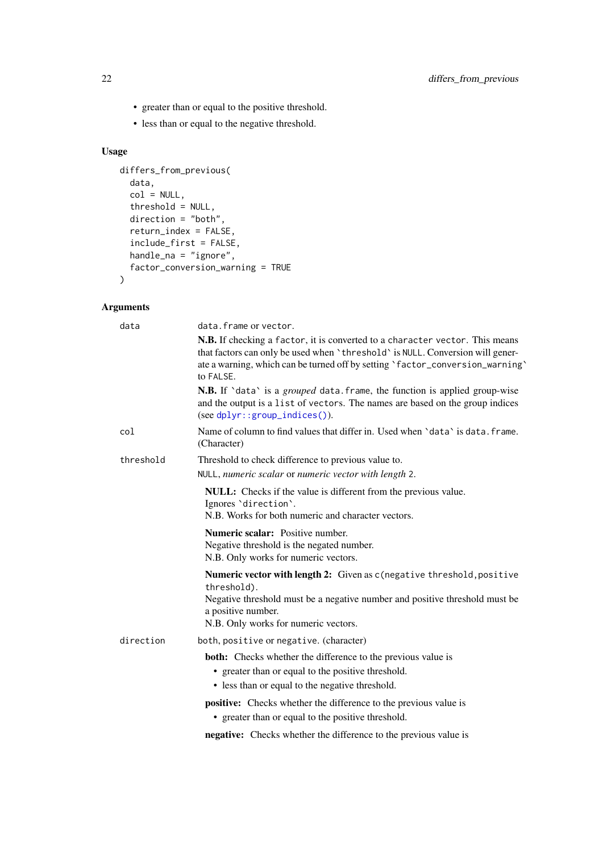- <span id="page-21-0"></span>• greater than or equal to the positive threshold.
- less than or equal to the negative threshold.

## Usage

```
differs_from_previous(
 data,
  col = NULL,threshold = NULL,
  direction = "both",
  return_index = FALSE,
  include_first = FALSE,
  handle_na = "ignore",
  factor_conversion_warning = TRUE
)
```
## Arguments

| data      | data.frame or vector.                                                                                                                                                                                                                                        |
|-----------|--------------------------------------------------------------------------------------------------------------------------------------------------------------------------------------------------------------------------------------------------------------|
|           | N.B. If checking a factor, it is converted to a character vector. This means<br>that factors can only be used when 'threshold' is NULL. Conversion will gener-<br>ate a warning, which can be turned off by setting 'factor_conversion_warning'<br>to FALSE. |
|           | N.B. If 'data' is a grouped data. frame, the function is applied group-wise<br>and the output is a list of vectors. The names are based on the group indices<br>$(see dplyr::group\_indices())$ .                                                            |
| col       | Name of column to find values that differ in. Used when 'data' is data. frame.<br>(Character)                                                                                                                                                                |
| threshold | Threshold to check difference to previous value to.                                                                                                                                                                                                          |
|           | NULL, numeric scalar or numeric vector with length 2.                                                                                                                                                                                                        |
|           | NULL: Checks if the value is different from the previous value.<br>Ignores 'direction'.<br>N.B. Works for both numeric and character vectors.                                                                                                                |
|           | Numeric scalar: Positive number.<br>Negative threshold is the negated number.<br>N.B. Only works for numeric vectors.                                                                                                                                        |
|           | Numeric vector with length 2: Given as c(negative threshold, positive<br>threshold).<br>Negative threshold must be a negative number and positive threshold must be<br>a positive number.<br>N.B. Only works for numeric vectors.                            |
| direction | both, positive or negative. (character)                                                                                                                                                                                                                      |
|           | <b>both:</b> Checks whether the difference to the previous value is<br>• greater than or equal to the positive threshold.<br>• less than or equal to the negative threshold.                                                                                 |
|           | <b>positive:</b> Checks whether the difference to the previous value is<br>• greater than or equal to the positive threshold.                                                                                                                                |
|           | <b>negative:</b> Checks whether the difference to the previous value is                                                                                                                                                                                      |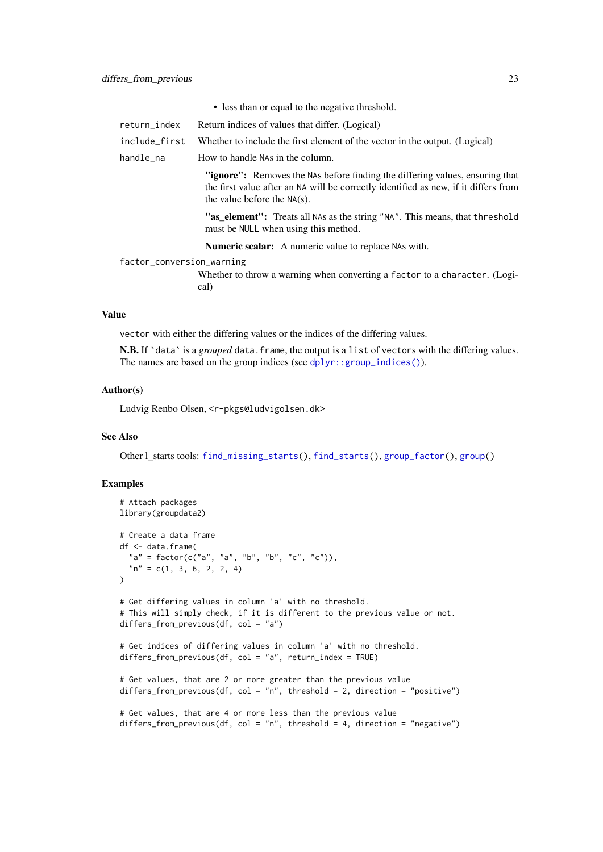| • less than or equal to the negative threshold. |  |
|-------------------------------------------------|--|
|-------------------------------------------------|--|

- <span id="page-22-0"></span>return\_index Return indices of values that differ. (Logical)
- include first Whether to include the first element of the vector in the output. (Logical)
- handle\_na How to handle NAs in the column.

"ignore": Removes the NAs before finding the differing values, ensuring that the first value after an NA will be correctly identified as new, if it differs from the value before the NA(s).

"as\_element": Treats all NAs as the string "NA". This means, that threshold must be NULL when using this method.

Numeric scalar: A numeric value to replace NAs with.

factor\_conversion\_warning

Whether to throw a warning when converting a factor to a character. (Logical)

#### Value

vector with either the differing values or the indices of the differing values.

N.B. If 'data' is a *grouped* data.frame, the output is a list of vectors with the differing values. The names are based on the group indices (see [dplyr::group\\_indices\(\)](#page-0-0)).

#### Author(s)

Ludvig Renbo Olsen, <r-pkgs@ludvigolsen.dk>

#### See Also

Other l\_starts tools: [find\\_missing\\_starts\(](#page-25-1)), [find\\_starts\(](#page-26-1)), [group\\_factor\(](#page-39-1)), [group\(](#page-35-1))

```
# Attach packages
library(groupdata2)
# Create a data frame
df <- data.frame(
  "a" = factor(c("a", "a", "b", "b", "c", "c")),
  n'' = c(1, 3, 6, 2, 2, 4)\lambda# Get differing values in column 'a' with no threshold.
# This will simply check, if it is different to the previous value or not.
differs_from_previous(df, col = "a")
# Get indices of differing values in column 'a' with no threshold.
differs_from_previous(df, col = "a", return_index = TRUE)
# Get values, that are 2 or more greater than the previous value
differs_from_previous(df, col = "n", threshold = 2, direction = "positive")
# Get values, that are 4 or more less than the previous value
differs_from_previous(df, col = "n", threshold = 4, direction = "negative")
```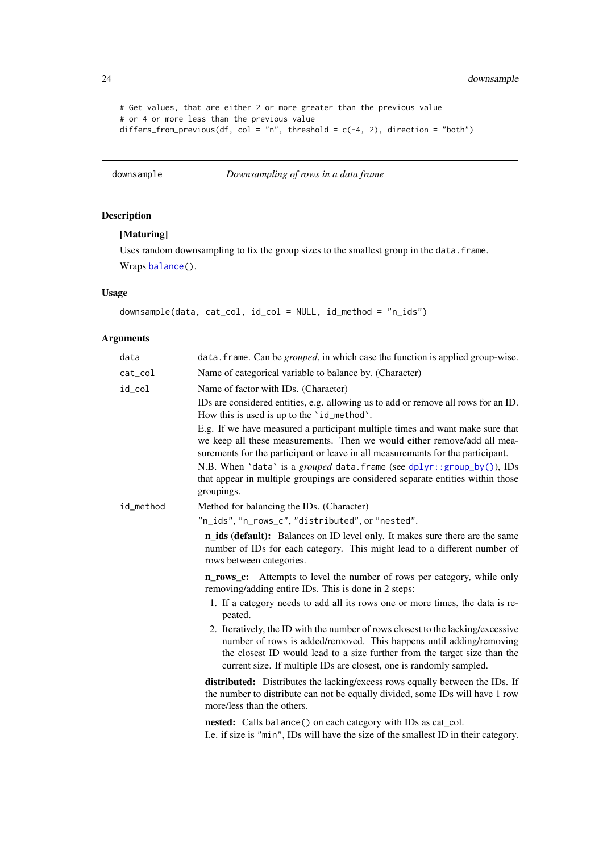<span id="page-23-0"></span>24 downsample

```
# Get values, that are either 2 or more greater than the previous value
# or 4 or more less than the previous value
differs_from_previous(df, col = "n", threshold = c(-4, 2), direction = "both")
```
<span id="page-23-1"></span>downsample *Downsampling of rows in a data frame*

## Description

## [Maturing]

Uses random downsampling to fix the group sizes to the smallest group in the data. frame. Wraps [balance\(](#page-2-1)).

## Usage

```
downsample(data, cat_col, id_col = NULL, id_method = "n_ids")
```
## Arguments

| data      | data. frame. Can be <i>grouped</i> , in which case the function is applied group-wise.                                                                                                                                                                                                                     |
|-----------|------------------------------------------------------------------------------------------------------------------------------------------------------------------------------------------------------------------------------------------------------------------------------------------------------------|
| cat_col   | Name of categorical variable to balance by. (Character)                                                                                                                                                                                                                                                    |
| id_col    | Name of factor with IDs. (Character)                                                                                                                                                                                                                                                                       |
|           | IDs are considered entities, e.g. allowing us to add or remove all rows for an ID.<br>How this is used is up to the 'id_method'.                                                                                                                                                                           |
|           | E.g. If we have measured a participant multiple times and want make sure that<br>we keep all these measurements. Then we would either remove/add all mea-<br>surements for the participant or leave in all measurements for the participant.                                                               |
|           | N.B. When 'data' is a grouped data. frame (see dplyr::group_by()), IDs<br>that appear in multiple groupings are considered separate entities within those<br>groupings.                                                                                                                                    |
| id_method | Method for balancing the IDs. (Character)                                                                                                                                                                                                                                                                  |
|           | "n_ids", "n_rows_c", "distributed", or "nested".                                                                                                                                                                                                                                                           |
|           | <b>n_ids (default):</b> Balances on ID level only. It makes sure there are the same<br>number of IDs for each category. This might lead to a different number of<br>rows between categories.                                                                                                               |
|           | <b>n_rows_c:</b> Attempts to level the number of rows per category, while only<br>removing/adding entire IDs. This is done in 2 steps:                                                                                                                                                                     |
|           | 1. If a category needs to add all its rows one or more times, the data is re-<br>peated.                                                                                                                                                                                                                   |
|           | 2. Iteratively, the ID with the number of rows closest to the lacking/excessive<br>number of rows is added/removed. This happens until adding/removing<br>the closest ID would lead to a size further from the target size than the<br>current size. If multiple IDs are closest, one is randomly sampled. |
|           | <b>distributed:</b> Distributes the lacking/excess rows equally between the IDs. If<br>the number to distribute can not be equally divided, some IDs will have 1 row<br>more/less than the others.                                                                                                         |
|           | nested: Calls balance() on each category with IDs as cat_col.<br>I.e. if size is "min", IDs will have the size of the smallest ID in their category.                                                                                                                                                       |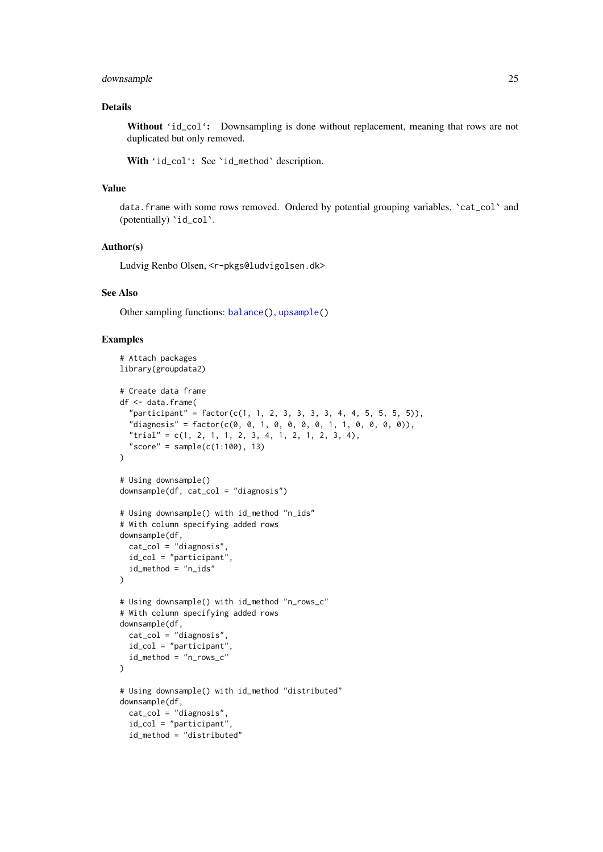#### <span id="page-24-0"></span>downsample 25

#### Details

Without 'id\_col': Downsampling is done without replacement, meaning that rows are not duplicated but only removed.

With 'id\_col': See 'id\_method' description.

#### Value

data.frame with some rows removed. Ordered by potential grouping variables, `cat\_col` and (potentially) 'id\_col'.

#### Author(s)

Ludvig Renbo Olsen, <r-pkgs@ludvigolsen.dk>

#### See Also

Other sampling functions: [balance\(](#page-2-1)), [upsample\(](#page-54-1))

```
# Attach packages
library(groupdata2)
# Create data frame
df <- data.frame(
  "participant" = factor(c(1, 1, 2, 3, 3, 3, 3, 4, 4, 5, 5, 5, 5)),"diagnost's" = factor(c(0, 0, 1, 0, 0, 0, 1, 1, 0, 0, 0, 0)),
  "trial" = c(1, 2, 1, 1, 2, 3, 4, 1, 2, 1, 2, 3, 4),
  "score" = sample(c(1:100), 13)
\lambda# Using downsample()
downsample(df, cat_col = "diagnosis")
# Using downsample() with id_method "n_ids"
# With column specifying added rows
downsample(df,
 cat_col = "diagnosis",
 id_col = "participant",
  id_method = "n_ids"
\lambda# Using downsample() with id_method "n_rows_c"
# With column specifying added rows
downsample(df,
 cat_col = "diagnosis",
  id_col = "participant",
 id_method = "n_rows_c"
\lambda# Using downsample() with id_method "distributed"
downsample(df,
  cat_col = "diagnosis",
  id_col = "participant",
  id_method = "distributed"
```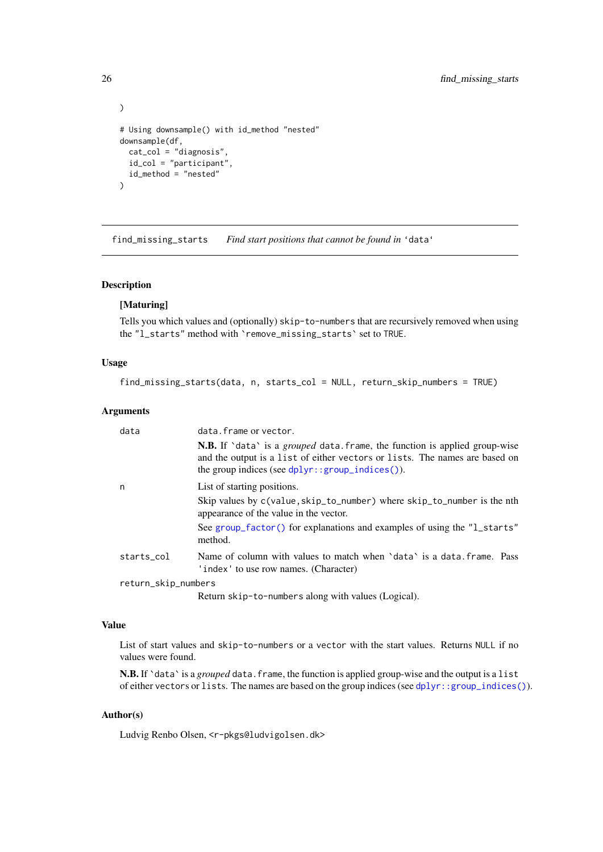```
\lambda# Using downsample() with id_method "nested"
downsample(df,
  cat_col = "diagnosis",
  id_col = "participant",
  id_method = "nested"
\lambda
```
<span id="page-25-1"></span>find\_missing\_starts *Find start positions that cannot be found in* 'data'

#### Description

## [Maturing]

Tells you which values and (optionally) skip-to-numbers that are recursively removed when using the "l\_starts" method with `remove\_missing\_starts` set to TRUE.

#### Usage

```
find_missing_starts(data, n, starts_col = NULL, return_skip_numbers = TRUE)
```
#### Arguments

| data       | data.frame or vector.                                                                                                                                                                                                           |  |  |
|------------|---------------------------------------------------------------------------------------------------------------------------------------------------------------------------------------------------------------------------------|--|--|
|            | <b>N.B.</b> If 'data' is a <i>grouped</i> data. frame, the function is applied group-wise<br>and the output is a list of either vectors or lists. The names are based on<br>the group indices (see $dplyr::group\_indices()$ ). |  |  |
| n          | List of starting positions.                                                                                                                                                                                                     |  |  |
|            | Skip values by c(value, skip_to_number) where skip_to_number is the nth<br>appearance of the value in the vector.                                                                                                               |  |  |
|            | See group factor() for explanations and examples of using the "1_starts"<br>method.                                                                                                                                             |  |  |
| starts col | Name of column with values to match when 'data' is a data. frame. Pass<br>'index' to use row names. (Character)                                                                                                                 |  |  |
|            | return_skip_numbers                                                                                                                                                                                                             |  |  |

Return skip-to-numbers along with values (Logical).

### Value

List of start values and skip-to-numbers or a vector with the start values. Returns NULL if no values were found.

N.B. If 'data' is a *grouped* data. frame, the function is applied group-wise and the output is a list of either vectors or lists. The names are based on the group indices (see [dplyr::group\\_indices\(\)](#page-0-0)).

### Author(s)

Ludvig Renbo Olsen, <r-pkgs@ludvigolsen.dk>

<span id="page-25-0"></span>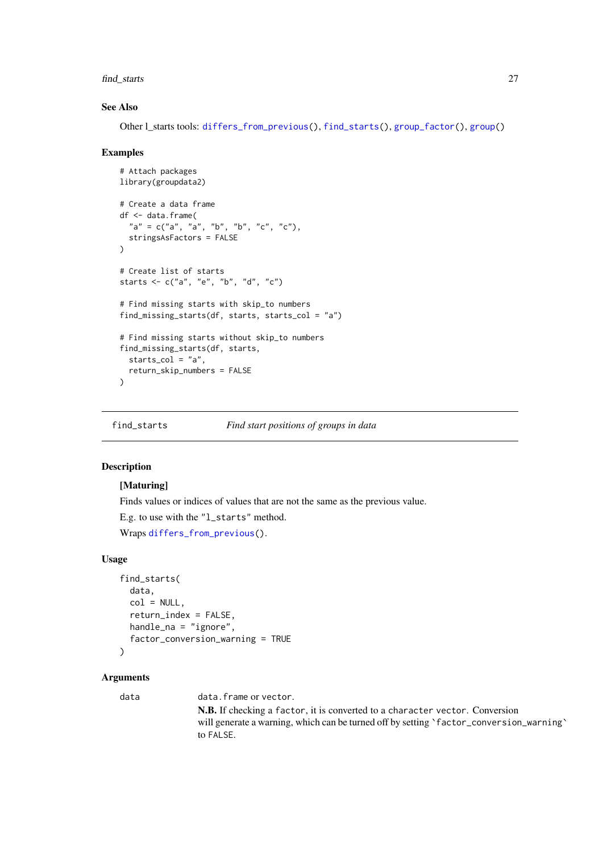#### <span id="page-26-0"></span>find\_starts 27

#### See Also

Other l\_starts tools: [differs\\_from\\_previous\(](#page-20-1)), [find\\_starts\(](#page-26-1)), [group\\_factor\(](#page-39-1)), [group\(](#page-35-1))

#### Examples

```
# Attach packages
library(groupdata2)
# Create a data frame
df <- data.frame(
  "a" = c("a", "a", "b", "b", "c", "c"),stringsAsFactors = FALSE
)
# Create list of starts
starts <- c("a", "e", "b", "d", "c")
# Find missing starts with skip_to numbers
find_missing_starts(df, starts, starts_col = "a")
# Find missing starts without skip_to numbers
find_missing_starts(df, starts,
  starts_col = "a",
  return_skip_numbers = FALSE
)
```
<span id="page-26-1"></span>

find\_starts *Find start positions of groups in data*

#### Description

#### [Maturing]

Finds values or indices of values that are not the same as the previous value.

E.g. to use with the "l\_starts" method.

Wraps [differs\\_from\\_previous\(](#page-20-1)).

#### Usage

```
find_starts(
  data,
  col = NULL,return_index = FALSE,
  handle_na = "ignore",factor_conversion_warning = TRUE
\lambda
```
#### Arguments

data data.frame or vector.

N.B. If checking a factor, it is converted to a character vector. Conversion will generate a warning, which can be turned off by setting 'factor\_conversion\_warning' to FALSE.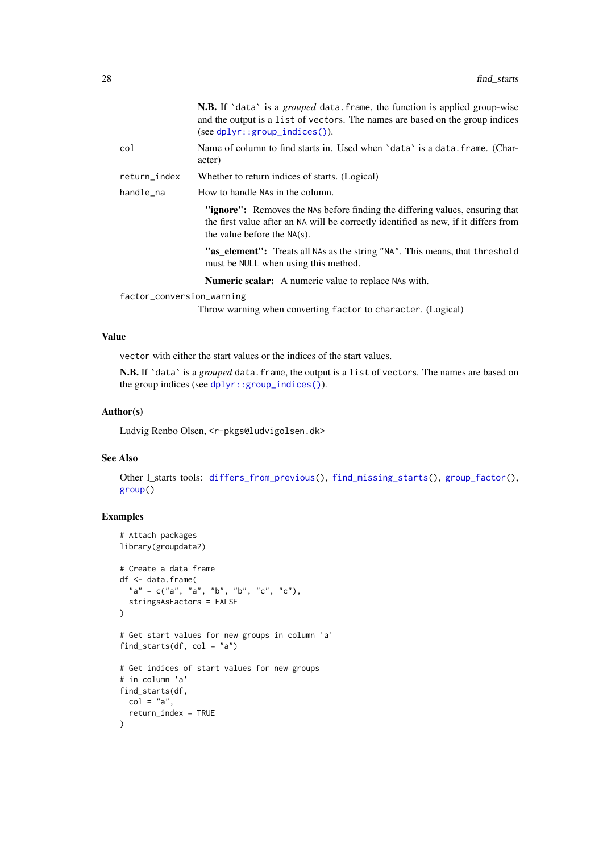<span id="page-27-0"></span>

|                           | <b>N.B.</b> If 'data' is a <i>grouped</i> data. frame, the function is applied group-wise<br>and the output is a list of vectors. The names are based on the group indices<br>$(see dplyr::group\_indices())$ . |
|---------------------------|-----------------------------------------------------------------------------------------------------------------------------------------------------------------------------------------------------------------|
| col                       | Name of column to find starts in. Used when 'data' is a data. frame. (Char-<br>acter)                                                                                                                           |
| return_index              | Whether to return indices of starts. (Logical)                                                                                                                                                                  |
| handle_na                 | How to handle NAs in the column.                                                                                                                                                                                |
|                           | "ignore": Removes the NAs before finding the differing values, ensuring that<br>the first value after an NA will be correctly identified as new, if it differs from<br>the value before the $NA(s)$ .           |
|                           | "as_element": Treats all NAs as the string "NA". This means, that threshold<br>must be NULL when using this method.                                                                                             |
|                           | <b>Numeric scalar:</b> A numeric value to replace NAs with.                                                                                                                                                     |
| factor_conversion_warning |                                                                                                                                                                                                                 |
|                           | Throw warning when converting factor to character. (Logical)                                                                                                                                                    |

#### Value

vector with either the start values or the indices of the start values.

N.B. If `data` is a *grouped* data.frame, the output is a list of vectors. The names are based on the group indices (see [dplyr::group\\_indices\(\)](#page-0-0)).

#### Author(s)

Ludvig Renbo Olsen, <r-pkgs@ludvigolsen.dk>

#### See Also

Other l\_starts tools: [differs\\_from\\_previous\(](#page-20-1)), [find\\_missing\\_starts\(](#page-25-1)), [group\\_factor\(](#page-39-1)), [group\(](#page-35-1))

```
# Attach packages
library(groupdata2)
# Create a data frame
df <- data.frame(
  "a" = c("a", "a", "b", "b", "c", "c"),stringsAsFactors = FALSE
)
# Get start values for new groups in column 'a'
find_starts(df, col = "a")
# Get indices of start values for new groups
# in column 'a'
find_starts(df,
 col = "a",return_index = TRUE
)
```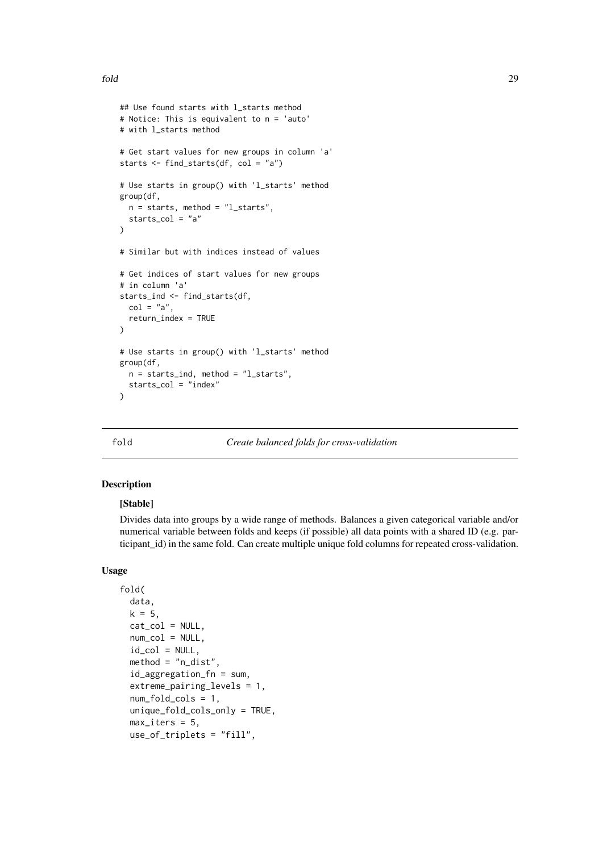```
## Use found starts with l_starts method
# Notice: This is equivalent to n = 'auto'
# with l_starts method
# Get start values for new groups in column 'a'
starts <- find_starts(df, col = "a")
# Use starts in group() with 'l_starts' method
group(df,
 n = starts, method = "l starts",
  starts_col = "a")
# Similar but with indices instead of values
# Get indices of start values for new groups
# in column 'a'
starts ind \leq find starts(df,
 col = "a".return_index = TRUE
\lambda# Use starts in group() with 'l_starts' method
group(df,
  n = starts\_ind, method = "l_starts",
  starts_col = "index"
\lambda
```
<span id="page-28-1"></span>

fold *Create balanced folds for cross-validation*

#### Description

## [Stable]

Divides data into groups by a wide range of methods. Balances a given categorical variable and/or numerical variable between folds and keeps (if possible) all data points with a shared ID (e.g. participant\_id) in the same fold. Can create multiple unique fold columns for repeated cross-validation.

#### Usage

```
fold(
  data,
  k = 5.
  cat\_col = NULL,num\_col = NULL,id\_col = NULL,
  method = "n_dist".id_aggregation_fn = sum,
  extreme_pairing_levels = 1,
  num_fold_cols = 1,
  unique_fold_cols_only = TRUE,
  max\_iters = 5,
  use_of_triplets = "fill",
```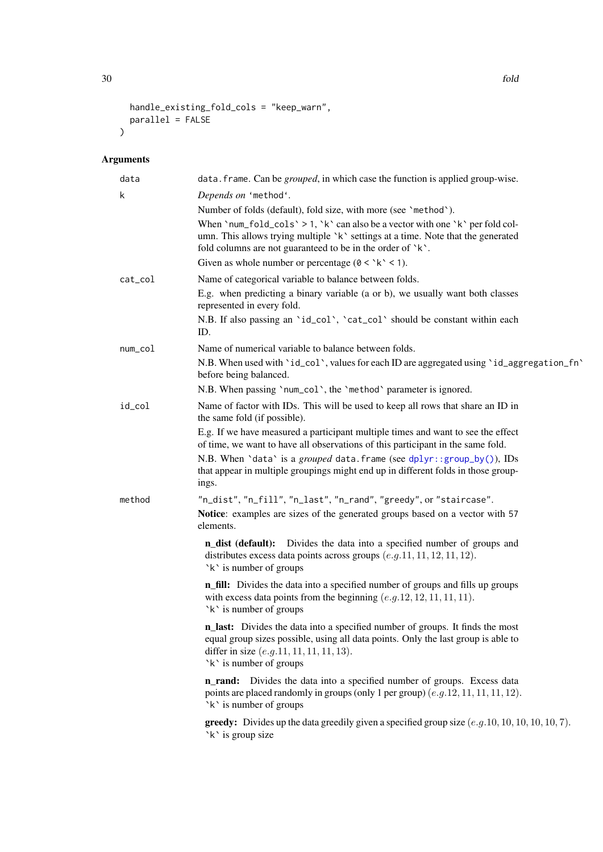```
handle_existing_fold_cols = "keep_warn",
  parallel = FALSE
\lambda
```
## Arguments

| data    | data. frame. Can be <i>grouped</i> , in which case the function is applied group-wise.                                                                                                                                                       |
|---------|----------------------------------------------------------------------------------------------------------------------------------------------------------------------------------------------------------------------------------------------|
| k       | Depends on 'method'.                                                                                                                                                                                                                         |
|         | Number of folds (default), fold size, with more (see 'method').                                                                                                                                                                              |
|         | When 'num_fold_cols' > 1, 'k' can also be a vector with one 'k' per fold col-<br>umn. This allows trying multiple `k` settings at a time. Note that the generated<br>fold columns are not guaranteed to be in the order of $\kappa$ .        |
|         | Given as whole number or percentage ( $0 < 'k' < 1$ ).                                                                                                                                                                                       |
| cat_col | Name of categorical variable to balance between folds.                                                                                                                                                                                       |
|         | E.g. when predicting a binary variable (a or b), we usually want both classes<br>represented in every fold.                                                                                                                                  |
|         | N.B. If also passing an 'id_col', 'cat_col' should be constant within each<br>ID.                                                                                                                                                            |
| num_col | Name of numerical variable to balance between folds.                                                                                                                                                                                         |
|         | N.B. When used with 'id_col', values for each ID are aggregated using 'id_aggregation_fn'<br>before being balanced.                                                                                                                          |
|         | N.B. When passing 'num_col', the 'method' parameter is ignored.                                                                                                                                                                              |
| id_col  | Name of factor with IDs. This will be used to keep all rows that share an ID in<br>the same fold (if possible).                                                                                                                              |
|         | E.g. If we have measured a participant multiple times and want to see the effect<br>of time, we want to have all observations of this participant in the same fold.                                                                          |
|         | N.B. When 'data' is a grouped data. frame (see dplyr::group_by()), IDs<br>that appear in multiple groupings might end up in different folds in those group-<br>ings.                                                                         |
| method  | "n_dist", "n_fill", "n_last", "n_rand", "greedy", or "staircase".                                                                                                                                                                            |
|         | Notice: examples are sizes of the generated groups based on a vector with 57<br>elements.                                                                                                                                                    |
|         | n_dist (default): Divides the data into a specified number of groups and<br>distributes excess data points across groups $(e.g. 11, 11, 12, 11, 12)$ .<br>`k` is number of groups                                                            |
|         | <b>n_fill:</b> Divides the data into a specified number of groups and fills up groups<br>with excess data points from the beginning $(e.g. 12, 12, 11, 11, 11)$ .<br>`k` is number of groups                                                 |
|         | n_last: Divides the data into a specified number of groups. It finds the most<br>equal group sizes possible, using all data points. Only the last group is able to<br>differ in size $(e.g.11, 11, 11, 11, 13)$ .<br>`k` is number of groups |
|         | n_rand: Divides the data into a specified number of groups. Excess data<br>points are placed randomly in groups (only 1 per group) $(e.g. 12, 11, 11, 11, 12)$ .<br>`k` is number of groups                                                  |
|         | <b>greedy:</b> Divides up the data greedily given a specified group size $(e.g. 10, 10, 10, 10, 10, 7)$ .<br>`k` is group size                                                                                                               |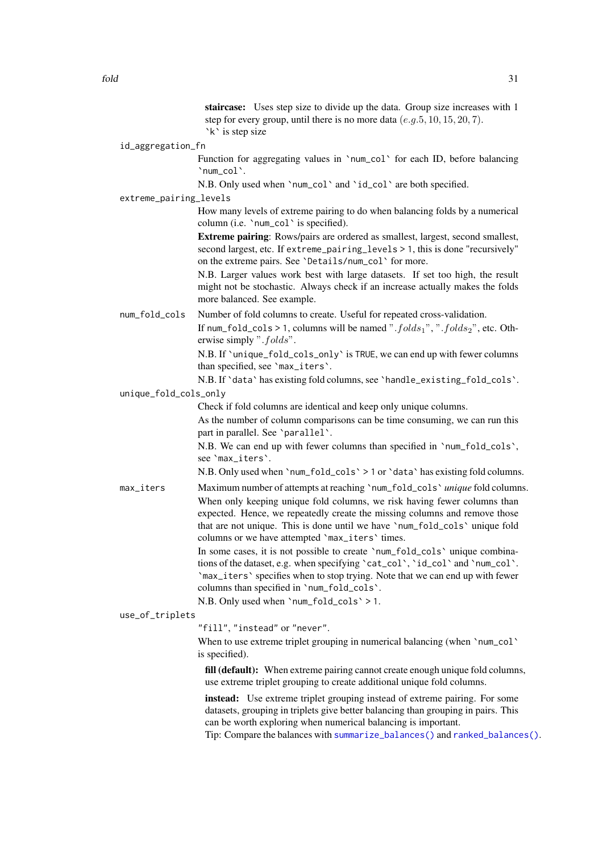staircase: Uses step size to divide up the data. Group size increases with 1 step for every group, until there is no more data  $(e.a.5, 10, 15, 20, 7)$ . `k` is step size

<span id="page-30-0"></span>id\_aggregation\_fn

Function for aggregating values in 'num\_col' for each ID, before balancing `num\_col`.

N.B. Only used when `num\_col` and `id\_col` are both specified.

extreme\_pairing\_levels

How many levels of extreme pairing to do when balancing folds by a numerical column (i.e. `num\_col` is specified).

Extreme pairing: Rows/pairs are ordered as smallest, largest, second smallest, second largest, etc. If extreme\_pairing\_levels > 1, this is done "recursively" on the extreme pairs. See `Details/num\_col` for more.

N.B. Larger values work best with large datasets. If set too high, the result might not be stochastic. Always check if an increase actually makes the folds more balanced. See example.

num\_fold\_cols Number of fold columns to create. Useful for repeated cross-validation.

If num\_fold\_cols > 1, columns will be named ".  $folds_1$ ", ".  $folds_2$ ", etc. Otherwise simply ".folds".

N.B. If `unique\_fold\_cols\_only` is TRUE, we can end up with fewer columns than specified, see `max\_iters`.

N.B. If `data` has existing fold columns, see `handle\_existing\_fold\_cols`.

#### unique\_fold\_cols\_only

Check if fold columns are identical and keep only unique columns.

As the number of column comparisons can be time consuming, we can run this part in parallel. See `parallel`.

N.B. We can end up with fewer columns than specified in `num\_fold\_cols`, see `max\_iters`.

N.B. Only used when `num\_fold\_cols` > 1 or `data` has existing fold columns.

max\_iters Maximum number of attempts at reaching `num\_fold\_cols` *unique* fold columns. When only keeping unique fold columns, we risk having fewer columns than expected. Hence, we repeatedly create the missing columns and remove those that are not unique. This is done until we have `num\_fold\_cols` unique fold columns or we have attempted `max\_iters` times.

> In some cases, it is not possible to create `num\_fold\_cols` unique combinations of the dataset, e.g. when specifying `cat\_col`, `id\_col` and `num\_col`. `max\_iters` specifies when to stop trying. Note that we can end up with fewer columns than specified in `num\_fold\_cols`.

N.B. Only used when `num\_fold\_cols` > 1.

use\_of\_triplets

"fill", "instead" or "never".

When to use extreme triplet grouping in numerical balancing (when 'num\_col' is specified).

fill (default): When extreme pairing cannot create enough unique fold columns, use extreme triplet grouping to create additional unique fold columns.

instead: Use extreme triplet grouping instead of extreme pairing. For some datasets, grouping in triplets give better balancing than grouping in pairs. This can be worth exploring when numerical balancing is important.

Tip: Compare the balances with [summarize\\_balances\(\)](#page-0-0) and [ranked\\_balances\(\)](#page-0-0).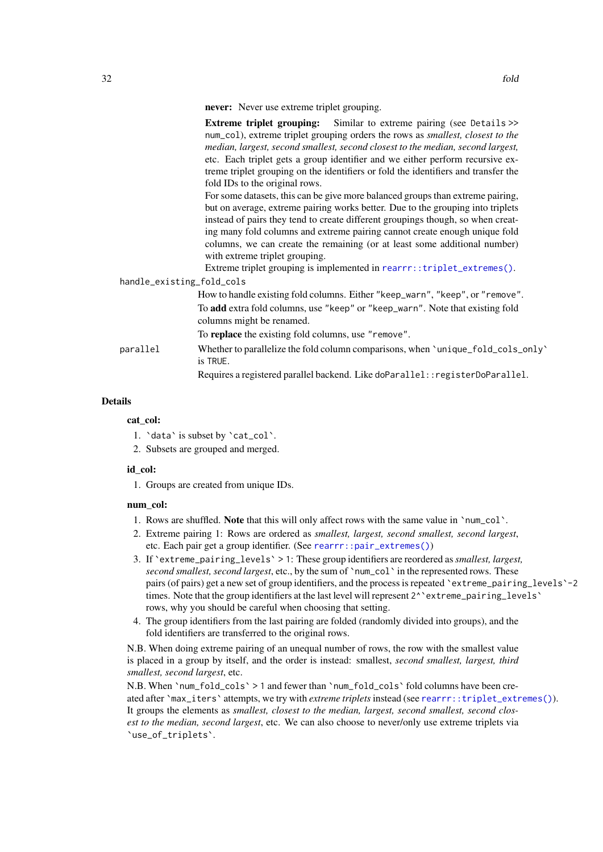<span id="page-31-0"></span>never: Never use extreme triplet grouping.

Extreme triplet grouping: Similar to extreme pairing (see Details >> num\_col), extreme triplet grouping orders the rows as *smallest, closest to the median, largest, second smallest, second closest to the median, second largest,* etc. Each triplet gets a group identifier and we either perform recursive extreme triplet grouping on the identifiers or fold the identifiers and transfer the fold IDs to the original rows.

For some datasets, this can be give more balanced groups than extreme pairing, but on average, extreme pairing works better. Due to the grouping into triplets instead of pairs they tend to create different groupings though, so when creating many fold columns and extreme pairing cannot create enough unique fold columns, we can create the remaining (or at least some additional number) with extreme triplet grouping.

Extreme triplet grouping is implemented in [rearrr::triplet\\_extremes\(\)](#page-0-0). handle\_existing\_fold\_cols

## How to handle existing fold columns. Either "keep\_warn", "keep", or "remove". To add extra fold columns, use "keep" or "keep\_warn". Note that existing fold columns might be renamed. To replace the existing fold columns, use "remove". parallel Whether to parallelize the fold column comparisons, when `unique\_fold\_cols\_only` is TRUE. Requires a registered parallel backend. Like doParallel::registerDoParallel.

#### Details

cat col:

- 1. `data` is subset by `cat\_col`.
- 2. Subsets are grouped and merged.

## id\_col:

1. Groups are created from unique IDs.

#### num\_col:

- 1. Rows are shuffled. Note that this will only affect rows with the same value in `num\_col`.
- 2. Extreme pairing 1: Rows are ordered as *smallest, largest, second smallest, second largest*, etc. Each pair get a group identifier. (See [rearrr::pair\\_extremes\(\)](#page-0-0))
- 3. If `extreme\_pairing\_levels` > 1: These group identifiers are reordered as*smallest, largest, second smallest, second largest*, etc., by the sum of `num\_col` in the represented rows. These pairs (of pairs) get a new set of group identifiers, and the process is repeated `extreme\_pairing\_levels`-2 times. Note that the group identifiers at the last level will represent  $2^{\wedge}$  extreme\_pairing\_levels  $\wedge$ rows, why you should be careful when choosing that setting.
- 4. The group identifiers from the last pairing are folded (randomly divided into groups), and the fold identifiers are transferred to the original rows.

N.B. When doing extreme pairing of an unequal number of rows, the row with the smallest value is placed in a group by itself, and the order is instead: smallest, *second smallest, largest, third smallest, second largest*, etc.

N.B. When `num\_fold\_cols` > 1 and fewer than `num\_fold\_cols` fold columns have been created after `max\_iters` attempts, we try with *extreme triplets*instead (see [rearrr::triplet\\_extremes\(\)](#page-0-0)). It groups the elements as *smallest, closest to the median, largest, second smallest, second closest to the median, second largest*, etc. We can also choose to never/only use extreme triplets via `use\_of\_triplets`.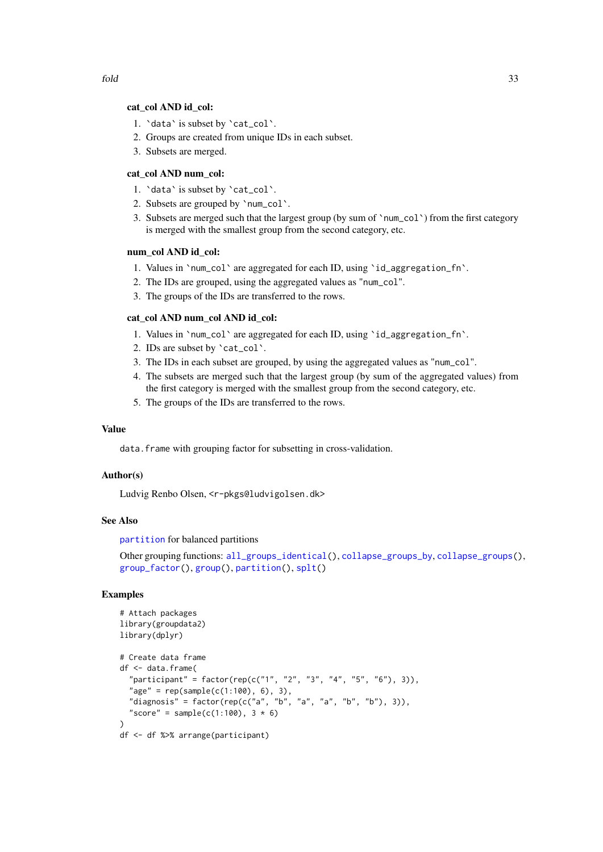- <span id="page-32-0"></span>1. `data` is subset by `cat\_col`.
- 2. Groups are created from unique IDs in each subset.
- 3. Subsets are merged.

#### cat\_col AND num\_col:

- 1. `data` is subset by `cat\_col`.
- 2. Subsets are grouped by `num\_col`.
- 3. Subsets are merged such that the largest group (by sum of `num\_col`) from the first category is merged with the smallest group from the second category, etc.

#### num\_col AND id\_col:

- 1. Values in `num\_col` are aggregated for each ID, using `id\_aggregation\_fn`.
- 2. The IDs are grouped, using the aggregated values as "num\_col".
- 3. The groups of the IDs are transferred to the rows.

#### cat\_col AND num\_col AND id\_col:

- 1. Values in `num\_col` are aggregated for each ID, using `id\_aggregation\_fn`.
- 2. IDs are subset by `cat\_col`.
- 3. The IDs in each subset are grouped, by using the aggregated values as "num\_col".
- 4. The subsets are merged such that the largest group (by sum of the aggregated values) from the first category is merged with the smallest group from the second category, etc.
- 5. The groups of the IDs are transferred to the rows.

#### Value

data.frame with grouping factor for subsetting in cross-validation.

#### Author(s)

Ludvig Renbo Olsen, <r-pkgs@ludvigolsen.dk>

#### See Also

[partition](#page-42-1) for balanced partitions

```
Other grouping functions: all_groups_identical(), collapse_groups_by, collapse_groups(),
group_factor(), group(), partition(), splt()
```

```
# Attach packages
library(groupdata2)
library(dplyr)
# Create data frame
df <- data.frame(
  "participant" = factor(rep(c("1", "2", "3", "4", "5", "6"), 3)),
  "age" = rep(sample(c(1:100), 6), 3),"diagnosis" = factor(rep(c("a", "b", "a", "a", "b", "b"), 3)),
  "score" = sample(c(1:100), 3 * 6)
\lambdadf <- df %>% arrange(participant)
```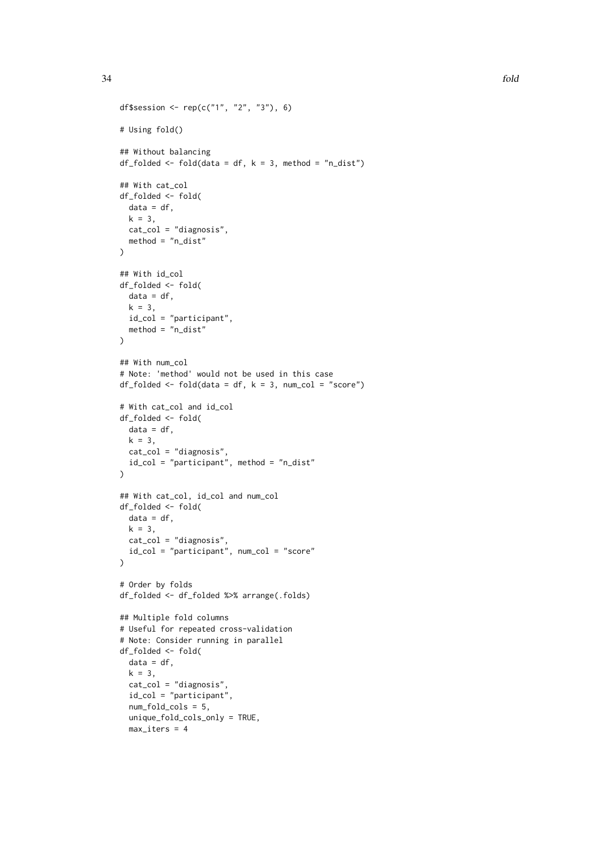```
df$session <- rep(c("1", "2", "3"), 6)
# Using fold()
## Without balancing
df_folded <- fold(data = df, k = 3, method = "n_dist")## With cat_col
df_folded <- fold(
 data = df.
 k = 3,
 cat_col = "diagnosis",
 method = "n_dist"
)
## With id_col
df_folded <- fold(
 data = df.
 k = 3,
 id_col = "participant",
  method = "n_dist")
## With num_col
# Note: 'method' would not be used in this case
df_folded <- fold(data = df, k = 3, num_col = "score")# With cat_col and id_col
df_folded <- fold(
 data = df,
 k = 3.
 cat_col = "diagnosis",
 id_col = "participant", method = "n_dist"
)
## With cat_col, id_col and num_col
df_folded <- fold(
 data = df,
 k = 3.
 cat_col = "diagnosis",
 id_col = "participant", num_col = "score"
\lambda# Order by folds
df_folded <- df_folded %>% arrange(.folds)
## Multiple fold columns
# Useful for repeated cross-validation
# Note: Consider running in parallel
df_folded <- fold(
 data = df,k = 3.
  cat_col = "diagnosis",
  id_col = "participant",
  num_fold_cols = 5,
  unique_fold_cols_only = TRUE,
 max\_iters = 4
```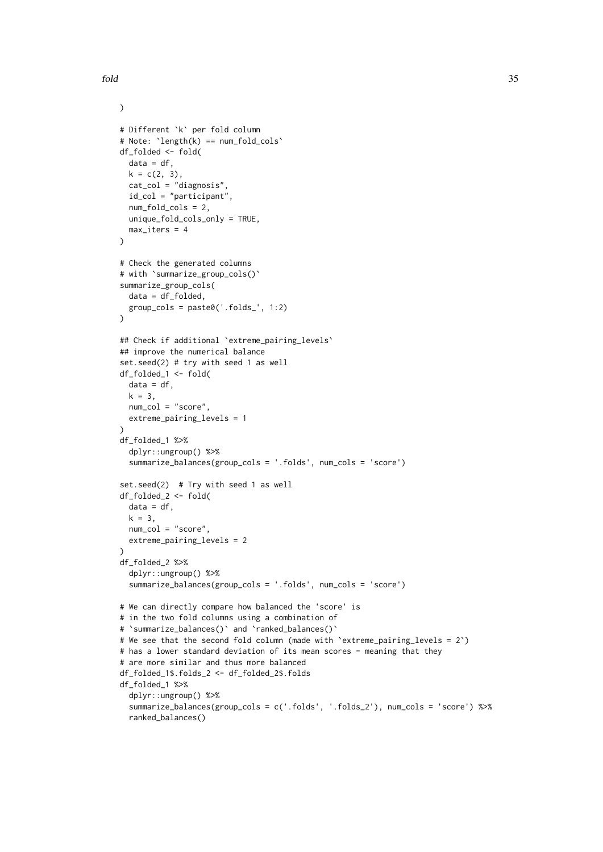)

```
# Different `k` per fold column
# Note: `length(k) == num_fold_cols`
df_folded <- fold(
 data = df,
 k = c(2, 3),
 cat_col = "diagnosis",
  id_col = "participant",
  num fold cols = 2.
 unique_fold_cols_only = TRUE,
 max\_iters = 4)
# Check the generated columns
# with `summarize_group_cols()`
summarize_group_cols(
 data = df_folded,
 group\_cols = paste@('folds', 1:2)\lambda## Check if additional `extreme_pairing_levels`
## improve the numerical balance
set.seed(2) # try with seed 1 as well
df_folded_1 <- fold(
 data = df,
 k = 3,
 num_col = "score",
  extreme_pairing_levels = 1
\lambdadf_folded_1 %>%
  dplyr::ungroup() %>%
  summarize_balances(group_cols = '.folds', num_cols = 'score')
set.seed(2) # Try with seed 1 as well
df_folded_2 <- fold(
 data = df,
 k = 3,
 num_col = "score",
 extreme_pairing_levels = 2
)
df_folded_2 %>%
  dplyr::ungroup() %>%
  summarize_balances(group_cols = '.folds', num_cols = 'score')
# We can directly compare how balanced the 'score' is
# in the two fold columns using a combination of
# `summarize_balances()` and `ranked_balances()`
# We see that the second fold column (made with `extreme_pairing_levels = 2`)
# has a lower standard deviation of its mean scores - meaning that they
# are more similar and thus more balanced
df_folded_1$.folds_2 <- df_folded_2$.folds
df_folded_1 %>%
  dplyr::ungroup() %>%
  summarize_balances(group_cols = c('.folds', '.folds_2'), num_cols = 'score') %>%
  ranked_balances()
```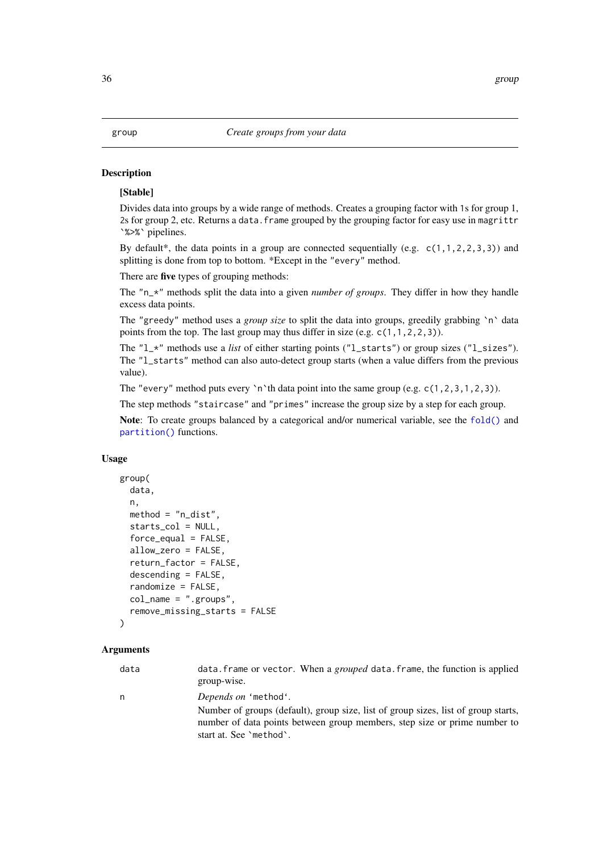#### <span id="page-35-1"></span><span id="page-35-0"></span>Description

#### [Stable]

Divides data into groups by a wide range of methods. Creates a grouping factor with 1s for group 1, 2s for group 2, etc. Returns a data.frame grouped by the grouping factor for easy use in magrittr `%>%` pipelines.

By default\*, the data points in a group are connected sequentially (e.g.  $c(1,1,2,2,3,3)$ ) and splitting is done from top to bottom. \*Except in the "every" method.

There are five types of grouping methods:

The "n\_\*" methods split the data into a given *number of groups*. They differ in how they handle excess data points.

The "greedy" method uses a *group size* to split the data into groups, greedily grabbing `n` data points from the top. The last group may thus differ in size (e.g.  $c(1,1,2,2,3)$ ).

The " $l$ <sub>x</sub>" methods use a *list* of either starting points (" $l$ <sub>starts"</sub>) or group sizes (" $l$ <sub>sizes</sub>"). The "l\_starts" method can also auto-detect group starts (when a value differs from the previous value).

The "every" method puts every 'n'th data point into the same group (e.g.  $c(1,2,3,1,2,3)$ ).

The step methods "staircase" and "primes" increase the group size by a step for each group.

Note: To create groups balanced by a categorical and/or numerical variable, see the [fold\(\)](#page-0-0) and [partition\(\)](#page-0-0) functions.

#### Usage

```
group(
  data,
  n,
  method = "n_dist",
  starts_col = NULL,
  force<sub>equal</sub> = FALSE,
  allow_zero = FALSE,
  return_factor = FALSE,
  descending = FALSE,
  randomize = FALSE,
  col_name = "groups",remove_missing_starts = FALSE
)
```
#### Arguments

| data | data. frame or vector. When a grouped data. frame, the function is applied<br>group-wise.                                                                                                  |
|------|--------------------------------------------------------------------------------------------------------------------------------------------------------------------------------------------|
| n.   | Depends on 'method'.                                                                                                                                                                       |
|      | Number of groups (default), group size, list of group sizes, list of group starts,<br>number of data points between group members, step size or prime number to<br>start at. See 'method'. |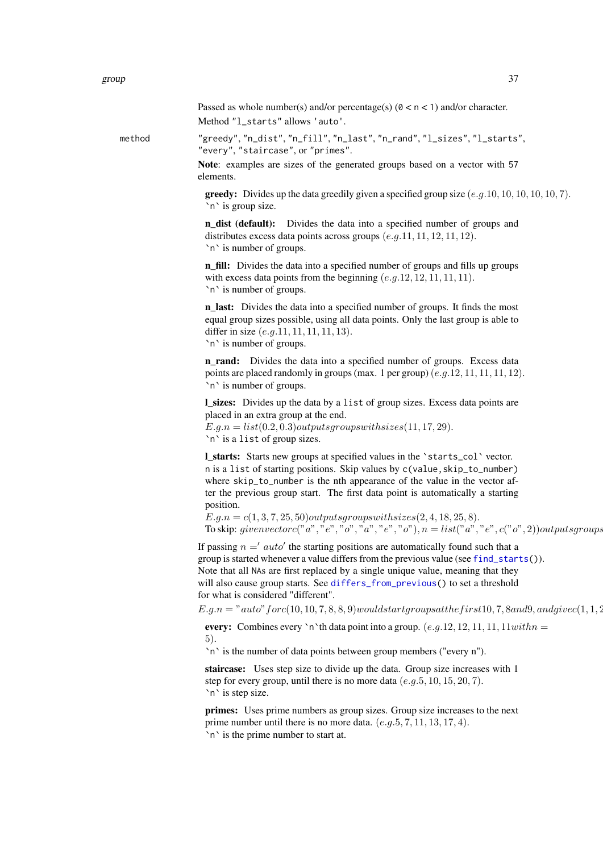Passed as whole number(s) and/or percentage(s) ( $0 \lt n \lt 1$ ) and/or character. Method "l\_starts" allows 'auto'.

<span id="page-36-0"></span>method "greedy", "n\_dist", "n\_fill", "n\_last", "n\_rand", "l\_sizes", "l\_starts", "every", "staircase", or "primes".

> Note: examples are sizes of the generated groups based on a vector with 57 elements.

**greedy:** Divides up the data greedily given a specified group size  $(e.g.10, 10, 10, 10, 10, 7)$ . `n` is group size.

**n** dist (default): Divides the data into a specified number of groups and distributes excess data points across groups  $(e,q,11,11,12,11,12)$ . `n` is number of groups.

n fill: Divides the data into a specified number of groups and fills up groups with excess data points from the beginning  $(e.g. 12, 12, 11, 11, 11)$ . `n` is number of groups.

n last: Divides the data into a specified number of groups. It finds the most equal group sizes possible, using all data points. Only the last group is able to differ in size  $(e.g.11, 11, 11, 11, 13)$ . `n` is number of groups.

**n** rand: Divides the data into a specified number of groups. Excess data points are placed randomly in groups (max. 1 per group)  $(e.g.12, 11, 11, 11, 12)$ . `n` is number of groups.

l\_sizes: Divides up the data by a list of group sizes. Excess data points are placed in an extra group at the end.  $E.g.n = list(0.2, 0.3) outputs group switches(11, 17, 29).$ `n` is a list of group sizes.

l\_starts: Starts new groups at specified values in the `starts\_col` vector. n is a list of starting positions. Skip values by c(value,skip\_to\_number) where skip\_to\_number is the nth appearance of the value in the vector after the previous group start. The first data point is automatically a starting position.

 $E.q.n = c(1, 3, 7, 25, 50) outputsgrows with sizes (2, 4, 18, 25, 8).$ To skip: givenvectorc("a", "e", "o", "a", "e", "o"),  $n = list("a", "e", c("o", 2)) outputsgroups$ 

If passing  $n ='$  auto' the starting positions are automatically found such that a group is started whenever a value differs from the previous value (see [find\\_starts\(](#page-26-1))). Note that all NAs are first replaced by a single unique value, meaning that they will also cause group starts. See [differs\\_from\\_previous\(](#page-20-1)) to set a threshold for what is considered "different".

 $E.g.n = "auto" for c(10, 10, 7, 8, 8, 9) would start groups at the first 10, 7, 8, and 9, and give c(1, 1, 2, 3).$ 

every: Combines every 'n'th data point into a group.  $(e.g. 12, 12, 11, 11, 11 with n =$ 5).

`n` is the number of data points between group members ("every n").

staircase: Uses step size to divide up the data. Group size increases with 1 step for every group, until there is no more data  $(e.g. 5, 10, 15, 20, 7)$ . `n` is step size.

primes: Uses prime numbers as group sizes. Group size increases to the next prime number until there is no more data.  $(e.g. 5, 7, 11, 13, 17, 4)$ . `n` is the prime number to start at.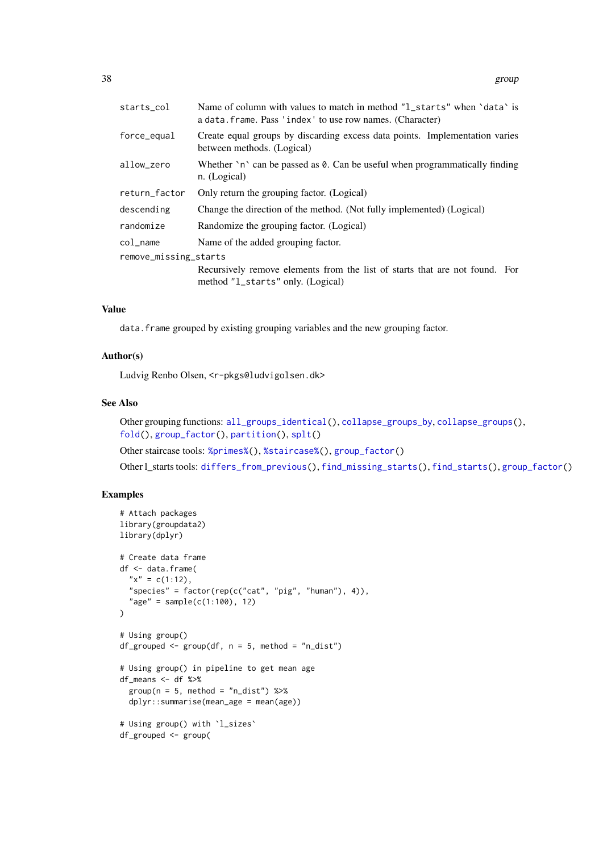<span id="page-37-0"></span>

| starts_col            | Name of column with values to match in method "1_starts" when 'data' is<br>a data. frame. Pass 'index' to use row names. (Character) |
|-----------------------|--------------------------------------------------------------------------------------------------------------------------------------|
| force_equal           | Create equal groups by discarding excess data points. Implementation varies<br>between methods. (Logical)                            |
| allow_zero            | Whether $\infty$ can be passed as 0. Can be useful when programmatically finding<br>n. (Logical)                                     |
| return_factor         | Only return the grouping factor. (Logical)                                                                                           |
| descending            | Change the direction of the method. (Not fully implemented) (Logical)                                                                |
| randomize             | Randomize the grouping factor. (Logical)                                                                                             |
| col name              | Name of the added grouping factor.                                                                                                   |
| remove_missing_starts |                                                                                                                                      |
|                       | Recursively remove elements from the list of starts that are not found. For<br>method "1_starts" only. (Logical)                     |

#### Value

data.frame grouped by existing grouping variables and the new grouping factor.

#### Author(s)

Ludvig Renbo Olsen, <r-pkgs@ludvigolsen.dk>

#### See Also

Other grouping functions: [all\\_groups\\_identical\(](#page-1-1)), [collapse\\_groups\\_by](#page-14-1), [collapse\\_groups\(](#page-5-1)), [fold\(](#page-28-1)), [group\\_factor\(](#page-39-1)), [partition\(](#page-42-1)), [splt\(](#page-47-1))

Other staircase tools: [%primes%\(](#page-57-1)), [%staircase%\(](#page-58-1)), [group\\_factor\(](#page-39-1))

Other l\_starts tools: [differs\\_from\\_previous\(](#page-20-1)), [find\\_missing\\_starts\(](#page-25-1)), [find\\_starts\(](#page-26-1)), [group\\_factor\(](#page-39-1))

```
# Attach packages
library(groupdata2)
library(dplyr)
# Create data frame
df <- data.frame(
  "x" = c(1:12),
  "species" = factor(rep(c("cat", "pig", "human"), 4)),
  "age" = sample(c(1:100), 12)
)
# Using group()
df_grouped <- group(df, n = 5, method = "n_dist")
# Using group() in pipeline to get mean age
df_means <- df %>%
  group(n = 5, method = "n_dist") %>%
  dplyr::summarise(mean_age = mean(age))
# Using group() with `l_sizes`
df_grouped <- group(
```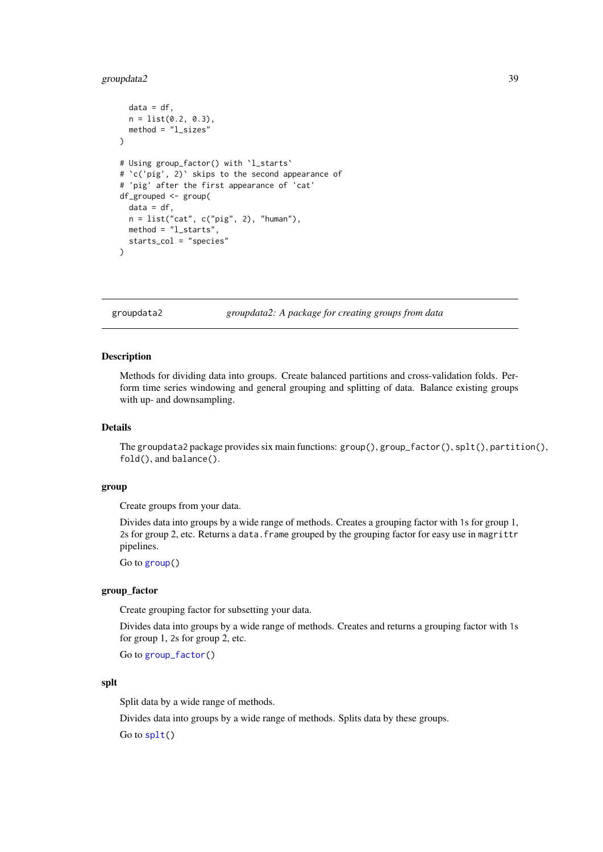#### <span id="page-38-0"></span>groupdata2 39

```
data = df,
  n = list(0.2, 0.3),
  method = "l_sizes"
)
# Using group_factor() with `l_starts`
# `c('pig', 2)` skips to the second appearance of
# 'pig' after the first appearance of 'cat'
df_grouped <- group(
  data = df.
 n = list("cat", c("pig", 2), "human"),method = "l_starts",
  starts_col = "species"
)
```
groupdata2 *groupdata2: A package for creating groups from data*

#### Description

Methods for dividing data into groups. Create balanced partitions and cross-validation folds. Perform time series windowing and general grouping and splitting of data. Balance existing groups with up- and downsampling.

#### Details

The groupdata2 package provides six main functions: group(), group\_factor(), splt(), partition(), fold(), and balance().

#### group

Create groups from your data.

Divides data into groups by a wide range of methods. Creates a grouping factor with 1s for group 1, 2s for group 2, etc. Returns a data.frame grouped by the grouping factor for easy use in magrittr pipelines.

Go to [group\(](#page-35-1))

## group\_factor

Create grouping factor for subsetting your data.

Divides data into groups by a wide range of methods. Creates and returns a grouping factor with 1s for group 1, 2s for group 2, etc.

Go to [group\\_factor\(](#page-39-1))

#### splt

Split data by a wide range of methods.

Divides data into groups by a wide range of methods. Splits data by these groups.

Go to [splt\(](#page-47-1))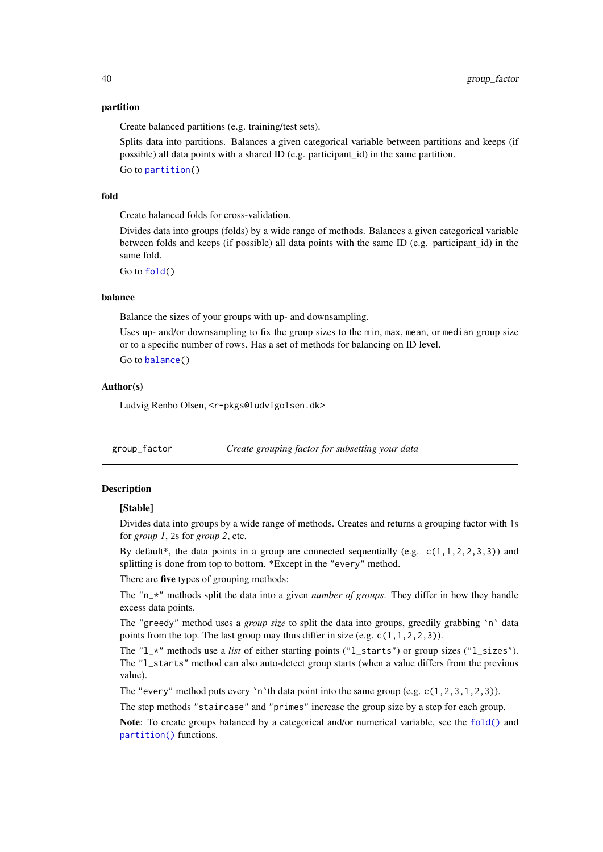#### <span id="page-39-0"></span>partition

Create balanced partitions (e.g. training/test sets).

Splits data into partitions. Balances a given categorical variable between partitions and keeps (if possible) all data points with a shared ID (e.g. participant\_id) in the same partition.

Go to [partition\(](#page-42-1))

#### fold

Create balanced folds for cross-validation.

Divides data into groups (folds) by a wide range of methods. Balances a given categorical variable between folds and keeps (if possible) all data points with the same ID (e.g. participant\_id) in the same fold.

Go to [fold\(](#page-28-1))

#### balance

Balance the sizes of your groups with up- and downsampling.

Uses up- and/or downsampling to fix the group sizes to the min, max, mean, or median group size or to a specific number of rows. Has a set of methods for balancing on ID level.

Go to [balance\(](#page-2-1))

#### Author(s)

Ludvig Renbo Olsen, <r-pkgs@ludvigolsen.dk>

<span id="page-39-1"></span>group\_factor *Create grouping factor for subsetting your data*

#### Description

#### [Stable]

Divides data into groups by a wide range of methods. Creates and returns a grouping factor with 1s for *group 1*, 2s for *group 2*, etc.

By default\*, the data points in a group are connected sequentially (e.g.  $c(1,1,2,2,3,3)$ ) and splitting is done from top to bottom. \*Except in the "every" method.

There are five types of grouping methods:

The "n\_\*" methods split the data into a given *number of groups*. They differ in how they handle excess data points.

The "greedy" method uses a *group size* to split the data into groups, greedily grabbing `n` data points from the top. The last group may thus differ in size (e.g. c(1,1,2,2,3)).

The "l<sub>\*</sub>" methods use a *list* of either starting points ("l starts") or group sizes ("l sizes"). The "l\_starts" method can also auto-detect group starts (when a value differs from the previous value).

The "every" method puts every 'n'th data point into the same group (e.g.  $c(1, 2, 3, 1, 2, 3)$ ).

The step methods "staircase" and "primes" increase the group size by a step for each group.

Note: To create groups balanced by a categorical and/or numerical variable, see the [fold\(\)](#page-0-0) and [partition\(\)](#page-0-0) functions.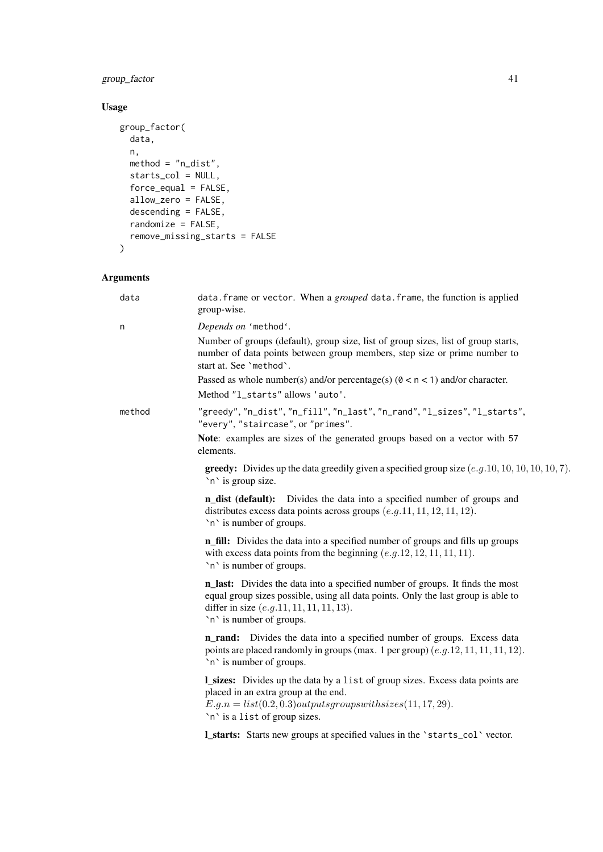## group\_factor 41

## Usage

```
group_factor(
  data,
 n,
 method = "n\_dist",
  starts_col = NULL,
  force_equal = FALSE,
  allow_zero = FALSE,
  descending = FALSE,
 randomize = FALSE,
 remove_missing_starts = FALSE
)
```
## Arguments

| data   | data. frame or vector. When a grouped data. frame, the function is applied<br>group-wise.                                                                                                                                                     |
|--------|-----------------------------------------------------------------------------------------------------------------------------------------------------------------------------------------------------------------------------------------------|
| n      | Depends on 'method'.                                                                                                                                                                                                                          |
|        | Number of groups (default), group size, list of group sizes, list of group starts,<br>number of data points between group members, step size or prime number to<br>start at. See 'method'.                                                    |
|        | Passed as whole number(s) and/or percentage(s) $(0 < n < 1)$ and/or character.                                                                                                                                                                |
|        | Method "l_starts" allows 'auto'.                                                                                                                                                                                                              |
| method | "greedy", "n_dist", "n_fill", "n_last", "n_rand", "l_sizes", "l_starts",<br>"every", "staircase", or "primes".                                                                                                                                |
|        | Note: examples are sizes of the generated groups based on a vector with 57<br>elements.                                                                                                                                                       |
|        | <b>greedy:</b> Divides up the data greedily given a specified group size $(e.g. 10, 10, 10, 10, 10, 7)$ .<br>`n` is group size.                                                                                                               |
|        | n_dist (default): Divides the data into a specified number of groups and<br>distributes excess data points across groups $(e.g. 11, 11, 12, 11, 12)$ .<br>`n` is number of groups.                                                            |
|        | <b>n_fill:</b> Divides the data into a specified number of groups and fills up groups<br>with excess data points from the beginning $(e.g. 12, 12, 11, 11, 11)$ .<br>`n` is number of groups.                                                 |
|        | n_last: Divides the data into a specified number of groups. It finds the most<br>equal group sizes possible, using all data points. Only the last group is able to<br>differ in size $(e.g.11, 11, 11, 11, 13)$ .<br>`n` is number of groups. |
|        | <b>n_rand:</b> Divides the data into a specified number of groups. Excess data<br>points are placed randomly in groups (max. 1 per group) $(e.g. 12, 11, 11, 11, 12)$ .<br>`n` is number of groups.                                           |
|        | <b>L_sizes:</b> Divides up the data by a list of group sizes. Excess data points are<br>placed in an extra group at the end.<br>$E.g.n = list(0.2, 0.3) outputs groups with sizes(11, 17, 29).$<br>'n' is a list of group sizes.              |
|        | <b>L_starts:</b> Starts new groups at specified values in the 'starts_col' vector.                                                                                                                                                            |
|        |                                                                                                                                                                                                                                               |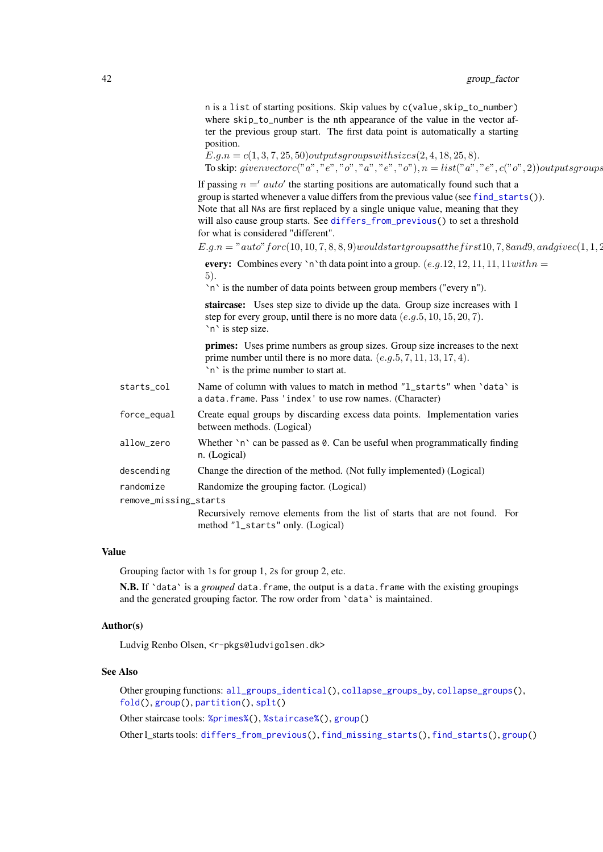<span id="page-41-0"></span>

|                       | n is a list of starting positions. Skip values by c(value, skip_to_number)<br>where skip_to_number is the nth appearance of the value in the vector af-<br>ter the previous group start. The first data point is automatically a starting<br>position.<br>$E.g.n = c(1, 3, 7, 25, 50) outputs group switches (2, 4, 18, 25, 8).$<br>To skip: given vector $c("a", "e", "o", "a", "e", "o"), n = list("a", "e", c("o", 2)) outputsgroups$ |
|-----------------------|------------------------------------------------------------------------------------------------------------------------------------------------------------------------------------------------------------------------------------------------------------------------------------------------------------------------------------------------------------------------------------------------------------------------------------------|
|                       | If passing $n = 'auto'$ the starting positions are automatically found such that a<br>group is started whenever a value differs from the previous value (see find_starts()).<br>Note that all NAs are first replaced by a single unique value, meaning that they<br>will also cause group starts. See differs_from_previous() to set a threshold<br>for what is considered "different".                                                  |
|                       | $E.g.n = "auto" for c(10, 10, 7, 8, 8, 9) would start groups at the first 10, 7, 8 and 9, and give c(1, 1, 2)$                                                                                                                                                                                                                                                                                                                           |
|                       | every: Combines every 'n'th data point into a group. $(e.g. 12, 12, 11, 11, 11 with n =$<br>5).<br>'n' is the number of data points between group members ("every n").                                                                                                                                                                                                                                                                   |
|                       | staircase: Uses step size to divide up the data. Group size increases with 1<br>step for every group, until there is no more data $(e.g. 5, 10, 15, 20, 7)$ .<br>`n` is step size.                                                                                                                                                                                                                                                       |
|                       | primes: Uses prime numbers as group sizes. Group size increases to the next<br>prime number until there is no more data. $(e.g. 5, 7, 11, 13, 17, 4)$ .<br>`n` is the prime number to start at.                                                                                                                                                                                                                                          |
| starts_col            | Name of column with values to match in method "1_starts" when 'data' is<br>a data. frame. Pass 'index' to use row names. (Character)                                                                                                                                                                                                                                                                                                     |
| force_equal           | Create equal groups by discarding excess data points. Implementation varies<br>between methods. (Logical)                                                                                                                                                                                                                                                                                                                                |
| allow_zero            | Whether 'n' can be passed as 0. Can be useful when programmatically finding<br>n. (Logical)                                                                                                                                                                                                                                                                                                                                              |
| descending            | Change the direction of the method. (Not fully implemented) (Logical)                                                                                                                                                                                                                                                                                                                                                                    |
| randomize             | Randomize the grouping factor. (Logical)                                                                                                                                                                                                                                                                                                                                                                                                 |
| remove_missing_starts |                                                                                                                                                                                                                                                                                                                                                                                                                                          |
|                       | Recursively remove elements from the list of starts that are not found. For<br>method "1_starts" only. (Logical)                                                                                                                                                                                                                                                                                                                         |
|                       |                                                                                                                                                                                                                                                                                                                                                                                                                                          |

## Value

Grouping factor with 1s for group 1, 2s for group 2, etc.

N.B. If 'data' is a *grouped* data.frame, the output is a data.frame with the existing groupings and the generated grouping factor. The row order from `data` is maintained.

## Author(s)

Ludvig Renbo Olsen, <r-pkgs@ludvigolsen.dk>

#### See Also

Other grouping functions: [all\\_groups\\_identical\(](#page-1-1)), [collapse\\_groups\\_by](#page-14-1), [collapse\\_groups\(](#page-5-1)), [fold\(](#page-28-1)), [group\(](#page-35-1)), [partition\(](#page-42-1)), [splt\(](#page-47-1))

Other staircase tools: [%primes%\(](#page-57-1)), [%staircase%\(](#page-58-1)), [group\(](#page-35-1))

Other l\_starts tools: [differs\\_from\\_previous\(](#page-20-1)), [find\\_missing\\_starts\(](#page-25-1)), [find\\_starts\(](#page-26-1)), [group\(](#page-35-1))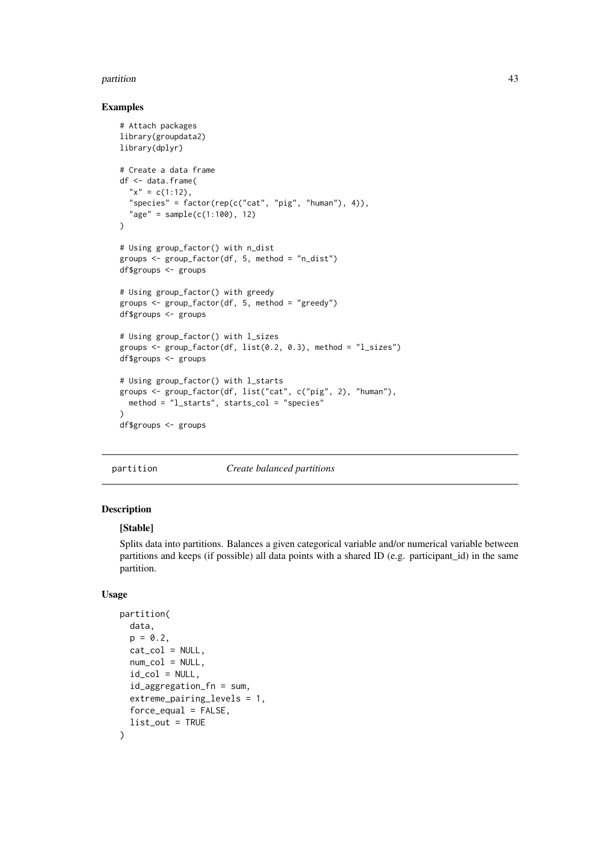#### <span id="page-42-0"></span>partition and the contract of the contract of the contract of the contract of the contract of the contract of the contract of the contract of the contract of the contract of the contract of the contract of the contract of

#### Examples

```
# Attach packages
library(groupdata2)
library(dplyr)
# Create a data frame
df <- data.frame(
  "x" = c(1:12),
  "species" = factor(rep(c("cat", "pig", "human"), 4)),
  "age" = sample(c(1:100), 12)
)
# Using group_factor() with n_dist
groups <- group_factor(df, 5, method = "n_dist")
df$groups <- groups
# Using group_factor() with greedy
groups <- group_factor(df, 5, method = "greedy")
df$groups <- groups
# Using group_factor() with l_sizes
groups <- group_factor(df, list(0.2, 0.3), method = "l_sizes")
df$groups <- groups
# Using group_factor() with l_starts
groups <- group_factor(df, list("cat", c("pig", 2), "human"),
  method = "l_starts", starts_col = "species"
)
df$groups <- groups
```
<span id="page-42-1"></span>partition *Create balanced partitions*

### Description

#### [Stable]

Splits data into partitions. Balances a given categorical variable and/or numerical variable between partitions and keeps (if possible) all data points with a shared ID (e.g. participant\_id) in the same partition.

#### Usage

```
partition(
  data,
  p = 0.2,
  cat\_col = NULL,
  num\_col = NULL,
  id\_col = NULL,id_aggregation_fn = sum,
  extreme_pairing_levels = 1,
  force_{equal} = FALSE,list_out = TRUE
)
```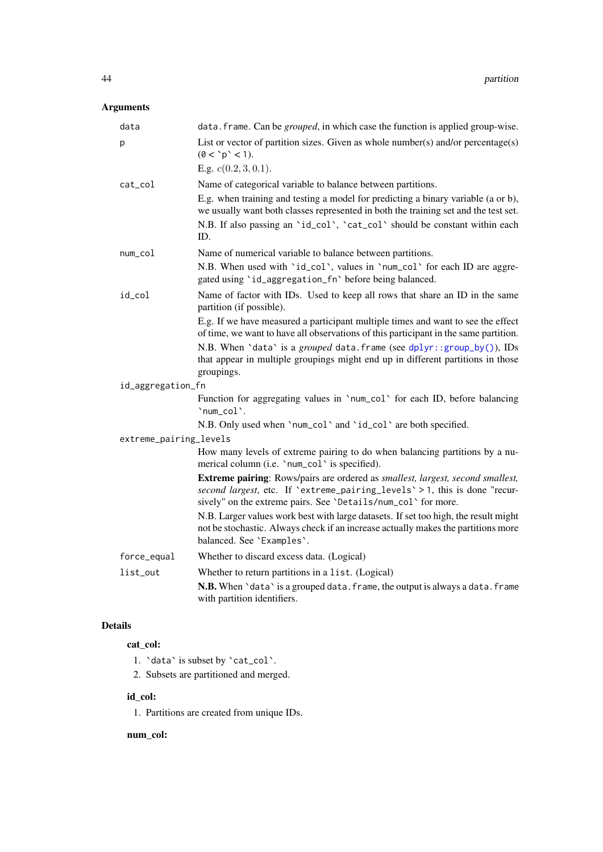## <span id="page-43-0"></span>Arguments

| data                   | data. frame. Can be <i>grouped</i> , in which case the function is applied group-wise.                                                                                                                                               |  |
|------------------------|--------------------------------------------------------------------------------------------------------------------------------------------------------------------------------------------------------------------------------------|--|
| p                      | List or vector of partition sizes. Given as whole number(s) and/or percentage(s)<br>(0 < 'p' < 1).                                                                                                                                   |  |
|                        | E.g. $c(0.2, 3, 0.1)$ .                                                                                                                                                                                                              |  |
| cat_col                | Name of categorical variable to balance between partitions.                                                                                                                                                                          |  |
|                        | E.g. when training and testing a model for predicting a binary variable (a or b),<br>we usually want both classes represented in both the training set and the test set.                                                             |  |
|                        | N.B. If also passing an 'id_col', 'cat_col' should be constant within each<br>ID.                                                                                                                                                    |  |
| num_col                | Name of numerical variable to balance between partitions.                                                                                                                                                                            |  |
|                        | N.B. When used with 'id_col', values in 'num_col' for each ID are aggre-<br>gated using 'id_aggregation_fn' before being balanced.                                                                                                   |  |
| id_col                 | Name of factor with IDs. Used to keep all rows that share an ID in the same<br>partition (if possible).                                                                                                                              |  |
|                        | E.g. If we have measured a participant multiple times and want to see the effect<br>of time, we want to have all observations of this participant in the same partition.                                                             |  |
|                        | N.B. When 'data' is a grouped data. frame (see dplyr::group_by()), IDs<br>that appear in multiple groupings might end up in different partitions in those<br>groupings.                                                              |  |
| id_aggregation_fn      |                                                                                                                                                                                                                                      |  |
|                        | Function for aggregating values in 'num_col' for each ID, before balancing<br>'num_col'.                                                                                                                                             |  |
|                        | N.B. Only used when 'num_col' and 'id_col' are both specified.                                                                                                                                                                       |  |
| extreme_pairing_levels |                                                                                                                                                                                                                                      |  |
|                        | How many levels of extreme pairing to do when balancing partitions by a nu-<br>merical column (i.e. 'num_col' is specified).                                                                                                         |  |
|                        | <b>Extreme pairing:</b> Rows/pairs are ordered as smallest, largest, second smallest,<br>second largest, etc. If 'extreme_pairing_levels' > 1, this is done "recur-<br>sively" on the extreme pairs. See 'Details/num_col' for more. |  |
|                        | N.B. Larger values work best with large datasets. If set too high, the result might<br>not be stochastic. Always check if an increase actually makes the partitions more<br>balanced. See 'Examples'.                                |  |
| force_equal            | Whether to discard excess data. (Logical)                                                                                                                                                                                            |  |
| list_out               | Whether to return partitions in a list. (Logical)                                                                                                                                                                                    |  |
|                        | N.B. When 'data' is a grouped data. frame, the output is always a data. frame<br>with partition identifiers.                                                                                                                         |  |
|                        |                                                                                                                                                                                                                                      |  |

## Details

## cat\_col:

- 1. `data` is subset by `cat\_col`.
- 2. Subsets are partitioned and merged.

## id\_col:

1. Partitions are created from unique IDs.

## num\_col: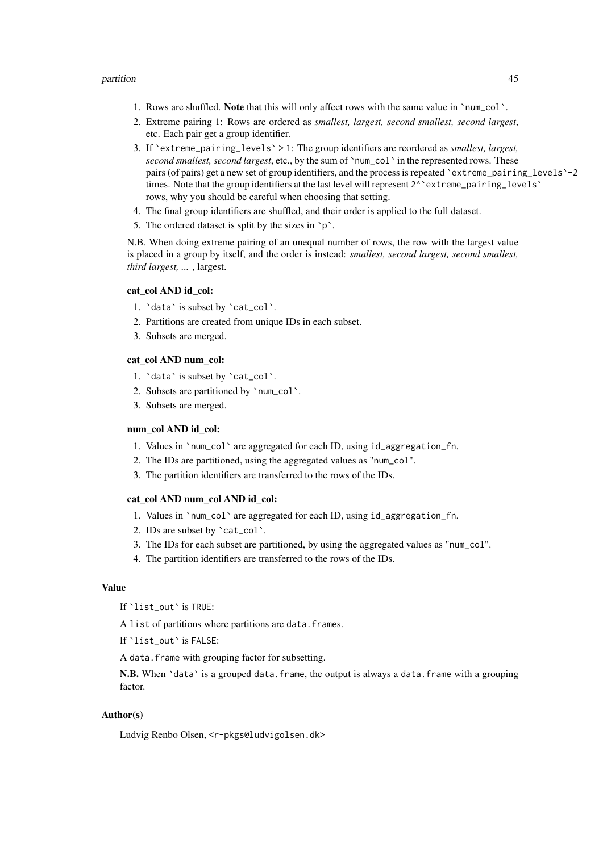- 1. Rows are shuffled. Note that this will only affect rows with the same value in `num\_col`.
- 2. Extreme pairing 1: Rows are ordered as *smallest, largest, second smallest, second largest*, etc. Each pair get a group identifier.
- 3. If `extreme\_pairing\_levels` > 1: The group identifiers are reordered as *smallest, largest, second smallest, second largest*, etc., by the sum of `num\_col` in the represented rows. These pairs (of pairs) get a new set of group identifiers, and the process is repeated `extreme\_pairing\_levels`-2 times. Note that the group identifiers at the last level will represent 2^ `extreme\_pairing\_levels` rows, why you should be careful when choosing that setting.
- 4. The final group identifiers are shuffled, and their order is applied to the full dataset.
- 5. The ordered dataset is split by the sizes in `p`.

N.B. When doing extreme pairing of an unequal number of rows, the row with the largest value is placed in a group by itself, and the order is instead: *smallest, second largest, second smallest, third largest, ...* , largest.

#### cat\_col AND id\_col:

- 1. `data` is subset by `cat\_col`.
- 2. Partitions are created from unique IDs in each subset.
- 3. Subsets are merged.

#### cat\_col AND num\_col:

- 1. `data` is subset by `cat\_col`.
- 2. Subsets are partitioned by `num\_col`.
- 3. Subsets are merged.

#### num\_col AND id\_col:

- 1. Values in `num\_col` are aggregated for each ID, using id\_aggregation\_fn.
- 2. The IDs are partitioned, using the aggregated values as "num\_col".
- 3. The partition identifiers are transferred to the rows of the IDs.

#### cat\_col AND num\_col AND id\_col:

- 1. Values in `num\_col` are aggregated for each ID, using id\_aggregation\_fn.
- 2. IDs are subset by `cat\_col`.
- 3. The IDs for each subset are partitioned, by using the aggregated values as "num\_col".
- 4. The partition identifiers are transferred to the rows of the IDs.

#### Value

If `list\_out` is TRUE:

A list of partitions where partitions are data. frames.

If `list\_out` is FALSE:

A data.frame with grouping factor for subsetting.

N.B. When 'data' is a grouped data. frame, the output is always a data. frame with a grouping factor.

#### Author(s)

Ludvig Renbo Olsen, <r-pkgs@ludvigolsen.dk>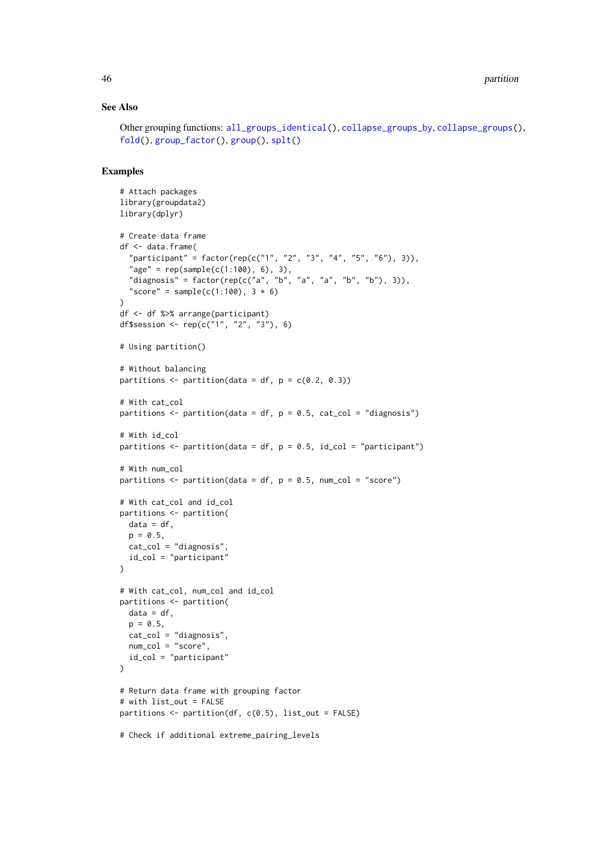#### See Also

```
Other grouping functions: all_groups_identical(), collapse_groups_by, collapse_groups(),
fold(), group_factor(), group(), splt()
```

```
# Attach packages
library(groupdata2)
library(dplyr)
# Create data frame
df <- data.frame(
  "participant" = factor(rep(c("1", "2", "3", "4", "5", "6"), 3)),
  "age" = rep(sample(c(1:100), 6), 3),"diagnosis" = factor(rep(c("a", "b", "a", "a", "b", "b"), 3)),
  "score" = sample(c(1:100), 3 * 6)\lambdadf <- df %>% arrange(participant)
df$session <- rep(c("1", "2", "3"), 6)
# Using partition()
# Without balancing
partitions \leq partition(data = df, p = c(0.2, 0.3))
# With cat_col
partitions \leq partition(data = df, p = 0.5, cat_col = "diagnosis")
# With id_col
partitions \leq partition(data = df, p = 0.5, id_col = "participant")
# With num_col
partitions \leq partition(data = df, p = 0.5, num_col = "score")
# With cat_col and id_col
partitions <- partition(
 data = df,
  p = 0.5,
 cat_col = "diagnosis",
 id_col = "participant"
\lambda# With cat_col, num_col and id_col
partitions <- partition(
  data = df,
  p = 0.5,
  cat_col = "diagnosis",
  num_col = "score",
  id_col = "participant"
\lambda# Return data frame with grouping factor
# with list_out = FALSE
partitions \leq partition(df, c(0.5), list_out = FALSE)
# Check if additional extreme_pairing_levels
```
<span id="page-45-0"></span>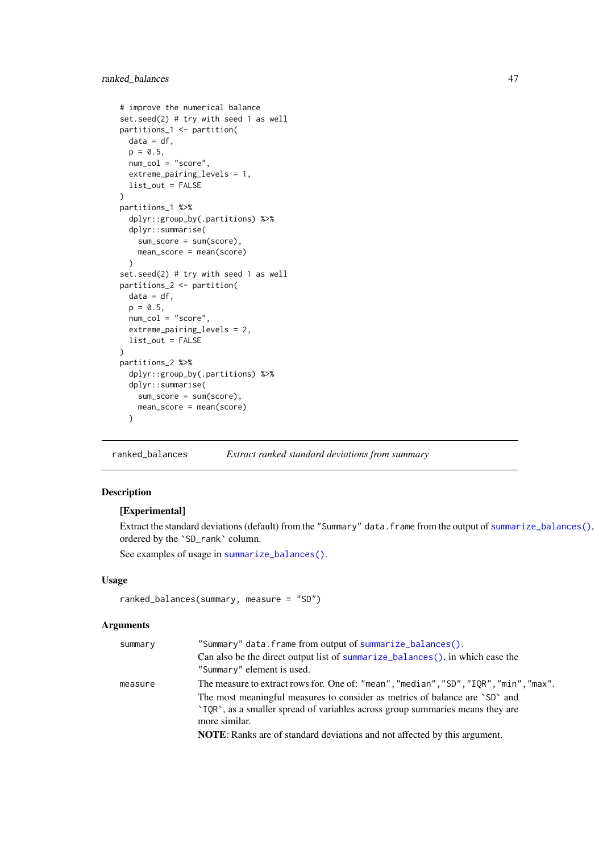#### <span id="page-46-0"></span>ranked\_balances 47

```
# improve the numerical balance
set.seed(2) # try with seed 1 as well
partitions_1 <- partition(
 data = df,
 p = 0.5,
 num\_col = "score",extreme_pairing_levels = 1,
 list_out = FALSE
\lambdapartitions_1 %>%
  dplyr::group_by(.partitions) %>%
  dplyr::summarise(
    sum_score = sum(score),
    mean_score = mean(score)
  )
set.seed(2) # try with seed 1 as well
partitions_2 <- partition(
 data = df.
 p = 0.5,
 num_col = "score",
 extreme_pairing_levels = 2,
 list_out = FALSE
\lambdapartitions_2 %>%
  dplyr::group_by(.partitions) %>%
  dplyr::summarise(
    sum_score = sum(score),
    mean_score = mean(score)
  \lambda
```
<span id="page-46-1"></span>ranked\_balances *Extract ranked standard deviations from summary*

## Description

#### [Experimental]

Extract the standard deviations (default) from the "Summary" data.frame from the output of [summarize\\_balances\(\)](#page-0-0), ordered by the `SD\_rank` column.

See examples of usage in [summarize\\_balances\(\)](#page-0-0).

#### Usage

```
ranked_balances(summary, measure = "SD")
```
#### Arguments

| "Summary" data.frame from output of summarize_balances().                             |
|---------------------------------------------------------------------------------------|
| Can also be the direct output list of summarize_balances(), in which case the         |
| "Summary" element is used.                                                            |
| The measure to extract rows for. One of: "mean", "median", "SD", "IQR", "min", "max". |
| The most meaningful measures to consider as metrics of balance are 'SD' and           |
| 'IQR', as a smaller spread of variables across group summaries means they are         |
| more similar.                                                                         |
| <b>NOTE:</b> Ranks are of standard deviations and not affected by this argument.      |
|                                                                                       |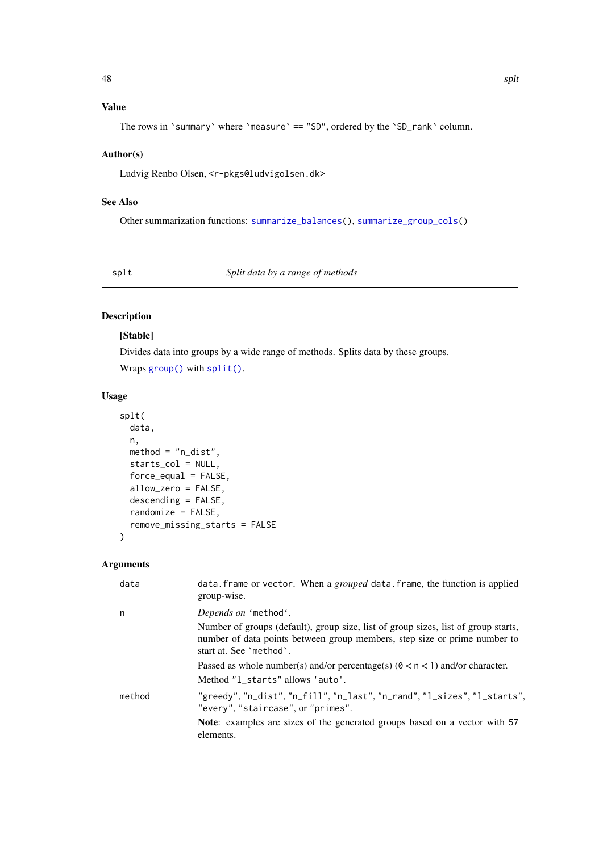## <span id="page-47-0"></span>Value

The rows in `summary` where `measure` == "SD", ordered by the `SD\_rank` column.

### Author(s)

Ludvig Renbo Olsen, <r-pkgs@ludvigolsen.dk>

#### See Also

Other summarization functions: [summarize\\_balances\(](#page-49-1)), [summarize\\_group\\_cols\(](#page-53-1))

<span id="page-47-1"></span>splt *Split data by a range of methods*

## Description

## [Stable]

Divides data into groups by a wide range of methods. Splits data by these groups. Wraps [group\(\)](#page-0-0) with [split\(\)](#page-0-0).

### Usage

```
splt(
  data,
  n,
  method = "n\_dist",starts_col = NULL,
  force_equal = FALSE,
  allow_zero = FALSE,
  descending = FALSE,
  randomize = FALSE,
  remove_missing_starts = FALSE
)
```
#### Arguments

| data   | data. frame or vector. When a grouped data. frame, the function is applied<br>group-wise.                                                                                                  |
|--------|--------------------------------------------------------------------------------------------------------------------------------------------------------------------------------------------|
| n      | Depends on 'method'.                                                                                                                                                                       |
|        | Number of groups (default), group size, list of group sizes, list of group starts,<br>number of data points between group members, step size or prime number to<br>start at. See 'method'. |
|        | Passed as whole number(s) and/or percentage(s) $(0 < n < 1)$ and/or character.                                                                                                             |
|        | Method "1_starts" allows 'auto'.                                                                                                                                                           |
| method | "greedy", "n_dist", "n_fill", "n_last", "n_rand", "l_sizes", "l_starts",<br>"every", "staircase", or "primes".                                                                             |
|        | <b>Note:</b> examples are sizes of the generated groups based on a vector with 57<br>elements.                                                                                             |
|        |                                                                                                                                                                                            |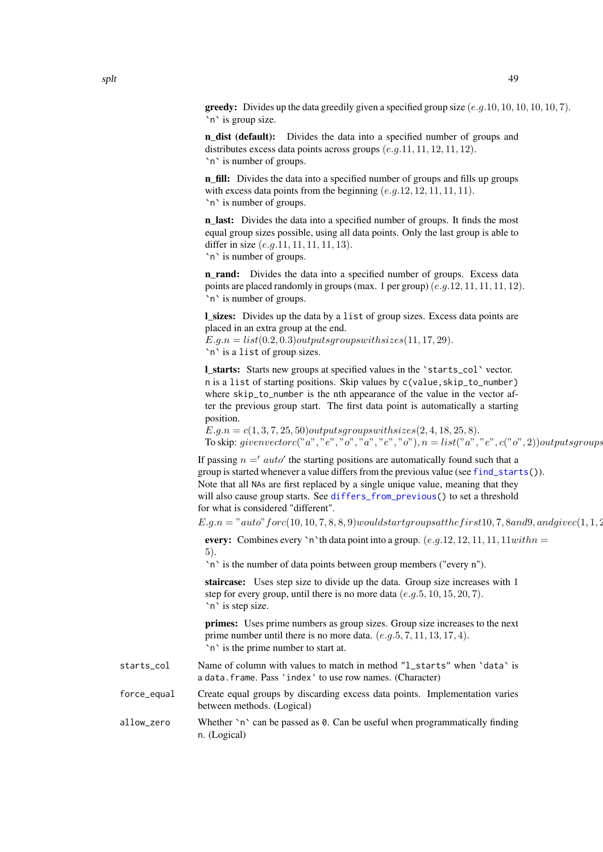<span id="page-48-0"></span>**greedy:** Divides up the data greedily given a specified group size  $(e,q,10,10,10,10,10,7)$ . `n` is group size.

n\_dist (default): Divides the data into a specified number of groups and distributes excess data points across groups  $(e.g. 11, 11, 12, 11, 12)$ . `n` is number of groups.

n fill: Divides the data into a specified number of groups and fills up groups with excess data points from the beginning  $(e.g. 12, 12, 11, 11, 11)$ . `n` is number of groups.

n\_last: Divides the data into a specified number of groups. It finds the most equal group sizes possible, using all data points. Only the last group is able to differ in size  $(e.q.11, 11, 11, 11, 13)$ . `n` is number of groups.

n\_rand: Divides the data into a specified number of groups. Excess data points are placed randomly in groups (max. 1 per group)  $(e.g.12, 11, 11, 11, 12)$ . `n` is number of groups.

l\_sizes: Divides up the data by a list of group sizes. Excess data points are placed in an extra group at the end.

 $E.g.n = list(0.2, 0.3) outputs group switches(11, 17, 29).$ `n` is a list of group sizes.

l\_starts: Starts new groups at specified values in the `starts\_col` vector. n is a list of starting positions. Skip values by c(value,skip\_to\_number) where skip\_to\_number is the nth appearance of the value in the vector after the previous group start. The first data point is automatically a starting position.

 $E.q.n = c(1, 3, 7, 25, 50) outputsgrows with sizes (2, 4, 18, 25, 8).$ To skip: givenvectorc("a", "e", "o", "a", "e", "o"),  $n = list("a", "e", c("o", 2)] outputs groups$ 

If passing  $n ='$  auto' the starting positions are automatically found such that a group is started whenever a value differs from the previous value (see [find\\_starts\(](#page-26-1))). Note that all NAs are first replaced by a single unique value, meaning that they will also cause group starts. See differs from previous() to set a threshold for what is considered "different".

 $E.g.n = "auto" for c(10, 10, 7, 8, 8, 9) would start groups at the first 10, 7, 8 and 9, and give c(1, 1, 2)$ 

every: Combines every 'n'th data point into a group.  $(e.g. 12, 12, 11, 11, 11 with n =$ 5).

`n` is the number of data points between group members ("every n").

staircase: Uses step size to divide up the data. Group size increases with 1 step for every group, until there is no more data  $(e.q.5, 10, 15, 20, 7)$ . `n` is step size.

primes: Uses prime numbers as group sizes. Group size increases to the next prime number until there is no more data.  $(e.g. 5, 7, 11, 13, 17, 4)$ . `n` is the prime number to start at.

- starts\_col Name of column with values to match in method "l\_starts" when `data` is a data.frame. Pass 'index' to use row names. (Character)
- force\_equal Create equal groups by discarding excess data points. Implementation varies between methods. (Logical)

allow\_zero Whether `n` can be passed as 0. Can be useful when programmatically finding n. (Logical)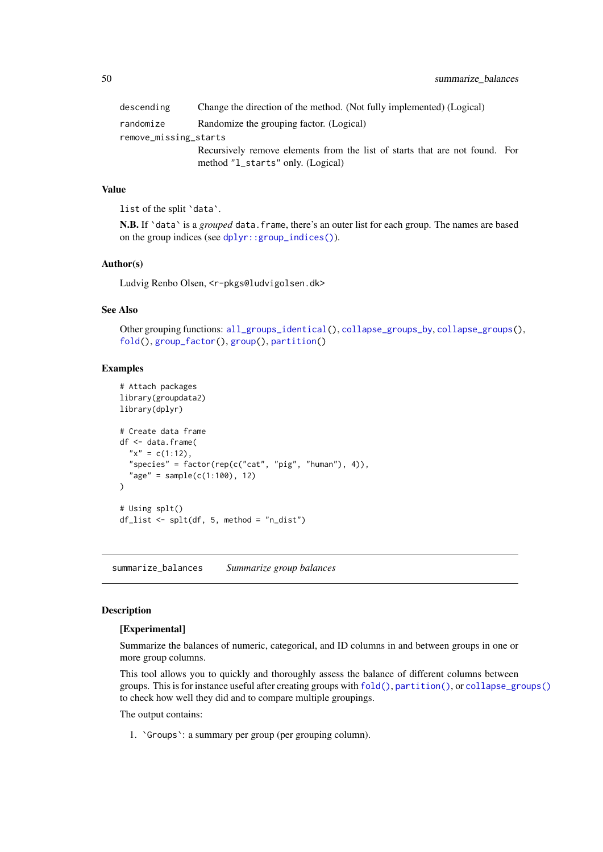<span id="page-49-0"></span>

| descending            | Change the direction of the method. (Not fully implemented) (Logical)                                            |  |
|-----------------------|------------------------------------------------------------------------------------------------------------------|--|
| randomize             | Randomize the grouping factor. (Logical)                                                                         |  |
| remove_missing_starts |                                                                                                                  |  |
|                       | Recursively remove elements from the list of starts that are not found. For<br>method "L_starts" only. (Logical) |  |

#### Value

list of the split 'data'.

N.B. If `data` is a *grouped* data.frame, there's an outer list for each group. The names are based on the group indices (see [dplyr::group\\_indices\(\)](#page-0-0)).

#### Author(s)

Ludvig Renbo Olsen, <r-pkgs@ludvigolsen.dk>

#### See Also

Other grouping functions: [all\\_groups\\_identical\(](#page-1-1)), [collapse\\_groups\\_by](#page-14-1), [collapse\\_groups\(](#page-5-1)), [fold\(](#page-28-1)), [group\\_factor\(](#page-39-1)), [group\(](#page-35-1)), [partition\(](#page-42-1))

#### Examples

```
# Attach packages
library(groupdata2)
library(dplyr)
# Create data frame
df <- data.frame(
  "x" = c(1:12),
  "species" = factor(rep(c("cat", "pig", "human"), 4)),
  "age" = sample(c(1:100), 12)\lambda# Using splt()
df_{\text{list}} \leftarrow \text{split(df, 5, method = "n_{\text{dist}}")
```
<span id="page-49-1"></span>summarize\_balances *Summarize group balances*

#### Description

#### [Experimental]

Summarize the balances of numeric, categorical, and ID columns in and between groups in one or more group columns.

This tool allows you to quickly and thoroughly assess the balance of different columns between groups. This is for instance useful after creating groups with [fold\(\)](#page-0-0), [partition\(\)](#page-0-0), or [collapse\\_groups\(\)](#page-0-0) to check how well they did and to compare multiple groupings.

The output contains:

1. `Groups`: a summary per group (per grouping column).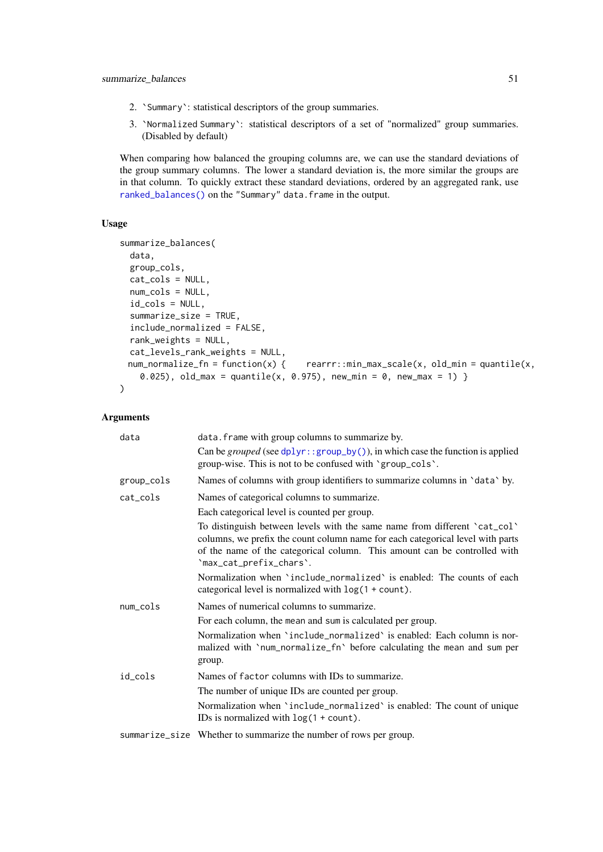- <span id="page-50-0"></span>2. `Summary`: statistical descriptors of the group summaries.
- 3. `Normalized Summary`: statistical descriptors of a set of "normalized" group summaries. (Disabled by default)

When comparing how balanced the grouping columns are, we can use the standard deviations of the group summary columns. The lower a standard deviation is, the more similar the groups are in that column. To quickly extract these standard deviations, ordered by an aggregated rank, use [ranked\\_balances\(\)](#page-0-0) on the "Summary" data.frame in the output.

#### Usage

```
summarize_balances(
  data,
  group_cols,
  cat_cols = NULL,
  num_cols = NULL,
  id_cols = NULL,
  summarize_size = TRUE,
  include_normalized = FALSE,
  rank_weights = NULL,
 cat\_levels\_rank\_weights = NULL,<br>num\_normalize\_fn = function(x) { }rearrr::min\_max\_scale(x, old\_min = quantile(x,0.025), old_max = quantile(x, 0.975), new_min = 0, new_max = 1) }
\lambda
```
## Arguments

| data       | data. frame with group columns to summarize by.                                                                                                                                                                                                                     |
|------------|---------------------------------------------------------------------------------------------------------------------------------------------------------------------------------------------------------------------------------------------------------------------|
|            | Can be grouped (see $d$ plyr::group_by()), in which case the function is applied<br>group-wise. This is not to be confused with 'group_cols'.                                                                                                                       |
| group_cols | Names of columns with group identifiers to summarize columns in 'data' by.                                                                                                                                                                                          |
| cat_cols   | Names of categorical columns to summarize.                                                                                                                                                                                                                          |
|            | Each categorical level is counted per group.                                                                                                                                                                                                                        |
|            | To distinguish between levels with the same name from different 'cat_col'<br>columns, we prefix the count column name for each categorical level with parts<br>of the name of the categorical column. This amount can be controlled with<br>'max_cat_prefix_chars'. |
|            | Normalization when 'include_normalized' is enabled: The counts of each<br>categorical level is normalized with $log(1 + count)$ .                                                                                                                                   |
| num_cols   | Names of numerical columns to summarize.                                                                                                                                                                                                                            |
|            | For each column, the mean and sum is calculated per group.                                                                                                                                                                                                          |
|            | Normalization when 'include_normalized' is enabled: Each column is nor-<br>malized with 'num_normalize_fn' before calculating the mean and sum per<br>group.                                                                                                        |
| id cols    | Names of factor columns with IDs to summarize.                                                                                                                                                                                                                      |
|            | The number of unique IDs are counted per group.                                                                                                                                                                                                                     |
|            | Normalization when 'include_normalized' is enabled: The count of unique<br>IDs is normalized with $log(1 + count)$ .                                                                                                                                                |
|            | summarize_size Whether to summarize the number of rows per group.                                                                                                                                                                                                   |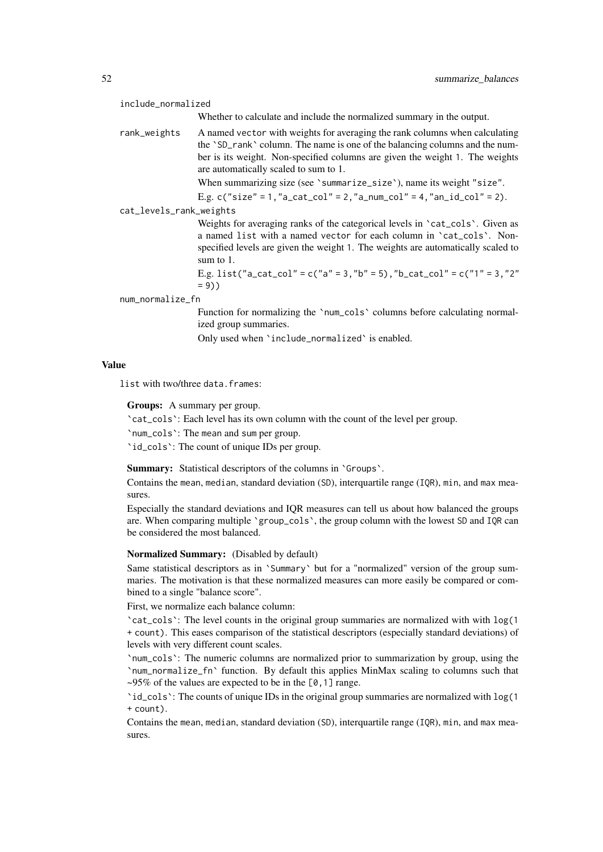include\_normalized

Whether to calculate and include the normalized summary in the output.

rank\_weights A named vector with weights for averaging the rank columns when calculating the `SD\_rank` column. The name is one of the balancing columns and the number is its weight. Non-specified columns are given the weight 1. The weights are automatically scaled to sum to 1.

When summarizing size (see 'summarize\_size'), name its weight "size".

E.g.  $c("size" = 1, "a\_cat\_col" = 2, "a\_num\_col" = 4, "an_id\_col" = 2).$ 

cat\_levels\_rank\_weights

Weights for averaging ranks of the categorical levels in 'cat\_cols'. Given as a named list with a named vector for each column in `cat\_cols`. Nonspecified levels are given the weight 1. The weights are automatically scaled to sum to 1.

E.g. list("a\_cat\_col" = c("a" = 3,"b" = 5),"b\_cat\_col" = c("1" = 3,"2"  $= 9)$ )

num\_normalize\_fn

Function for normalizing the 'num\_cols' columns before calculating normalized group summaries.

Only used when `include\_normalized` is enabled.

#### Value

list with two/three data.frames:

Groups: A summary per group.

`cat\_cols`: Each level has its own column with the count of the level per group.

`num\_cols`: The mean and sum per group.

`id\_cols`: The count of unique IDs per group.

Summary: Statistical descriptors of the columns in 'Groups'.

Contains the mean, median, standard deviation (SD), interquartile range (IQR), min, and max measures.

Especially the standard deviations and IQR measures can tell us about how balanced the groups are. When comparing multiple `group\_cols`, the group column with the lowest SD and IQR can be considered the most balanced.

#### Normalized Summary: (Disabled by default)

Same statistical descriptors as in `Summary` but for a "normalized" version of the group summaries. The motivation is that these normalized measures can more easily be compared or combined to a single "balance score".

First, we normalize each balance column:

`cat\_cols`: The level counts in the original group summaries are normalized with with log(1 + count). This eases comparison of the statistical descriptors (especially standard deviations) of levels with very different count scales.

`num\_cols`: The numeric columns are normalized prior to summarization by group, using the `num\_normalize\_fn` function. By default this applies MinMax scaling to columns such that  $\sim$ 95% of the values are expected to be in the [0,1] range.

`id\_cols`: The counts of unique IDs in the original group summaries are normalized with log(1 + count).

Contains the mean, median, standard deviation (SD), interquartile range (IQR), min, and max measures.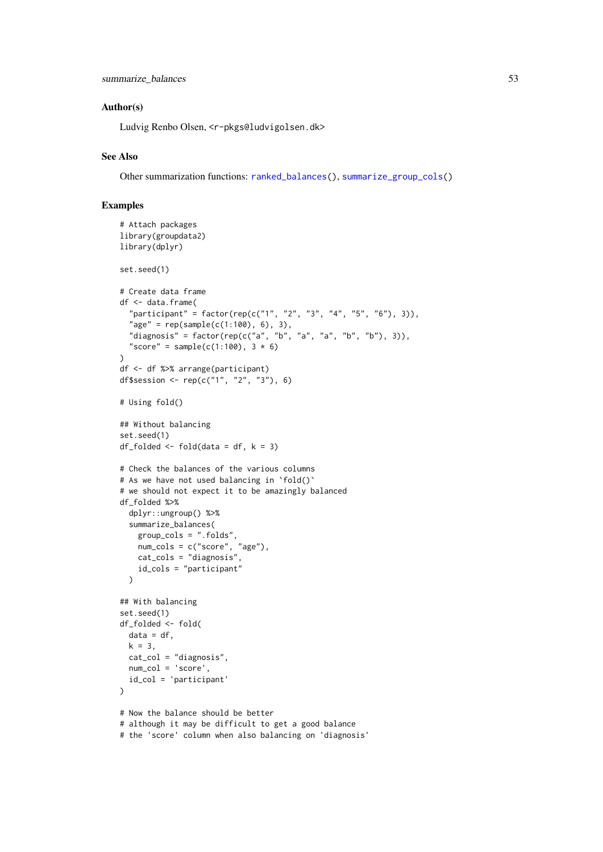#### <span id="page-52-0"></span>Author(s)

Ludvig Renbo Olsen, <r-pkgs@ludvigolsen.dk>

#### See Also

Other summarization functions: [ranked\\_balances\(](#page-46-1)), [summarize\\_group\\_cols\(](#page-53-1))

```
# Attach packages
library(groupdata2)
library(dplyr)
set.seed(1)
# Create data frame
df <- data.frame(
  "participant" = factor(rep(c("1", "2", "3", "4", "5", "6"), 3)),"age" = rep(sample(c(1:100), 6), 3),"diagnosis" = factor(rep(c("a", "b", "a", "a", "b", "b"), 3)),
  "score" = sample(c(1:100), 3 * 6)
)
df <- df %>% arrange(participant)
df$session <- rep(c("1", "2", "3"), 6)
# Using fold()
## Without balancing
set.seed(1)
df_folded <- fold(data = df, k = 3)# Check the balances of the various columns
# As we have not used balancing in 'fold()'
# we should not expect it to be amazingly balanced
df_folded %>%
  dplyr::ungroup() %>%
  summarize_balances(
   group_cols = ".folds",
   num_cols = c("score", "age"),
   cat_cols = "diagnosis",
    id_cols = "participant"
  \lambda## With balancing
set.seed(1)
df_folded <- fold(
 data = df,
 k = 3,
 cat_col = "diagnosis",
 num_col = 'score',
 id_col = 'participant'
\lambda# Now the balance should be better
# although it may be difficult to get a good balance
# the 'score' column when also balancing on 'diagnosis'
```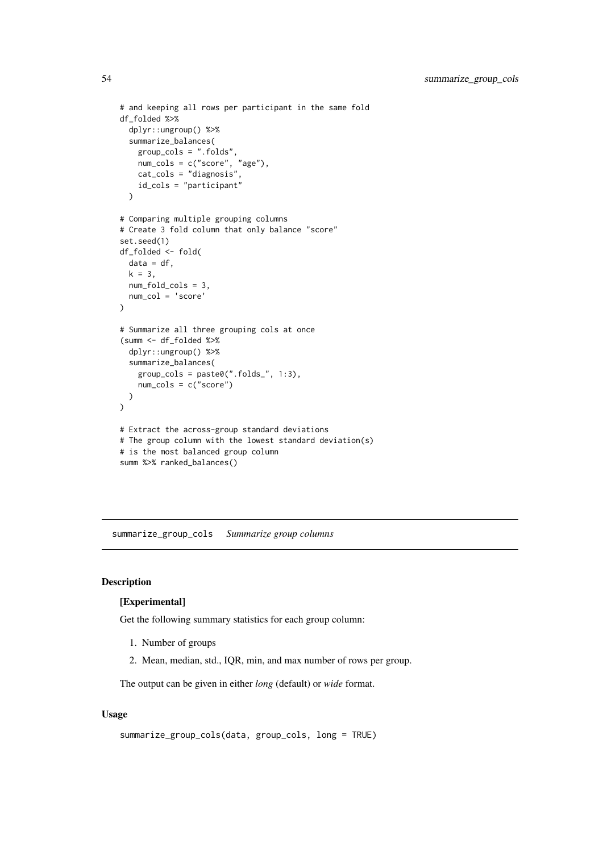```
# and keeping all rows per participant in the same fold
df_folded %>%
  dplyr::ungroup() %>%
  summarize_balances(
   group_cols = ".folds",
   num_cols = c("score", "age"),
   cat_cols = "diagnosis",
   id_cols = "participant"
  \lambda# Comparing multiple grouping columns
# Create 3 fold column that only balance "score"
set.seed(1)
df_folded <- fold(
 data = df.
 k = 3,
 num_fold_cols = 3,
 num_col = 'score'
\lambda# Summarize all three grouping cols at once
(summ <- df_folded %>%
  dplyr::ungroup() %>%
  summarize_balances(
    group\_cols = paste@("float__", 1:3),num_cols = c("score")
  )
)
# Extract the across-group standard deviations
# The group column with the lowest standard deviation(s)
# is the most balanced group column
summ %>% ranked_balances()
```
<span id="page-53-1"></span>summarize\_group\_cols *Summarize group columns*

#### Description

#### [Experimental]

Get the following summary statistics for each group column:

- 1. Number of groups
- 2. Mean, median, std., IQR, min, and max number of rows per group.

The output can be given in either *long* (default) or *wide* format.

## Usage

```
summarize_group_cols(data, group_cols, long = TRUE)
```
<span id="page-53-0"></span>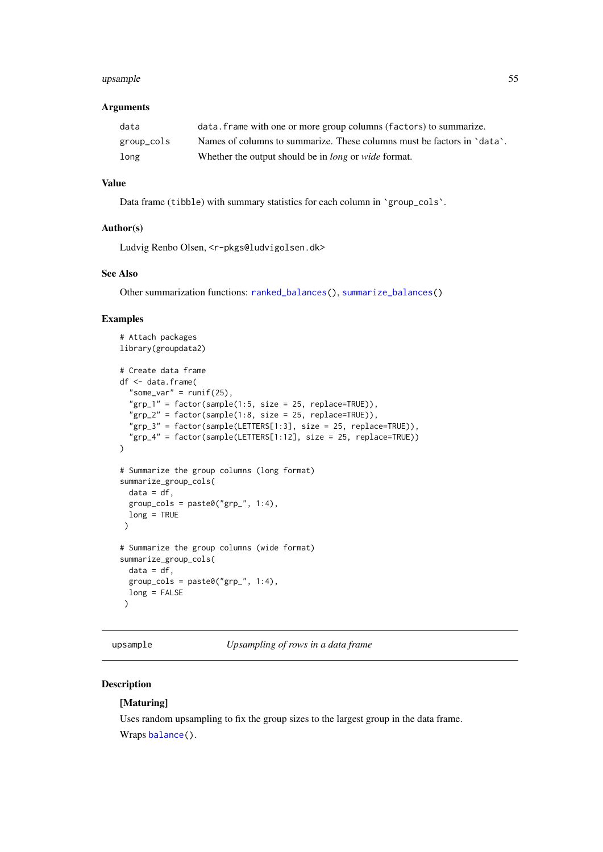#### <span id="page-54-0"></span>upsample 55

#### Arguments

| data       | data. frame with one or more group columns (factors) to summarize.      |
|------------|-------------------------------------------------------------------------|
| group_cols | Names of columns to summarize. These columns must be factors in 'data'. |
| long       | Whether the output should be in <i>long</i> or <i>wide</i> format.      |

## Value

Data frame (tibble) with summary statistics for each column in `group\_cols`.

#### Author(s)

Ludvig Renbo Olsen, <r-pkgs@ludvigolsen.dk>

#### See Also

Other summarization functions: [ranked\\_balances\(](#page-46-1)), [summarize\\_balances\(](#page-49-1))

#### Examples

```
# Attach packages
library(groupdata2)
# Create data frame
df <- data.frame(
  "some_var" = runif(25),
  "grp_1" = factor(sample(1:5, size = 25, replace=TRUE)),"grp_2" = factor(sample(1:8, size = 25, replace=TRUE)),"grp_3" = factor(sample(LETTERS[1:3], size = 25, replace=TRUE)),
  "grp_4" = factor(sample(LETTERS[1:12], size = 25, replace=TRUE))
)
# Summarize the group columns (long format)
summarize_group_cols(
  data = df,
 group\_cols = paste@("grp" , 1:4),long = TRUE
 \lambda# Summarize the group columns (wide format)
summarize_group_cols(
 data = df,
  group\_cols = paste@("grp" , 1:4),long = FALSE
 \lambda
```
<span id="page-54-1"></span>upsample *Upsampling of rows in a data frame*

#### Description

#### [Maturing]

Uses random upsampling to fix the group sizes to the largest group in the data frame. Wraps [balance\(](#page-2-1)).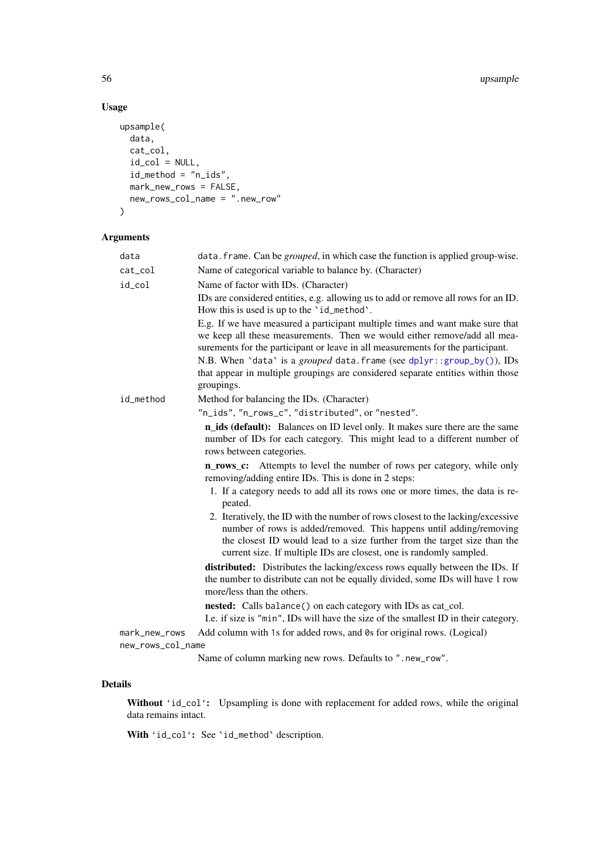## Usage

```
upsample(
  data,
  cat_col,
  id_col = NULL,
  id_method = "n_ids",
  mark_new_rows = FALSE,new_rows_col_name = ".new_row"
\lambda
```
## Arguments

| data              | data. frame. Can be <i>grouped</i> , in which case the function is applied group-wise.                                                                                                                                                                                                                     |
|-------------------|------------------------------------------------------------------------------------------------------------------------------------------------------------------------------------------------------------------------------------------------------------------------------------------------------------|
| cat_col           | Name of categorical variable to balance by. (Character)                                                                                                                                                                                                                                                    |
| id_col            | Name of factor with IDs. (Character)                                                                                                                                                                                                                                                                       |
|                   | IDs are considered entities, e.g. allowing us to add or remove all rows for an ID.<br>How this is used is up to the 'id_method'.                                                                                                                                                                           |
|                   | E.g. If we have measured a participant multiple times and want make sure that<br>we keep all these measurements. Then we would either remove/add all mea-<br>surements for the participant or leave in all measurements for the participant.                                                               |
|                   | N.B. When 'data' is a grouped data. frame (see dplyr::group_by()), IDs<br>that appear in multiple groupings are considered separate entities within those<br>groupings.                                                                                                                                    |
| id_method         | Method for balancing the IDs. (Character)                                                                                                                                                                                                                                                                  |
|                   | "n_ids", "n_rows_c", "distributed", or "nested".                                                                                                                                                                                                                                                           |
|                   | <b>n_ids (default):</b> Balances on ID level only. It makes sure there are the same<br>number of IDs for each category. This might lead to a different number of<br>rows between categories.                                                                                                               |
|                   | Attempts to level the number of rows per category, while only<br>n rows c:<br>removing/adding entire IDs. This is done in 2 steps:                                                                                                                                                                         |
|                   | 1. If a category needs to add all its rows one or more times, the data is re-<br>peated.                                                                                                                                                                                                                   |
|                   | 2. Iteratively, the ID with the number of rows closest to the lacking/excessive<br>number of rows is added/removed. This happens until adding/removing<br>the closest ID would lead to a size further from the target size than the<br>current size. If multiple IDs are closest, one is randomly sampled. |
|                   | distributed: Distributes the lacking/excess rows equally between the IDs. If<br>the number to distribute can not be equally divided, some IDs will have 1 row<br>more/less than the others.                                                                                                                |
|                   | nested: Calls balance() on each category with IDs as cat_col.<br>I.e. if size is "min", IDs will have the size of the smallest ID in their category.                                                                                                                                                       |
| mark_new_rows     | Add column with 1s for added rows, and 0s for original rows. (Logical)                                                                                                                                                                                                                                     |
| new_rows_col_name |                                                                                                                                                                                                                                                                                                            |

Name of column marking new rows. Defaults to ".new\_row".

## Details

Without 'id\_col': Upsampling is done with replacement for added rows, while the original data remains intact.

With 'id\_col': See 'id\_method' description.

<span id="page-55-0"></span>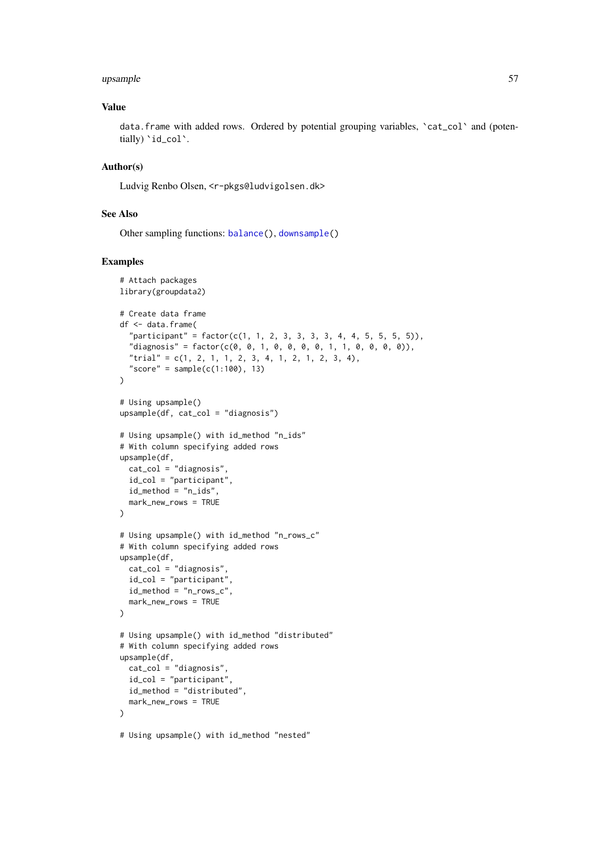#### <span id="page-56-0"></span>upsample 57

#### Value

data.frame with added rows. Ordered by potential grouping variables, 'cat\_col' and (potentially) 'id\_col'.

#### Author(s)

Ludvig Renbo Olsen, <r-pkgs@ludvigolsen.dk>

#### See Also

Other sampling functions: [balance\(](#page-2-1)), [downsample\(](#page-23-1))

```
# Attach packages
library(groupdata2)
# Create data frame
df <- data.frame(
  "participant" = factor(c(1, 1, 2, 3, 3, 3, 3, 4, 4, 5, 5, 5)),
  "diagnosis" = factor(c(0, 0, 1, 0, 0, 0, 0, 1, 1, 0, 0, 0, 0)),
  "trial" = c(1, 2, 1, 1, 2, 3, 4, 1, 2, 1, 2, 3, 4),
  "score" = sample(c(1:100), 13))
# Using upsample()
upsample(df, cat_col = "diagnosis")
# Using upsample() with id_method "n_ids"
# With column specifying added rows
upsample(df,
 cat_col = "diagnosis",
 id_col = "participant",
 id_method = "n_ids",
 mark_new_rows = TRUE
)
# Using upsample() with id_method "n_rows_c"
# With column specifying added rows
upsample(df,
 cat_col = "diagnosis",
  id_col = "participant",
 id_method = "n_rows_c",
 mark_new_rows = TRUE
)
# Using upsample() with id_method "distributed"
# With column specifying added rows
upsample(df,
 cat_col = "diagnosis",
  id_col = "participant",
 id_method = "distributed",
 mark_new_rows = TRUE
\lambda# Using upsample() with id_method "nested"
```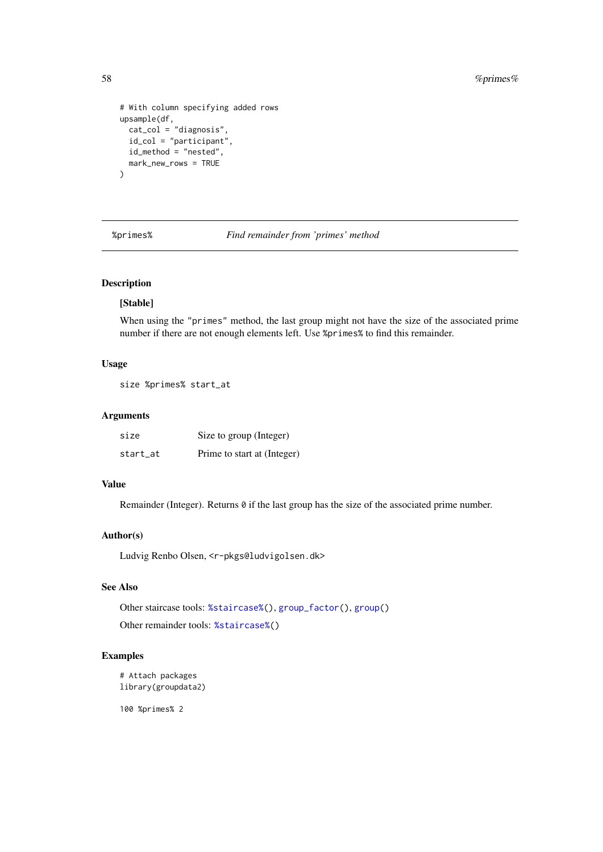```
# With column specifying added rows
upsample(df,
  cat\_col = "diagnosis",id_{col} = "participant",
  id_method = "nested",
  mark_new_rows = TRUE
)
```
<span id="page-57-1"></span>%primes% *Find remainder from 'primes' method*

## Description

#### [Stable]

When using the "primes" method, the last group might not have the size of the associated prime number if there are not enough elements left. Use %primes% to find this remainder.

#### Usage

size %primes% start\_at

#### Arguments

| size     | Size to group (Integer)     |
|----------|-----------------------------|
| start_at | Prime to start at (Integer) |

## Value

Remainder (Integer). Returns  $\theta$  if the last group has the size of the associated prime number.

#### Author(s)

Ludvig Renbo Olsen, <r-pkgs@ludvigolsen.dk>

#### See Also

Other staircase tools: [%staircase%\(](#page-58-1)), [group\\_factor\(](#page-39-1)), [group\(](#page-35-1)) Other remainder tools: [%staircase%\(](#page-58-1))

#### Examples

```
# Attach packages
library(groupdata2)
```
100 %primes% 2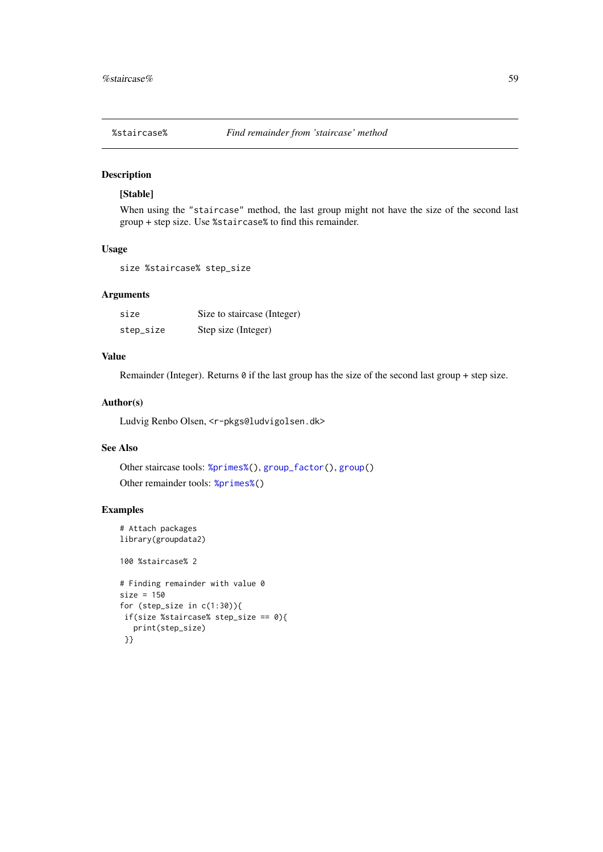<span id="page-58-1"></span><span id="page-58-0"></span>

### Description

## [Stable]

When using the "staircase" method, the last group might not have the size of the second last group + step size. Use %staircase% to find this remainder.

#### Usage

size %staircase% step\_size

### Arguments

| size      | Size to staircase (Integer) |
|-----------|-----------------------------|
| step_size | Step size (Integer)         |

#### Value

Remainder (Integer). Returns  $\theta$  if the last group has the size of the second last group + step size.

#### Author(s)

Ludvig Renbo Olsen, <r-pkgs@ludvigolsen.dk>

#### See Also

Other staircase tools: [%primes%\(](#page-57-1)), [group\\_factor\(](#page-39-1)), [group\(](#page-35-1)) Other remainder tools: [%primes%\(](#page-57-1))

#### Examples

```
# Attach packages
library(groupdata2)
```
100 %staircase% 2

```
# Finding remainder with value 0
size = 150
for (step_size in c(1:30)){
if(size %staircase% step_size == 0){
   print(step_size)
 }}
```